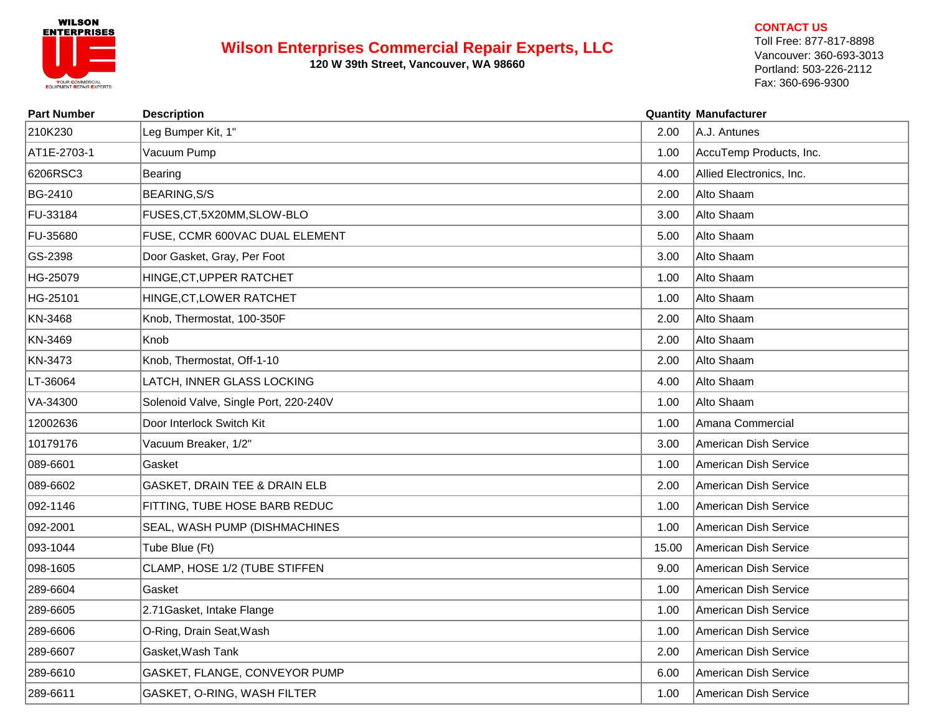

## **Wilson Enterprises Commercial Repair Experts, LLC**

**120 W 39th Street, Vancouver, WA 98660**

## **CONTACT US**

Toll Free: 877-817-8898 Vancouver: 360-693-3013 Portland: 503-226-2112 Fax: 360-696-9300

| <b>Part Number</b> | <b>Description</b>                    |       | <b>Quantity Manufacturer</b> |
|--------------------|---------------------------------------|-------|------------------------------|
| 210K230            | Leg Bumper Kit, 1"                    | 2.00  | A.J. Antunes                 |
| AT1E-2703-1        | Vacuum Pump                           | 1.00  | AccuTemp Products, Inc.      |
| 6206RSC3           | Bearing                               | 4.00  | Allied Electronics, Inc.     |
| BG-2410            | <b>BEARING, S/S</b>                   | 2.00  | Alto Shaam                   |
| FU-33184           | FUSES, CT, 5X20MM, SLOW-BLO           | 3.00  | Alto Shaam                   |
| FU-35680           | FUSE, CCMR 600VAC DUAL ELEMENT        | 5.00  | Alto Shaam                   |
| GS-2398            | Door Gasket, Gray, Per Foot           | 3.00  | Alto Shaam                   |
| HG-25079           | HINGE, CT, UPPER RATCHET              | 1.00  | Alto Shaam                   |
| HG-25101           | HINGE, CT, LOWER RATCHET              | 1.00  | Alto Shaam                   |
| KN-3468            | Knob, Thermostat, 100-350F            | 2.00  | Alto Shaam                   |
| KN-3469            | Knob                                  | 2.00  | Alto Shaam                   |
| KN-3473            | Knob, Thermostat, Off-1-10            | 2.00  | Alto Shaam                   |
| LT-36064           | LATCH, INNER GLASS LOCKING            | 4.00  | Alto Shaam                   |
| VA-34300           | Solenoid Valve, Single Port, 220-240V | 1.00  | Alto Shaam                   |
| 12002636           | Door Interlock Switch Kit             | 1.00  | Amana Commercial             |
| 10179176           | Vacuum Breaker, 1/2"                  | 3.00  | American Dish Service        |
| 089-6601           | Gasket                                | 1.00  | American Dish Service        |
| 089-6602           | GASKET, DRAIN TEE & DRAIN ELB         | 2.00  | American Dish Service        |
| 092-1146           | FITTING, TUBE HOSE BARB REDUC         | 1.00  | American Dish Service        |
| 092-2001           | SEAL, WASH PUMP (DISHMACHINES         | 1.00  | American Dish Service        |
| 093-1044           | Tube Blue (Ft)                        | 15.00 | American Dish Service        |
| 098-1605           | CLAMP, HOSE 1/2 (TUBE STIFFEN         | 9.00  | American Dish Service        |
| 289-6604           | Gasket                                | 1.00  | American Dish Service        |
| 289-6605           | 2.71 Gasket, Intake Flange            | 1.00  | American Dish Service        |
| 289-6606           | O-Ring, Drain Seat, Wash              | 1.00  | American Dish Service        |
| 289-6607           | Gasket, Wash Tank                     | 2.00  | American Dish Service        |
| 289-6610           | GASKET, FLANGE, CONVEYOR PUMP         | 6.00  | American Dish Service        |
| 289-6611           | GASKET, O-RING, WASH FILTER           | 1.00  | American Dish Service        |
|                    |                                       |       |                              |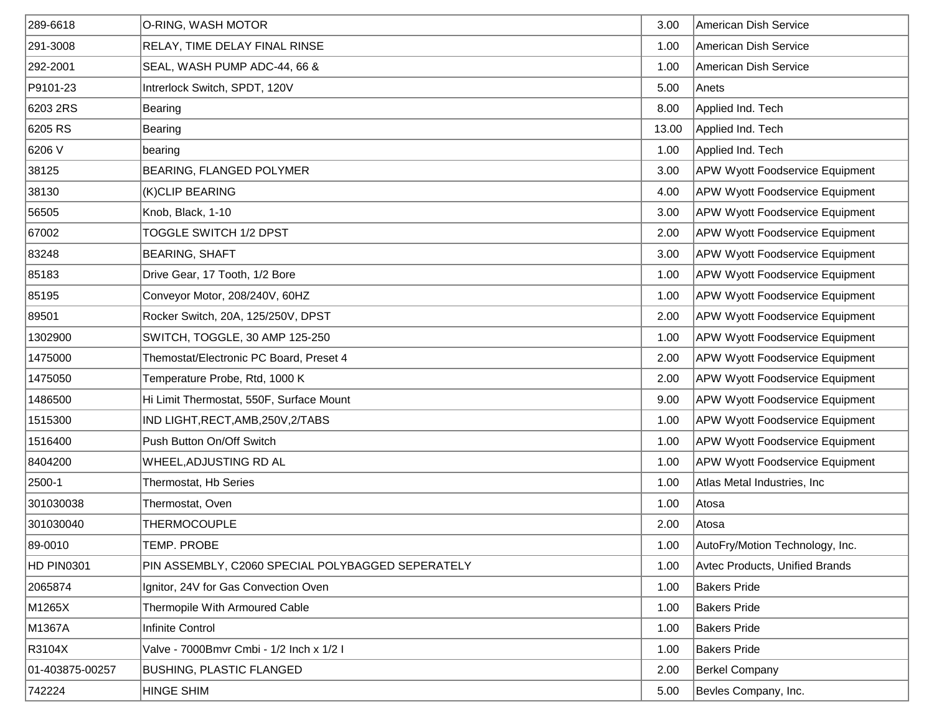| 289-6618        | O-RING, WASH MOTOR                                | 3.00  | American Dish Service                  |
|-----------------|---------------------------------------------------|-------|----------------------------------------|
| 291-3008        | RELAY, TIME DELAY FINAL RINSE                     | 1.00  | American Dish Service                  |
| 292-2001        | SEAL, WASH PUMP ADC-44, 66 &                      | 1.00  | American Dish Service                  |
| P9101-23        | Intrerlock Switch, SPDT, 120V                     | 5.00  | Anets                                  |
| 6203 2RS        | Bearing                                           | 8.00  | Applied Ind. Tech                      |
| 6205 RS         | Bearing                                           | 13.00 | Applied Ind. Tech                      |
| 6206 V          | bearing                                           | 1.00  | Applied Ind. Tech                      |
| 38125           | BEARING, FLANGED POLYMER                          | 3.00  | <b>APW Wyott Foodservice Equipment</b> |
| 38130           | (K)CLIP BEARING                                   | 4.00  | <b>APW Wyott Foodservice Equipment</b> |
| 56505           | Knob, Black, 1-10                                 | 3.00  | <b>APW Wyott Foodservice Equipment</b> |
| 67002           | TOGGLE SWITCH 1/2 DPST                            | 2.00  | <b>APW Wyott Foodservice Equipment</b> |
| 83248           | <b>BEARING, SHAFT</b>                             | 3.00  | <b>APW Wyott Foodservice Equipment</b> |
| 85183           | Drive Gear, 17 Tooth, 1/2 Bore                    | 1.00  | <b>APW Wyott Foodservice Equipment</b> |
| 85195           | Conveyor Motor, 208/240V, 60HZ                    | 1.00  | <b>APW Wyott Foodservice Equipment</b> |
| 89501           | Rocker Switch, 20A, 125/250V, DPST                | 2.00  | <b>APW Wyott Foodservice Equipment</b> |
| 1302900         | SWITCH, TOGGLE, 30 AMP 125-250                    | 1.00  | <b>APW Wyott Foodservice Equipment</b> |
| 1475000         | Themostat/Electronic PC Board, Preset 4           | 2.00  | <b>APW Wyott Foodservice Equipment</b> |
| 1475050         | Temperature Probe, Rtd, 1000 K                    | 2.00  | <b>APW Wyott Foodservice Equipment</b> |
| 1486500         | Hi Limit Thermostat, 550F, Surface Mount          | 9.00  | <b>APW Wyott Foodservice Equipment</b> |
| 1515300         | IND LIGHT, RECT, AMB, 250V, 2/TABS                | 1.00  | <b>APW Wyott Foodservice Equipment</b> |
| 1516400         | Push Button On/Off Switch                         | 1.00  | <b>APW Wyott Foodservice Equipment</b> |
| 8404200         | WHEEL, ADJUSTING RD AL                            | 1.00  | <b>APW Wyott Foodservice Equipment</b> |
| 2500-1          | Thermostat, Hb Series                             | 1.00  | Atlas Metal Industries, Inc            |
| 301030038       | Thermostat, Oven                                  | 1.00  | Atosa                                  |
| 301030040       | <b>THERMOCOUPLE</b>                               | 2.00  | Atosa                                  |
| 89-0010         | TEMP. PROBE                                       | 1.00  | AutoFry/Motion Technology, Inc.        |
| HD PIN0301      | PIN ASSEMBLY, C2060 SPECIAL POLYBAGGED SEPERATELY | 1.00  | <b>Avtec Products, Unified Brands</b>  |
| 2065874         | Ignitor, 24V for Gas Convection Oven              | 1.00  | <b>Bakers Pride</b>                    |
| M1265X          | Thermopile With Armoured Cable                    | 1.00  | <b>Bakers Pride</b>                    |
| M1367A          | Infinite Control                                  | 1.00  | <b>Bakers Pride</b>                    |
| R3104X          | Valve - 7000Bmvr Cmbi - 1/2 Inch x 1/2 I          | 1.00  | <b>Bakers Pride</b>                    |
| 01-403875-00257 | <b>BUSHING, PLASTIC FLANGED</b>                   | 2.00  | <b>Berkel Company</b>                  |
| 742224          | <b>HINGE SHIM</b>                                 | 5.00  | Bevles Company, Inc.                   |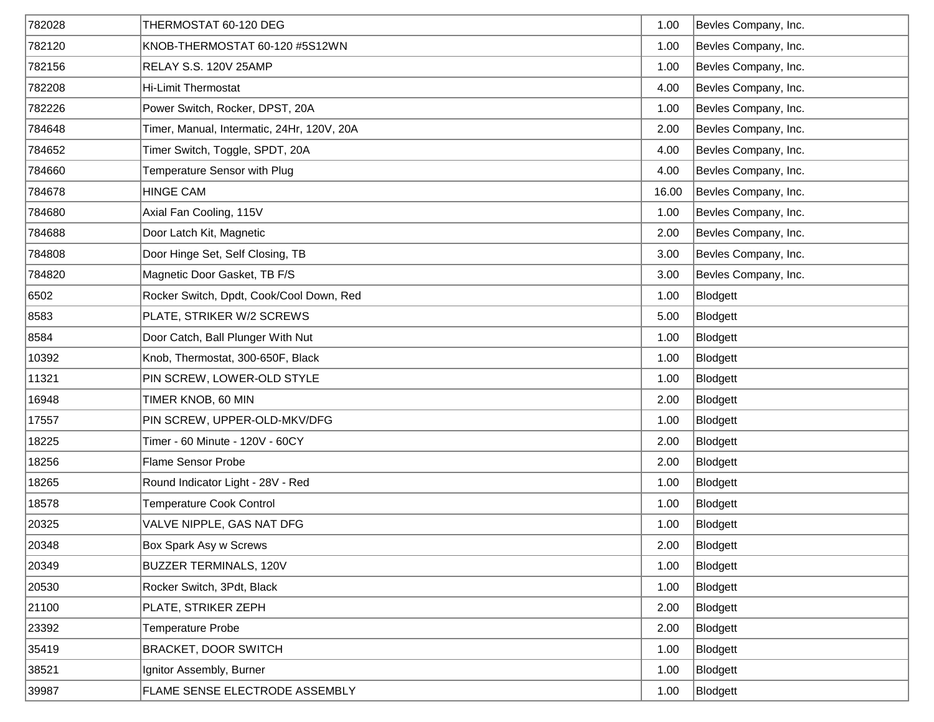| 782028 | THERMOSTAT 60-120 DEG                      | 1.00  | Bevles Company, Inc. |
|--------|--------------------------------------------|-------|----------------------|
| 782120 | KNOB-THERMOSTAT 60-120 #5S12WN             | 1.00  | Bevles Company, Inc. |
| 782156 | RELAY S.S. 120V 25AMP                      | 1.00  | Bevles Company, Inc. |
| 782208 | <b>Hi-Limit Thermostat</b>                 | 4.00  | Bevles Company, Inc. |
| 782226 | Power Switch, Rocker, DPST, 20A            | 1.00  | Bevles Company, Inc. |
| 784648 | Timer, Manual, Intermatic, 24Hr, 120V, 20A | 2.00  | Bevles Company, Inc. |
| 784652 | Timer Switch, Toggle, SPDT, 20A            | 4.00  | Bevles Company, Inc. |
| 784660 | Temperature Sensor with Plug               | 4.00  | Bevles Company, Inc. |
| 784678 | <b>HINGE CAM</b>                           | 16.00 | Bevles Company, Inc. |
| 784680 | Axial Fan Cooling, 115V                    | 1.00  | Bevles Company, Inc. |
| 784688 | Door Latch Kit, Magnetic                   | 2.00  | Bevles Company, Inc. |
| 784808 | Door Hinge Set, Self Closing, TB           | 3.00  | Bevles Company, Inc. |
| 784820 | Magnetic Door Gasket, TB F/S               | 3.00  | Bevles Company, Inc. |
| 6502   | Rocker Switch, Dpdt, Cook/Cool Down, Red   | 1.00  | Blodgett             |
| 8583   | PLATE, STRIKER W/2 SCREWS                  | 5.00  | Blodgett             |
| 8584   | Door Catch, Ball Plunger With Nut          | 1.00  | Blodgett             |
| 10392  | Knob, Thermostat, 300-650F, Black          | 1.00  | Blodgett             |
| 11321  | PIN SCREW, LOWER-OLD STYLE                 | 1.00  | Blodgett             |
| 16948  | TIMER KNOB, 60 MIN                         | 2.00  | Blodgett             |
| 17557  | PIN SCREW, UPPER-OLD-MKV/DFG               | 1.00  | Blodgett             |
| 18225  | Timer - 60 Minute - 120V - 60CY            | 2.00  | Blodgett             |
| 18256  | Flame Sensor Probe                         | 2.00  | Blodgett             |
| 18265  | Round Indicator Light - 28V - Red          | 1.00  | Blodgett             |
| 18578  | <b>Temperature Cook Control</b>            | 1.00  | Blodgett             |
| 20325  | VALVE NIPPLE, GAS NAT DFG                  | 1.00  | Blodgett             |
| 20348  | Box Spark Asy w Screws                     | 2.00  | Blodgett             |
| 20349  | <b>BUZZER TERMINALS, 120V</b>              | 1.00  | Blodgett             |
| 20530  | Rocker Switch, 3Pdt, Black                 | 1.00  | Blodgett             |
| 21100  | PLATE, STRIKER ZEPH                        | 2.00  | Blodgett             |
| 23392  | Temperature Probe                          | 2.00  | Blodgett             |
| 35419  | BRACKET, DOOR SWITCH                       | 1.00  | Blodgett             |
| 38521  | Ignitor Assembly, Burner                   | 1.00  | Blodgett             |
| 39987  | FLAME SENSE ELECTRODE ASSEMBLY             | 1.00  | Blodgett             |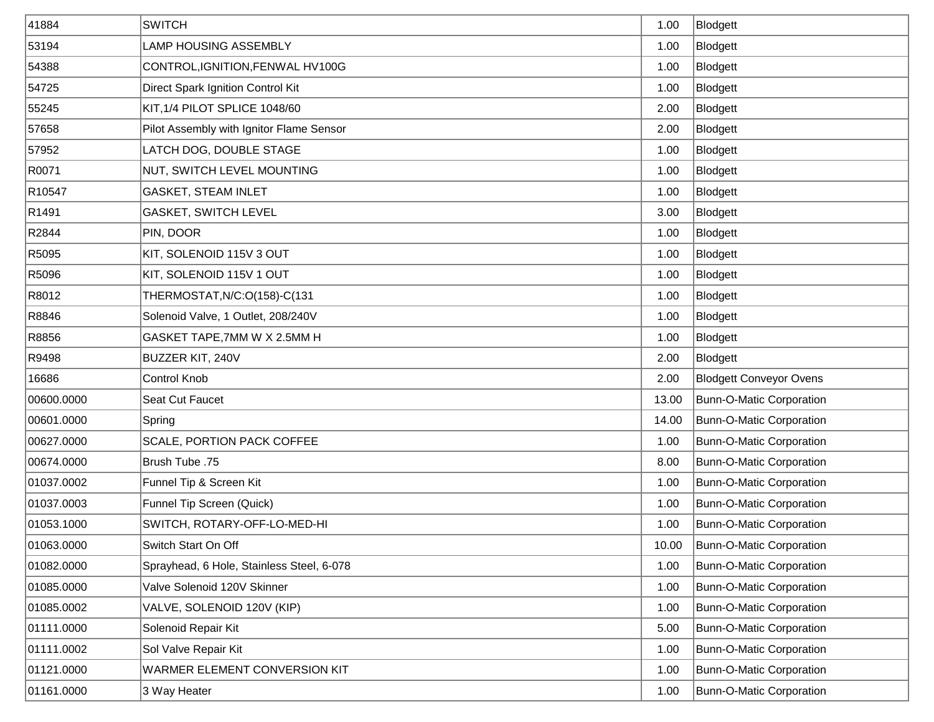| 41884             | <b>SWITCH</b>                             | 1.00  | Blodgett                        |
|-------------------|-------------------------------------------|-------|---------------------------------|
| 53194             | <b>LAMP HOUSING ASSEMBLY</b>              | 1.00  | Blodgett                        |
| 54388             | CONTROL, IGNITION, FENWAL HV100G          | 1.00  | Blodgett                        |
| 54725             | Direct Spark Ignition Control Kit         | 1.00  | Blodgett                        |
| 55245             | KIT, 1/4 PILOT SPLICE 1048/60             | 2.00  | Blodgett                        |
| 57658             | Pilot Assembly with Ignitor Flame Sensor  | 2.00  | Blodgett                        |
| 57952             | LATCH DOG, DOUBLE STAGE                   | 1.00  | Blodgett                        |
| R0071             | NUT, SWITCH LEVEL MOUNTING                | 1.00  | Blodgett                        |
| R10547            | <b>GASKET, STEAM INLET</b>                | 1.00  | Blodgett                        |
| R <sub>1491</sub> | <b>GASKET, SWITCH LEVEL</b>               | 3.00  | Blodgett                        |
| R2844             | PIN, DOOR                                 | 1.00  | Blodgett                        |
| R5095             | KIT, SOLENOID 115V 3 OUT                  | 1.00  | Blodgett                        |
| R5096             | KIT, SOLENOID 115V 1 OUT                  | 1.00  | Blodgett                        |
| R8012             | THERMOSTAT, N/C: O(158)-C(131             | 1.00  | Blodgett                        |
| R8846             | Solenoid Valve, 1 Outlet, 208/240V        | 1.00  | Blodgett                        |
| R8856             | GASKET TAPE, 7MM W X 2.5MM H              | 1.00  | Blodgett                        |
| R9498             | BUZZER KIT, 240V                          | 2.00  | Blodgett                        |
| 16686             | Control Knob                              | 2.00  | <b>Blodgett Conveyor Ovens</b>  |
| 00600.0000        | Seat Cut Faucet                           | 13.00 | <b>Bunn-O-Matic Corporation</b> |
| 00601.0000        | Spring                                    | 14.00 | Bunn-O-Matic Corporation        |
| 00627.0000        | SCALE, PORTION PACK COFFEE                | 1.00  | Bunn-O-Matic Corporation        |
| 00674.0000        | Brush Tube .75                            | 8.00  | <b>Bunn-O-Matic Corporation</b> |
| 01037.0002        | Funnel Tip & Screen Kit                   | 1.00  | <b>Bunn-O-Matic Corporation</b> |
| 01037.0003        | Funnel Tip Screen (Quick)                 | 1.00  | <b>Bunn-O-Matic Corporation</b> |
| 01053.1000        | SWITCH, ROTARY-OFF-LO-MED-HI              | 1.00  | <b>Bunn-O-Matic Corporation</b> |
| 01063.0000        | Switch Start On Off                       | 10.00 | Bunn-O-Matic Corporation        |
| 01082.0000        | Sprayhead, 6 Hole, Stainless Steel, 6-078 | 1.00  | <b>Bunn-O-Matic Corporation</b> |
| 01085.0000        | Valve Solenoid 120V Skinner               | 1.00  | <b>Bunn-O-Matic Corporation</b> |
| 01085.0002        | VALVE, SOLENOID 120V (KIP)                | 1.00  | <b>Bunn-O-Matic Corporation</b> |
| 01111.0000        | Solenoid Repair Kit                       | 5.00  | <b>Bunn-O-Matic Corporation</b> |
| 01111.0002        | Sol Valve Repair Kit                      | 1.00  | Bunn-O-Matic Corporation        |
| 01121.0000        | WARMER ELEMENT CONVERSION KIT             | 1.00  | <b>Bunn-O-Matic Corporation</b> |
| 01161.0000        | 3 Way Heater                              | 1.00  | Bunn-O-Matic Corporation        |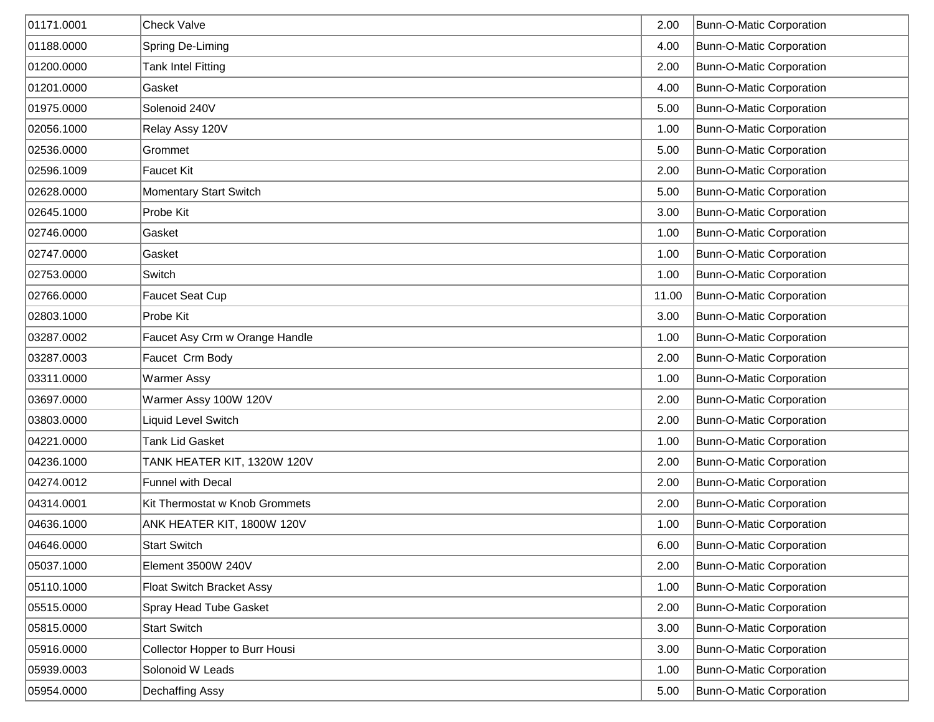| 01171.0001 | <b>Check Valve</b>               | 2.00  | Bunn-O-Matic Corporation        |
|------------|----------------------------------|-------|---------------------------------|
| 01188.0000 | Spring De-Liming                 | 4.00  | Bunn-O-Matic Corporation        |
| 01200.0000 | <b>Tank Intel Fitting</b>        | 2.00  | Bunn-O-Matic Corporation        |
| 01201.0000 | Gasket                           | 4.00  | Bunn-O-Matic Corporation        |
| 01975.0000 | Solenoid 240V                    | 5.00  | Bunn-O-Matic Corporation        |
| 02056.1000 | Relay Assy 120V                  | 1.00  | Bunn-O-Matic Corporation        |
| 02536.0000 | Grommet                          | 5.00  | Bunn-O-Matic Corporation        |
| 02596.1009 | Faucet Kit                       | 2.00  | Bunn-O-Matic Corporation        |
| 02628.0000 | Momentary Start Switch           | 5.00  | Bunn-O-Matic Corporation        |
| 02645.1000 | Probe Kit                        | 3.00  | Bunn-O-Matic Corporation        |
| 02746.0000 | Gasket                           | 1.00  | Bunn-O-Matic Corporation        |
| 02747.0000 | Gasket                           | 1.00  | <b>Bunn-O-Matic Corporation</b> |
| 02753.0000 | Switch                           | 1.00  | <b>Bunn-O-Matic Corporation</b> |
| 02766.0000 | Faucet Seat Cup                  | 11.00 | Bunn-O-Matic Corporation        |
| 02803.1000 | Probe Kit                        | 3.00  | Bunn-O-Matic Corporation        |
| 03287.0002 | Faucet Asy Crm w Orange Handle   | 1.00  | Bunn-O-Matic Corporation        |
| 03287.0003 | Faucet Crm Body                  | 2.00  | Bunn-O-Matic Corporation        |
| 03311.0000 | <b>Warmer Assy</b>               | 1.00  | Bunn-O-Matic Corporation        |
| 03697.0000 | Warmer Assy 100W 120V            | 2.00  | Bunn-O-Matic Corporation        |
| 03803.0000 | Liquid Level Switch              | 2.00  | Bunn-O-Matic Corporation        |
| 04221.0000 | <b>Tank Lid Gasket</b>           | 1.00  | Bunn-O-Matic Corporation        |
| 04236.1000 | TANK HEATER KIT, 1320W 120V      | 2.00  | Bunn-O-Matic Corporation        |
| 04274.0012 | Funnel with Decal                | 2.00  | Bunn-O-Matic Corporation        |
| 04314.0001 | Kit Thermostat w Knob Grommets   | 2.00  | Bunn-O-Matic Corporation        |
| 04636.1000 | ANK HEATER KIT, 1800W 120V       | 1.00  | Bunn-O-Matic Corporation        |
| 04646.0000 | <b>Start Switch</b>              | 6.00  | <b>Bunn-O-Matic Corporation</b> |
| 05037.1000 | Element 3500W 240V               | 2.00  | Bunn-O-Matic Corporation        |
| 05110.1000 | <b>Float Switch Bracket Assy</b> | 1.00  | Bunn-O-Matic Corporation        |
| 05515.0000 | Spray Head Tube Gasket           | 2.00  | Bunn-O-Matic Corporation        |
| 05815.0000 | <b>Start Switch</b>              | 3.00  | <b>Bunn-O-Matic Corporation</b> |
| 05916.0000 | Collector Hopper to Burr Housi   | 3.00  | Bunn-O-Matic Corporation        |
| 05939.0003 | Solonoid W Leads                 | 1.00  | Bunn-O-Matic Corporation        |
| 05954.0000 | Dechaffing Assy                  | 5.00  | Bunn-O-Matic Corporation        |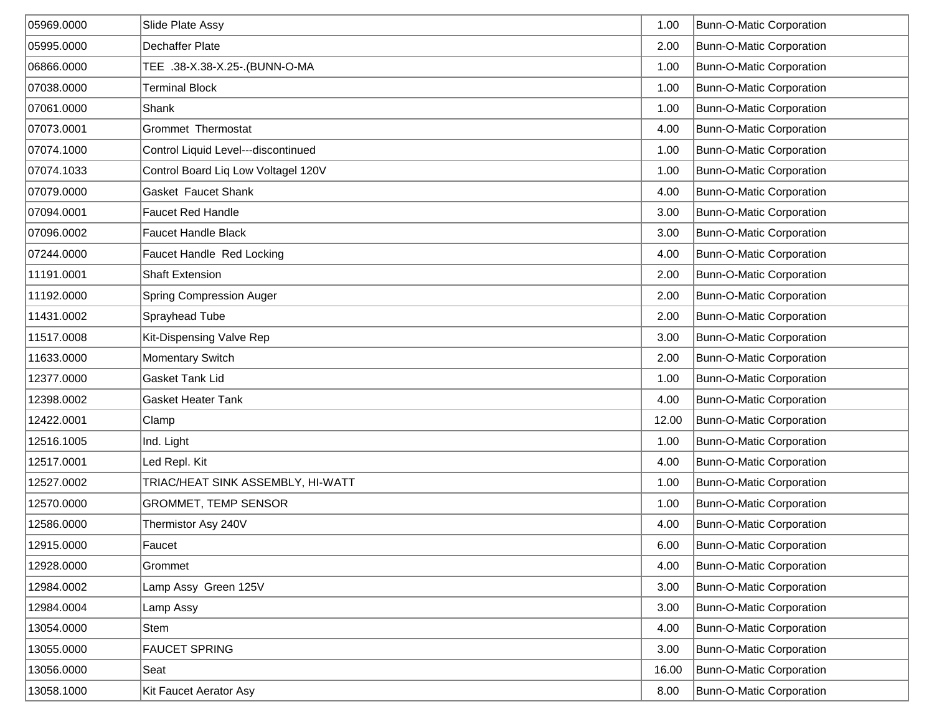| 05969.0000 | Slide Plate Assy                    | 1.00  | <b>Bunn-O-Matic Corporation</b> |
|------------|-------------------------------------|-------|---------------------------------|
| 05995.0000 | <b>Dechaffer Plate</b>              | 2.00  | Bunn-O-Matic Corporation        |
| 06866.0000 | TEE .38-X.38-X.25-.(BUNN-O-MA       | 1.00  | <b>Bunn-O-Matic Corporation</b> |
| 07038.0000 | <b>Terminal Block</b>               | 1.00  | Bunn-O-Matic Corporation        |
| 07061.0000 | Shank                               | 1.00  | Bunn-O-Matic Corporation        |
| 07073.0001 | <b>Grommet Thermostat</b>           | 4.00  | Bunn-O-Matic Corporation        |
| 07074.1000 | Control Liquid Level---discontinued | 1.00  | Bunn-O-Matic Corporation        |
| 07074.1033 | Control Board Liq Low Voltagel 120V | 1.00  | Bunn-O-Matic Corporation        |
| 07079.0000 | Gasket Faucet Shank                 | 4.00  | Bunn-O-Matic Corporation        |
| 07094.0001 | <b>Faucet Red Handle</b>            | 3.00  | Bunn-O-Matic Corporation        |
| 07096.0002 | <b>Faucet Handle Black</b>          | 3.00  | <b>Bunn-O-Matic Corporation</b> |
| 07244.0000 | Faucet Handle Red Locking           | 4.00  | <b>Bunn-O-Matic Corporation</b> |
| 11191.0001 | <b>Shaft Extension</b>              | 2.00  | <b>Bunn-O-Matic Corporation</b> |
| 11192.0000 | <b>Spring Compression Auger</b>     | 2.00  | <b>Bunn-O-Matic Corporation</b> |
| 11431.0002 | Sprayhead Tube                      | 2.00  | Bunn-O-Matic Corporation        |
| 11517.0008 | Kit-Dispensing Valve Rep            | 3.00  | Bunn-O-Matic Corporation        |
| 11633.0000 | Momentary Switch                    | 2.00  | Bunn-O-Matic Corporation        |
| 12377.0000 | Gasket Tank Lid                     | 1.00  | <b>Bunn-O-Matic Corporation</b> |
| 12398.0002 | <b>Gasket Heater Tank</b>           | 4.00  | Bunn-O-Matic Corporation        |
| 12422.0001 | Clamp                               | 12.00 | Bunn-O-Matic Corporation        |
| 12516.1005 | Ind. Light                          | 1.00  | <b>Bunn-O-Matic Corporation</b> |
| 12517.0001 | Led Repl. Kit                       | 4.00  | Bunn-O-Matic Corporation        |
| 12527.0002 | TRIAC/HEAT SINK ASSEMBLY, HI-WATT   | 1.00  | Bunn-O-Matic Corporation        |
| 12570.0000 | GROMMET, TEMP SENSOR                | 1.00  | Bunn-O-Matic Corporation        |
| 12586.0000 | Thermistor Asy 240V                 | 4.00  | Bunn-O-Matic Corporation        |
| 12915.0000 | Faucet                              | 6.00  | <b>Bunn-O-Matic Corporation</b> |
| 12928.0000 | Grommet                             | 4.00  | Bunn-O-Matic Corporation        |
| 12984.0002 | Lamp Assy Green 125V                | 3.00  | Bunn-O-Matic Corporation        |
| 12984.0004 | Lamp Assy                           | 3.00  | <b>Bunn-O-Matic Corporation</b> |
| 13054.0000 | Stem                                | 4.00  | <b>Bunn-O-Matic Corporation</b> |
| 13055.0000 | <b>FAUCET SPRING</b>                | 3.00  | Bunn-O-Matic Corporation        |
| 13056.0000 | Seat                                | 16.00 | Bunn-O-Matic Corporation        |
| 13058.1000 | Kit Faucet Aerator Asy              | 8.00  | Bunn-O-Matic Corporation        |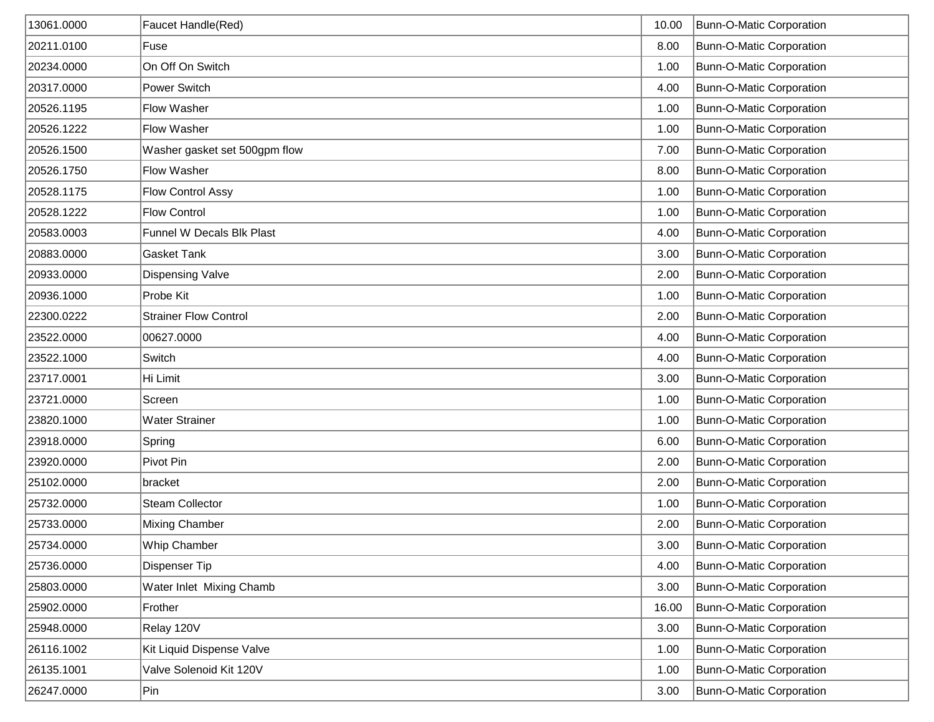| 13061.0000 | Faucet Handle(Red)            | 10.00 | Bunn-O-Matic Corporation        |
|------------|-------------------------------|-------|---------------------------------|
| 20211.0100 | Fuse                          | 8.00  | Bunn-O-Matic Corporation        |
| 20234.0000 | On Off On Switch              | 1.00  | Bunn-O-Matic Corporation        |
| 20317.0000 | Power Switch                  | 4.00  | Bunn-O-Matic Corporation        |
| 20526.1195 | <b>Flow Washer</b>            | 1.00  | Bunn-O-Matic Corporation        |
| 20526.1222 | <b>Flow Washer</b>            | 1.00  | Bunn-O-Matic Corporation        |
| 20526.1500 | Washer gasket set 500gpm flow | 7.00  | Bunn-O-Matic Corporation        |
| 20526.1750 | <b>Flow Washer</b>            | 8.00  | Bunn-O-Matic Corporation        |
| 20528.1175 | <b>Flow Control Assy</b>      | 1.00  | Bunn-O-Matic Corporation        |
| 20528.1222 | <b>Flow Control</b>           | 1.00  | Bunn-O-Matic Corporation        |
| 20583.0003 | Funnel W Decals Blk Plast     | 4.00  | Bunn-O-Matic Corporation        |
| 20883.0000 | <b>Gasket Tank</b>            | 3.00  | <b>Bunn-O-Matic Corporation</b> |
| 20933.0000 | <b>Dispensing Valve</b>       | 2.00  | <b>Bunn-O-Matic Corporation</b> |
| 20936.1000 | Probe Kit                     | 1.00  | <b>Bunn-O-Matic Corporation</b> |
| 22300.0222 | <b>Strainer Flow Control</b>  | 2.00  | Bunn-O-Matic Corporation        |
| 23522.0000 | 00627.0000                    | 4.00  | Bunn-O-Matic Corporation        |
| 23522.1000 | Switch                        | 4.00  | Bunn-O-Matic Corporation        |
| 23717.0001 | Hi Limit                      | 3.00  | <b>Bunn-O-Matic Corporation</b> |
| 23721.0000 | Screen                        | 1.00  | Bunn-O-Matic Corporation        |
| 23820.1000 | <b>Water Strainer</b>         | 1.00  | <b>Bunn-O-Matic Corporation</b> |
| 23918.0000 | Spring                        | 6.00  | Bunn-O-Matic Corporation        |
| 23920.0000 | Pivot Pin                     | 2.00  | Bunn-O-Matic Corporation        |
| 25102.0000 | bracket                       | 2.00  | Bunn-O-Matic Corporation        |
| 25732.0000 | <b>Steam Collector</b>        | 1.00  | Bunn-O-Matic Corporation        |
| 25733.0000 | <b>Mixing Chamber</b>         | 2.00  | Bunn-O-Matic Corporation        |
| 25734.0000 | Whip Chamber                  | 3.00  | Bunn-O-Matic Corporation        |
| 25736.0000 | <b>Dispenser Tip</b>          | 4.00  | Bunn-O-Matic Corporation        |
| 25803.0000 | Water Inlet Mixing Chamb      | 3.00  | Bunn-O-Matic Corporation        |
| 25902.0000 | Frother                       | 16.00 | <b>Bunn-O-Matic Corporation</b> |
| 25948.0000 | Relay 120V                    | 3.00  | <b>Bunn-O-Matic Corporation</b> |
| 26116.1002 | Kit Liquid Dispense Valve     | 1.00  | Bunn-O-Matic Corporation        |
| 26135.1001 | Valve Solenoid Kit 120V       | 1.00  | Bunn-O-Matic Corporation        |
| 26247.0000 | Pin                           | 3.00  | Bunn-O-Matic Corporation        |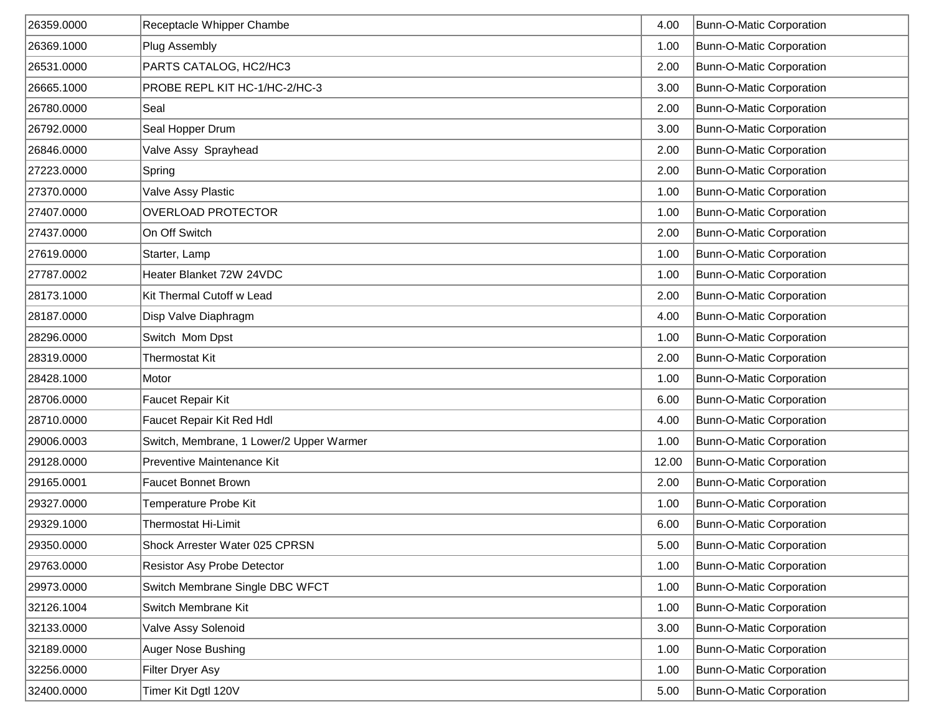| 26359.0000 | Receptacle Whipper Chambe                | 4.00  | <b>Bunn-O-Matic Corporation</b> |
|------------|------------------------------------------|-------|---------------------------------|
| 26369.1000 | <b>Plug Assembly</b>                     | 1.00  | <b>Bunn-O-Matic Corporation</b> |
| 26531.0000 | PARTS CATALOG, HC2/HC3                   | 2.00  | Bunn-O-Matic Corporation        |
| 26665.1000 | PROBE REPL KIT HC-1/HC-2/HC-3            | 3.00  | Bunn-O-Matic Corporation        |
| 26780.0000 | Seal                                     | 2.00  | Bunn-O-Matic Corporation        |
| 26792.0000 | Seal Hopper Drum                         | 3.00  | Bunn-O-Matic Corporation        |
| 26846.0000 | Valve Assy Sprayhead                     | 2.00  | Bunn-O-Matic Corporation        |
| 27223.0000 | Spring                                   | 2.00  | Bunn-O-Matic Corporation        |
| 27370.0000 | Valve Assy Plastic                       | 1.00  | Bunn-O-Matic Corporation        |
| 27407.0000 | <b>OVERLOAD PROTECTOR</b>                | 1.00  | Bunn-O-Matic Corporation        |
| 27437.0000 | On Off Switch                            | 2.00  | Bunn-O-Matic Corporation        |
| 27619.0000 | Starter, Lamp                            | 1.00  | <b>Bunn-O-Matic Corporation</b> |
| 27787.0002 | Heater Blanket 72W 24VDC                 | 1.00  | <b>Bunn-O-Matic Corporation</b> |
| 28173.1000 | Kit Thermal Cutoff w Lead                | 2.00  | <b>Bunn-O-Matic Corporation</b> |
| 28187.0000 | Disp Valve Diaphragm                     | 4.00  | Bunn-O-Matic Corporation        |
| 28296.0000 | Switch Mom Dpst                          | 1.00  | Bunn-O-Matic Corporation        |
| 28319.0000 | <b>Thermostat Kit</b>                    | 2.00  | Bunn-O-Matic Corporation        |
| 28428.1000 | Motor                                    | 1.00  | <b>Bunn-O-Matic Corporation</b> |
| 28706.0000 | Faucet Repair Kit                        | 6.00  | <b>Bunn-O-Matic Corporation</b> |
| 28710.0000 | Faucet Repair Kit Red Hdl                | 4.00  | <b>Bunn-O-Matic Corporation</b> |
| 29006.0003 | Switch, Membrane, 1 Lower/2 Upper Warmer | 1.00  | Bunn-O-Matic Corporation        |
| 29128.0000 | Preventive Maintenance Kit               | 12.00 | Bunn-O-Matic Corporation        |
| 29165.0001 | <b>Faucet Bonnet Brown</b>               | 2.00  | Bunn-O-Matic Corporation        |
| 29327.0000 | Temperature Probe Kit                    | 1.00  | Bunn-O-Matic Corporation        |
| 29329.1000 | Thermostat Hi-Limit                      | 6.00  | Bunn-O-Matic Corporation        |
| 29350.0000 | Shock Arrester Water 025 CPRSN           | 5.00  | Bunn-O-Matic Corporation        |
| 29763.0000 | Resistor Asy Probe Detector              | 1.00  | Bunn-O-Matic Corporation        |
| 29973.0000 | Switch Membrane Single DBC WFCT          | 1.00  | Bunn-O-Matic Corporation        |
| 32126.1004 | Switch Membrane Kit                      | 1.00  | <b>Bunn-O-Matic Corporation</b> |
| 32133.0000 | Valve Assy Solenoid                      | 3.00  | <b>Bunn-O-Matic Corporation</b> |
| 32189.0000 | Auger Nose Bushing                       | 1.00  | Bunn-O-Matic Corporation        |
| 32256.0000 | Filter Dryer Asy                         | 1.00  | Bunn-O-Matic Corporation        |
| 32400.0000 | Timer Kit Dgtl 120V                      | 5.00  | Bunn-O-Matic Corporation        |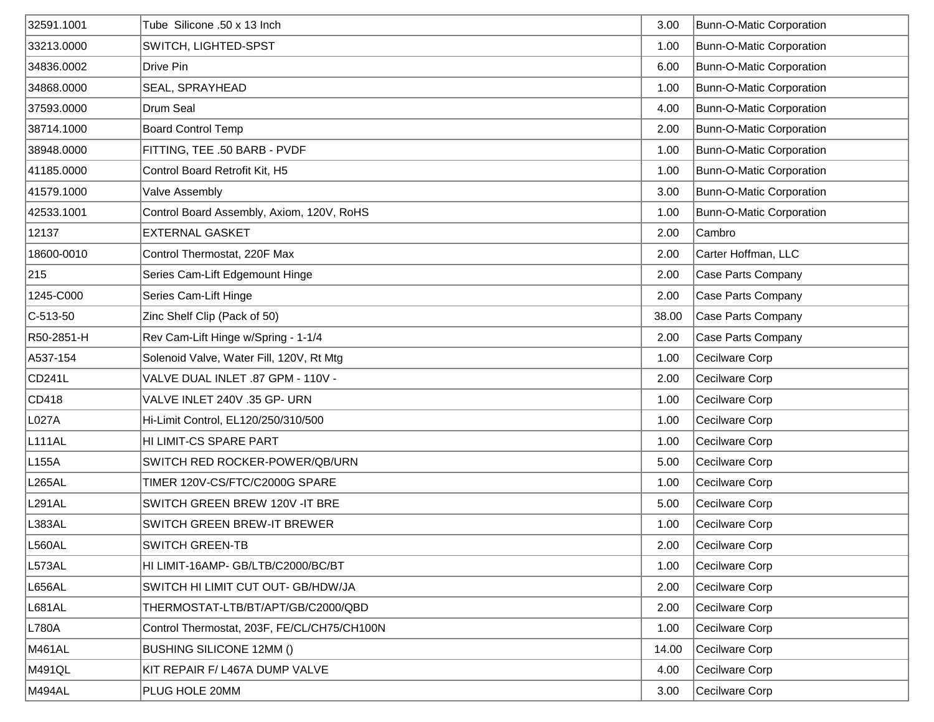| 32591.1001          | Tube Silicone .50 x 13 Inch                 | 3.00  | <b>Bunn-O-Matic Corporation</b> |
|---------------------|---------------------------------------------|-------|---------------------------------|
| 33213.0000          | SWITCH, LIGHTED-SPST                        | 1.00  | <b>Bunn-O-Matic Corporation</b> |
| 34836.0002          | Drive Pin                                   | 6.00  | Bunn-O-Matic Corporation        |
| 34868.0000          | SEAL, SPRAYHEAD                             | 1.00  | <b>Bunn-O-Matic Corporation</b> |
| 37593.0000          | Drum Seal                                   | 4.00  | <b>Bunn-O-Matic Corporation</b> |
| 38714.1000          | <b>Board Control Temp</b>                   | 2.00  | <b>Bunn-O-Matic Corporation</b> |
| 38948.0000          | FITTING, TEE .50 BARB - PVDF                | 1.00  | <b>Bunn-O-Matic Corporation</b> |
| 41185.0000          | Control Board Retrofit Kit, H5              | 1.00  | <b>Bunn-O-Matic Corporation</b> |
| 41579.1000          | Valve Assembly                              | 3.00  | <b>Bunn-O-Matic Corporation</b> |
| 42533.1001          | Control Board Assembly, Axiom, 120V, RoHS   | 1.00  | <b>Bunn-O-Matic Corporation</b> |
| 12137               | <b>EXTERNAL GASKET</b>                      | 2.00  | Cambro                          |
| 18600-0010          | Control Thermostat, 220F Max                | 2.00  | Carter Hoffman, LLC             |
| 215                 | Series Cam-Lift Edgemount Hinge             | 2.00  | Case Parts Company              |
| 1245-C000           | Series Cam-Lift Hinge                       | 2.00  | Case Parts Company              |
| $ C-513-50$         | Zinc Shelf Clip (Pack of 50)                | 38.00 | Case Parts Company              |
| R50-2851-H          | Rev Cam-Lift Hinge w/Spring - 1-1/4         | 2.00  | Case Parts Company              |
| A537-154            | Solenoid Valve, Water Fill, 120V, Rt Mtg    | 1.00  | Cecilware Corp                  |
| CD <sub>241</sub> L | VALVE DUAL INLET .87 GPM - 110V -           | 2.00  | Cecilware Corp                  |
| CD418               | VALVE INLET 240V .35 GP- URN                | 1.00  | Cecilware Corp                  |
| L027A               | Hi-Limit Control, EL120/250/310/500         | 1.00  | Cecilware Corp                  |
| L <sub>111AL</sub>  | HI LIMIT-CS SPARE PART                      | 1.00  | Cecilware Corp                  |
| L <sub>155</sub> A  | SWITCH RED ROCKER-POWER/QB/URN              | 5.00  | Cecilware Corp                  |
| L265AL              | TIMER 120V-CS/FTC/C2000G SPARE              | 1.00  | Cecilware Corp                  |
| L <sub>291</sub> AL | SWITCH GREEN BREW 120V -IT BRE              | 5.00  | Cecilware Corp                  |
| L383AL              | SWITCH GREEN BREW-IT BREWER                 | 1.00  | Cecilware Corp                  |
| L560AL              | <b>SWITCH GREEN-TB</b>                      | 2.00  | Cecilware Corp                  |
| L573AL              | HI LIMIT-16AMP- GB/LTB/C2000/BC/BT          | 1.00  | Cecilware Corp                  |
| <b>L656AL</b>       | SWITCH HI LIMIT CUT OUT- GB/HDW/JA          | 2.00  | Cecilware Corp                  |
| L681AL              | THERMOSTAT-LTB/BT/APT/GB/C2000/QBD          | 2.00  | Cecilware Corp                  |
| L780A               | Control Thermostat, 203F, FE/CL/CH75/CH100N | 1.00  | Cecilware Corp                  |
| M461AL              | <b>BUSHING SILICONE 12MM ()</b>             | 14.00 | Cecilware Corp                  |
| M491QL              | KIT REPAIR F/ L467A DUMP VALVE              | 4.00  | Cecilware Corp                  |
| M494AL              | PLUG HOLE 20MM                              | 3.00  | Cecilware Corp                  |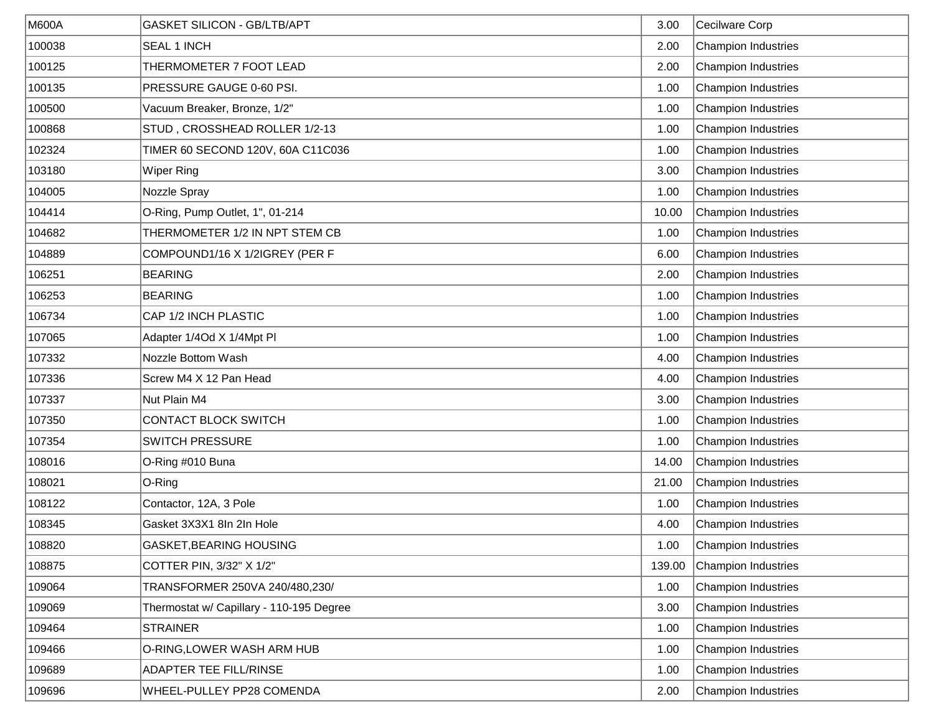| <b>M600A</b> | <b>GASKET SILICON - GB/LTB/APT</b>       | 3.00   | Cecilware Corp             |
|--------------|------------------------------------------|--------|----------------------------|
| 100038       | <b>SEAL 1 INCH</b>                       | 2.00   | <b>Champion Industries</b> |
| 100125       | THERMOMETER 7 FOOT LEAD                  | 2.00   | <b>Champion Industries</b> |
| 100135       | PRESSURE GAUGE 0-60 PSI.                 | 1.00   | <b>Champion Industries</b> |
| 100500       | Vacuum Breaker, Bronze, 1/2"             | 1.00   | <b>Champion Industries</b> |
| 100868       | STUD, CROSSHEAD ROLLER 1/2-13            | 1.00   | <b>Champion Industries</b> |
| 102324       | TIMER 60 SECOND 120V, 60A C11C036        | 1.00   | <b>Champion Industries</b> |
| 103180       | <b>Wiper Ring</b>                        | 3.00   | <b>Champion Industries</b> |
| 104005       | Nozzle Spray                             | 1.00   | <b>Champion Industries</b> |
| 104414       | O-Ring, Pump Outlet, 1", 01-214          | 10.00  | <b>Champion Industries</b> |
| 104682       | THERMOMETER 1/2 IN NPT STEM CB           | 1.00   | <b>Champion Industries</b> |
| 104889       | COMPOUND1/16 X 1/2IGREY (PER F           | 6.00   | <b>Champion Industries</b> |
| 106251       | <b>BEARING</b>                           | 2.00   | <b>Champion Industries</b> |
| 106253       | <b>BEARING</b>                           | 1.00   | <b>Champion Industries</b> |
| 106734       | CAP 1/2 INCH PLASTIC                     | 1.00   | <b>Champion Industries</b> |
| 107065       | Adapter 1/4Od X 1/4Mpt Pl                | 1.00   | <b>Champion Industries</b> |
| 107332       | Nozzle Bottom Wash                       | 4.00   | <b>Champion Industries</b> |
| 107336       | Screw M4 X 12 Pan Head                   | 4.00   | <b>Champion Industries</b> |
| 107337       | Nut Plain M4                             | 3.00   | <b>Champion Industries</b> |
| 107350       | CONTACT BLOCK SWITCH                     | 1.00   | <b>Champion Industries</b> |
| 107354       | <b>SWITCH PRESSURE</b>                   | 1.00   | <b>Champion Industries</b> |
| 108016       | O-Ring #010 Buna                         | 14.00  | <b>Champion Industries</b> |
| 108021       | O-Ring                                   | 21.00  | <b>Champion Industries</b> |
| 108122       | Contactor, 12A, 3 Pole                   | 1.00   | <b>Champion Industries</b> |
| 108345       | Gasket 3X3X1 8In 2In Hole                | 4.00   | <b>Champion Industries</b> |
| 108820       | GASKET, BEARING HOUSING                  | 1.00   | Champion Industries        |
| 108875       | COTTER PIN, 3/32" X 1/2"                 | 139.00 | <b>Champion Industries</b> |
| 109064       | TRANSFORMER 250VA 240/480,230/           | 1.00   | <b>Champion Industries</b> |
| 109069       | Thermostat w/ Capillary - 110-195 Degree | 3.00   | <b>Champion Industries</b> |
| 109464       | <b>STRAINER</b>                          | 1.00   | <b>Champion Industries</b> |
| 109466       | O-RING, LOWER WASH ARM HUB               | 1.00   | <b>Champion Industries</b> |
| 109689       | ADAPTER TEE FILL/RINSE                   | 1.00   | <b>Champion Industries</b> |
| 109696       | WHEEL-PULLEY PP28 COMENDA                | 2.00   | <b>Champion Industries</b> |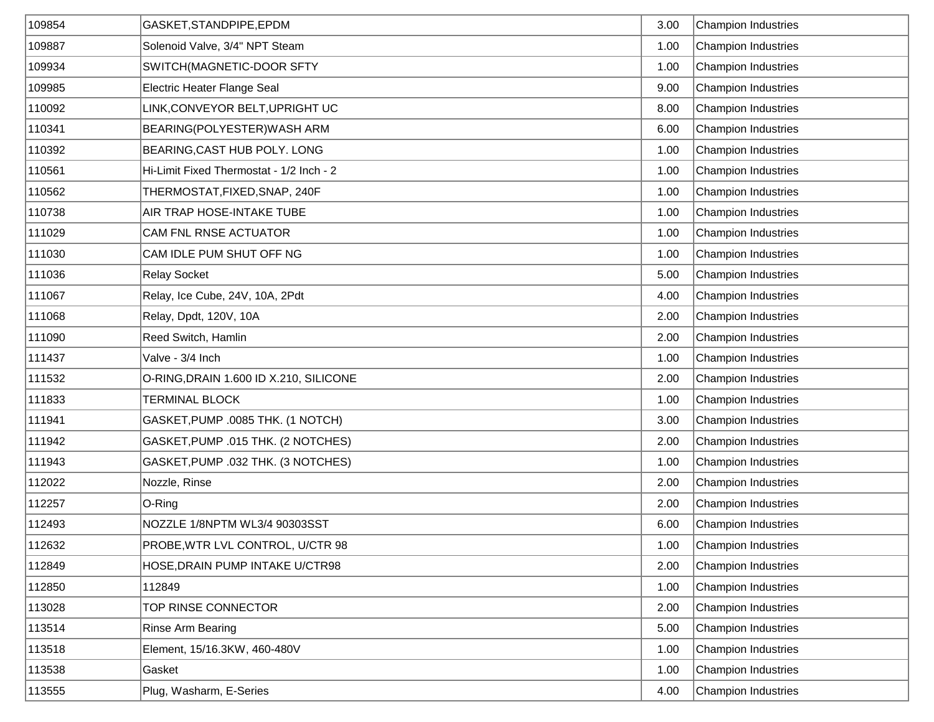| 109854 | GASKET, STANDPIPE, EPDM                  | 3.00 | <b>Champion Industries</b> |
|--------|------------------------------------------|------|----------------------------|
| 109887 | Solenoid Valve, 3/4" NPT Steam           | 1.00 | <b>Champion Industries</b> |
| 109934 | SWITCH(MAGNETIC-DOOR SFTY                | 1.00 | <b>Champion Industries</b> |
| 109985 | Electric Heater Flange Seal              | 9.00 | <b>Champion Industries</b> |
| 110092 | LINK,CONVEYOR BELT,UPRIGHT UC            | 8.00 | <b>Champion Industries</b> |
| 110341 | BEARING(POLYESTER) WASH ARM              | 6.00 | <b>Champion Industries</b> |
| 110392 | BEARING, CAST HUB POLY. LONG             | 1.00 | <b>Champion Industries</b> |
| 110561 | Hi-Limit Fixed Thermostat - 1/2 Inch - 2 | 1.00 | <b>Champion Industries</b> |
| 110562 | THERMOSTAT, FIXED, SNAP, 240F            | 1.00 | <b>Champion Industries</b> |
| 110738 | AIR TRAP HOSE-INTAKE TUBE                | 1.00 | <b>Champion Industries</b> |
| 111029 | CAM FNL RNSE ACTUATOR                    | 1.00 | <b>Champion Industries</b> |
| 111030 | CAM IDLE PUM SHUT OFF NG                 | 1.00 | <b>Champion Industries</b> |
| 111036 | <b>Relay Socket</b>                      | 5.00 | <b>Champion Industries</b> |
| 111067 | Relay, Ice Cube, 24V, 10A, 2Pdt          | 4.00 | <b>Champion Industries</b> |
| 111068 | Relay, Dpdt, 120V, 10A                   | 2.00 | <b>Champion Industries</b> |
| 111090 | Reed Switch, Hamlin                      | 2.00 | <b>Champion Industries</b> |
| 111437 | Valve - 3/4 Inch                         | 1.00 | <b>Champion Industries</b> |
| 111532 | O-RING, DRAIN 1.600 ID X.210, SILICONE   | 2.00 | <b>Champion Industries</b> |
| 111833 | <b>TERMINAL BLOCK</b>                    | 1.00 | <b>Champion Industries</b> |
| 111941 | GASKET, PUMP .0085 THK. (1 NOTCH)        | 3.00 | <b>Champion Industries</b> |
| 111942 | GASKET, PUMP .015 THK. (2 NOTCHES)       | 2.00 | <b>Champion Industries</b> |
| 111943 | GASKET, PUMP .032 THK. (3 NOTCHES)       | 1.00 | <b>Champion Industries</b> |
| 112022 | Nozzle, Rinse                            | 2.00 | <b>Champion Industries</b> |
| 112257 | O-Ring                                   | 2.00 | <b>Champion Industries</b> |
| 112493 | NOZZLE 1/8NPTM WL3/4 90303SST            | 6.00 | <b>Champion Industries</b> |
| 112632 | PROBE, WTR LVL CONTROL, U/CTR 98         | 1.00 | Champion Industries        |
| 112849 | HOSE, DRAIN PUMP INTAKE U/CTR98          | 2.00 | <b>Champion Industries</b> |
| 112850 | 112849                                   | 1.00 | <b>Champion Industries</b> |
| 113028 | TOP RINSE CONNECTOR                      | 2.00 | <b>Champion Industries</b> |
| 113514 | Rinse Arm Bearing                        | 5.00 | <b>Champion Industries</b> |
| 113518 | Element, 15/16.3KW, 460-480V             | 1.00 | <b>Champion Industries</b> |
| 113538 | Gasket                                   | 1.00 | <b>Champion Industries</b> |
| 113555 | Plug, Washarm, E-Series                  | 4.00 | Champion Industries        |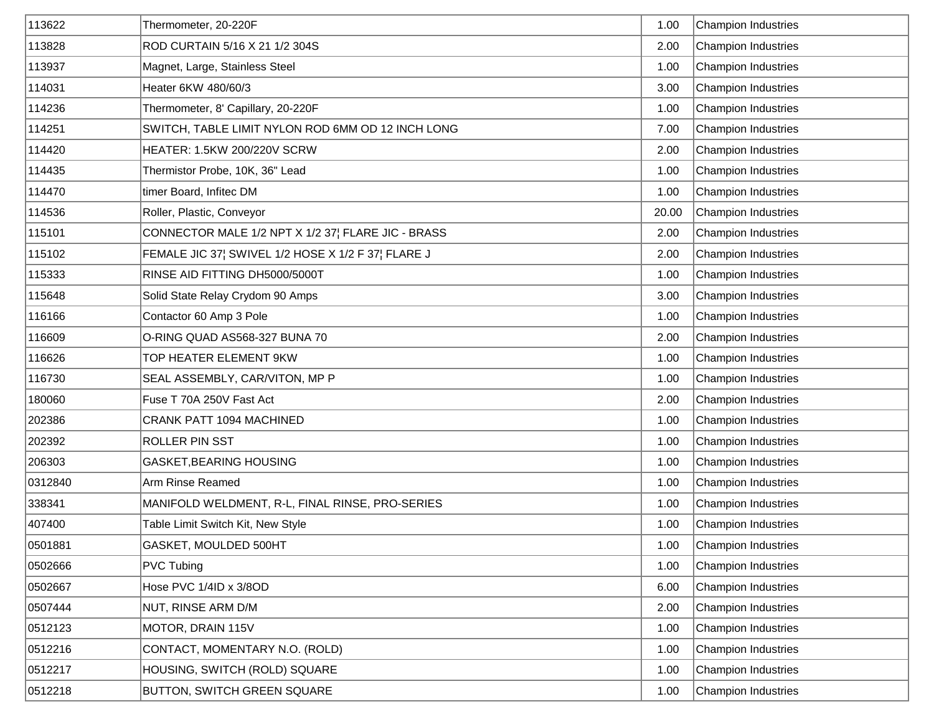| 113622  | Thermometer, 20-220F                               | 1.00  | <b>Champion Industries</b> |
|---------|----------------------------------------------------|-------|----------------------------|
| 113828  | ROD CURTAIN 5/16 X 21 1/2 304S                     | 2.00  | <b>Champion Industries</b> |
| 113937  | Magnet, Large, Stainless Steel                     | 1.00  | <b>Champion Industries</b> |
| 114031  | Heater 6KW 480/60/3                                | 3.00  | <b>Champion Industries</b> |
| 114236  | Thermometer, 8' Capillary, 20-220F                 | 1.00  | <b>Champion Industries</b> |
| 114251  | SWITCH, TABLE LIMIT NYLON ROD 6MM OD 12 INCH LONG  | 7.00  | <b>Champion Industries</b> |
| 114420  | HEATER: 1.5KW 200/220V SCRW                        | 2.00  | <b>Champion Industries</b> |
| 114435  | Thermistor Probe, 10K, 36" Lead                    | 1.00  | <b>Champion Industries</b> |
| 114470  | timer Board, Infitec DM                            | 1.00  | <b>Champion Industries</b> |
| 114536  | Roller, Plastic, Conveyor                          | 20.00 | <b>Champion Industries</b> |
| 115101  | CONNECTOR MALE 1/2 NPT X 1/2 37¦ FLARE JIC - BRASS | 2.00  | <b>Champion Industries</b> |
| 115102  | FEMALE JIC 37¦ SWIVEL 1/2 HOSE X 1/2 F 37¦ FLARE J | 2.00  | <b>Champion Industries</b> |
| 115333  | RINSE AID FITTING DH5000/5000T                     | 1.00  | <b>Champion Industries</b> |
| 115648  | Solid State Relay Crydom 90 Amps                   | 3.00  | <b>Champion Industries</b> |
| 116166  | Contactor 60 Amp 3 Pole                            | 1.00  | <b>Champion Industries</b> |
| 116609  | O-RING QUAD AS568-327 BUNA 70                      | 2.00  | <b>Champion Industries</b> |
| 116626  | TOP HEATER ELEMENT 9KW                             | 1.00  | <b>Champion Industries</b> |
| 116730  | SEAL ASSEMBLY, CAR/VITON, MP P                     | 1.00  | <b>Champion Industries</b> |
| 180060  | Fuse T 70A 250V Fast Act                           | 2.00  | <b>Champion Industries</b> |
| 202386  | CRANK PATT 1094 MACHINED                           | 1.00  | <b>Champion Industries</b> |
| 202392  | ROLLER PIN SST                                     | 1.00  | <b>Champion Industries</b> |
| 206303  | GASKET, BEARING HOUSING                            | 1.00  | <b>Champion Industries</b> |
| 0312840 | Arm Rinse Reamed                                   | 1.00  | <b>Champion Industries</b> |
| 338341  | MANIFOLD WELDMENT, R-L, FINAL RINSE, PRO-SERIES    | 1.00  | Champion Industries        |
| 407400  | Table Limit Switch Kit, New Style                  | 1.00  | <b>Champion Industries</b> |
| 0501881 | GASKET, MOULDED 500HT                              | 1.00  | Champion Industries        |
| 0502666 | PVC Tubing                                         | 1.00  | <b>Champion Industries</b> |
| 0502667 | Hose PVC 1/4ID x 3/8OD                             | 6.00  | <b>Champion Industries</b> |
| 0507444 | NUT, RINSE ARM D/M                                 | 2.00  | <b>Champion Industries</b> |
| 0512123 | MOTOR, DRAIN 115V                                  | 1.00  | <b>Champion Industries</b> |
| 0512216 | CONTACT, MOMENTARY N.O. (ROLD)                     | 1.00  | <b>Champion Industries</b> |
| 0512217 | HOUSING, SWITCH (ROLD) SQUARE                      | 1.00  | <b>Champion Industries</b> |
| 0512218 | BUTTON, SWITCH GREEN SQUARE                        | 1.00  | <b>Champion Industries</b> |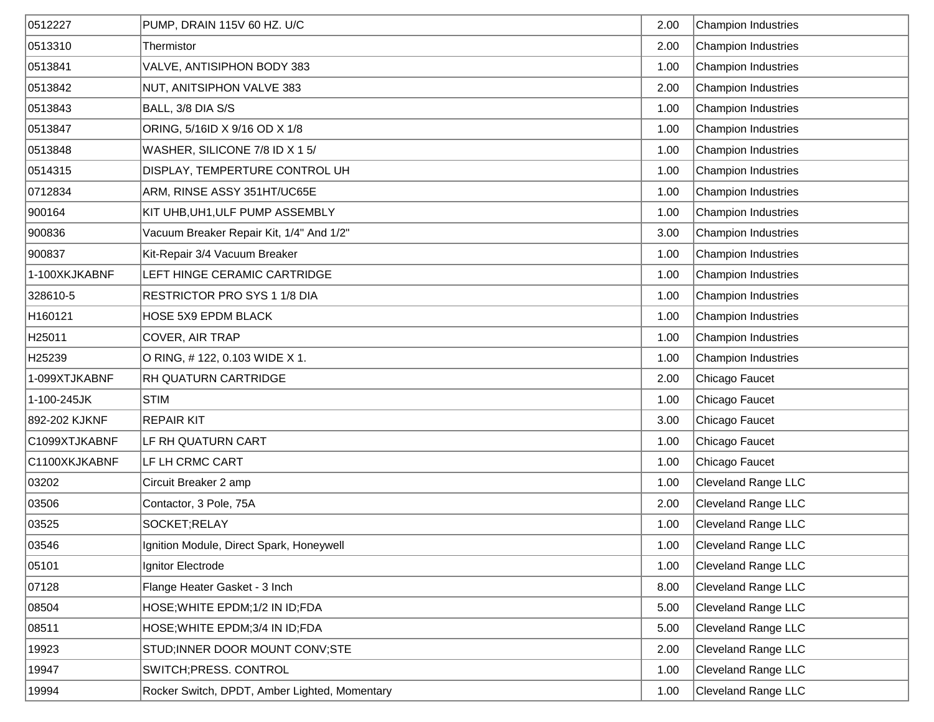| 0512227            | PUMP, DRAIN 115V 60 HZ. U/C                   | 2.00 | <b>Champion Industries</b> |
|--------------------|-----------------------------------------------|------|----------------------------|
| 0513310            | Thermistor                                    | 2.00 | <b>Champion Industries</b> |
| 0513841            | VALVE, ANTISIPHON BODY 383                    | 1.00 | <b>Champion Industries</b> |
| 0513842            | NUT, ANITSIPHON VALVE 383                     | 2.00 | <b>Champion Industries</b> |
| 0513843            | BALL, 3/8 DIA S/S                             | 1.00 | <b>Champion Industries</b> |
| 0513847            | ORING, 5/16ID X 9/16 OD X 1/8                 | 1.00 | <b>Champion Industries</b> |
| 0513848            | WASHER, SILICONE 7/8 ID X 1 5/                | 1.00 | <b>Champion Industries</b> |
| 0514315            | DISPLAY, TEMPERTURE CONTROL UH                | 1.00 | <b>Champion Industries</b> |
| 0712834            | ARM, RINSE ASSY 351HT/UC65E                   | 1.00 | <b>Champion Industries</b> |
| 900164             | KIT UHB, UH1, ULF PUMP ASSEMBLY               | 1.00 | <b>Champion Industries</b> |
| 900836             | Vacuum Breaker Repair Kit, 1/4" And 1/2"      | 3.00 | <b>Champion Industries</b> |
| 900837             | Kit-Repair 3/4 Vacuum Breaker                 | 1.00 | <b>Champion Industries</b> |
| 1-100XKJKABNF      | LEFT HINGE CERAMIC CARTRIDGE                  | 1.00 | <b>Champion Industries</b> |
| 328610-5           | RESTRICTOR PRO SYS 1 1/8 DIA                  | 1.00 | <b>Champion Industries</b> |
| H160121            | HOSE 5X9 EPDM BLACK                           | 1.00 | <b>Champion Industries</b> |
| H <sub>25011</sub> | COVER, AIR TRAP                               | 1.00 | <b>Champion Industries</b> |
| H25239             | O RING, #122, 0.103 WIDE X 1.                 | 1.00 | <b>Champion Industries</b> |
| 1-099XTJKABNF      | <b>RH QUATURN CARTRIDGE</b>                   | 2.00 | Chicago Faucet             |
| 1-100-245JK        | <b>STIM</b>                                   | 1.00 | Chicago Faucet             |
| 892-202 KJKNF      | <b>REPAIR KIT</b>                             | 3.00 | Chicago Faucet             |
| C1099XTJKABNF      | LF RH QUATURN CART                            | 1.00 | Chicago Faucet             |
| C1100XKJKABNF      | LF LH CRMC CART                               | 1.00 | Chicago Faucet             |
| 03202              | Circuit Breaker 2 amp                         | 1.00 | Cleveland Range LLC        |
| 03506              | Contactor, 3 Pole, 75A                        | 2.00 | Cleveland Range LLC        |
| 03525              | SOCKET;RELAY                                  | 1.00 | <b>Cleveland Range LLC</b> |
| 03546              | Ignition Module, Direct Spark, Honeywell      | 1.00 | Cleveland Range LLC        |
| 05101              | Ignitor Electrode                             | 1.00 | Cleveland Range LLC        |
| 07128              | Flange Heater Gasket - 3 Inch                 | 8.00 | Cleveland Range LLC        |
| 08504              | HOSE; WHITE EPDM; 1/2 IN ID; FDA              | 5.00 | Cleveland Range LLC        |
| 08511              | HOSE; WHITE EPDM; 3/4 IN ID; FDA              | 5.00 | Cleveland Range LLC        |
| 19923              | STUD; INNER DOOR MOUNT CONV; STE              | 2.00 | Cleveland Range LLC        |
| 19947              | SWITCH; PRESS. CONTROL                        | 1.00 | Cleveland Range LLC        |
| 19994              | Rocker Switch, DPDT, Amber Lighted, Momentary | 1.00 | Cleveland Range LLC        |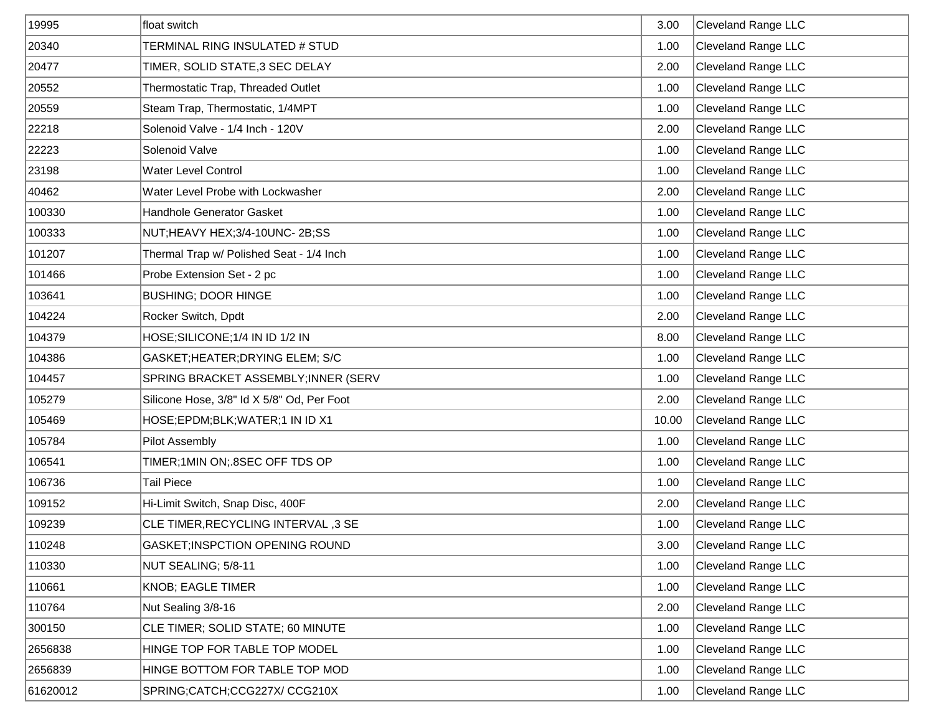| 19995    | float switch                               | 3.00  | <b>Cleveland Range LLC</b> |
|----------|--------------------------------------------|-------|----------------------------|
| 20340    | TERMINAL RING INSULATED # STUD             | 1.00  | <b>Cleveland Range LLC</b> |
| 20477    | TIMER, SOLID STATE, 3 SEC DELAY            | 2.00  | <b>Cleveland Range LLC</b> |
| 20552    | Thermostatic Trap, Threaded Outlet         | 1.00  | <b>Cleveland Range LLC</b> |
| 20559    | Steam Trap, Thermostatic, 1/4MPT           | 1.00  | <b>Cleveland Range LLC</b> |
| 22218    | Solenoid Valve - 1/4 Inch - 120V           | 2.00  | <b>Cleveland Range LLC</b> |
| 22223    | Solenoid Valve                             | 1.00  | Cleveland Range LLC        |
| 23198    | <b>Water Level Control</b>                 | 1.00  | <b>Cleveland Range LLC</b> |
| 40462    | Water Level Probe with Lockwasher          | 2.00  | <b>Cleveland Range LLC</b> |
| 100330   | Handhole Generator Gasket                  | 1.00  | <b>Cleveland Range LLC</b> |
| 100333   | NUT;HEAVY HEX;3/4-10UNC-2B;SS              | 1.00  | <b>Cleveland Range LLC</b> |
| 101207   | Thermal Trap w/ Polished Seat - 1/4 Inch   | 1.00  | <b>Cleveland Range LLC</b> |
| 101466   | Probe Extension Set - 2 pc                 | 1.00  | <b>Cleveland Range LLC</b> |
| 103641   | <b>BUSHING; DOOR HINGE</b>                 | 1.00  | <b>Cleveland Range LLC</b> |
| 104224   | Rocker Switch, Dpdt                        | 2.00  | <b>Cleveland Range LLC</b> |
| 104379   | HOSE; SILICONE; 1/4 IN ID 1/2 IN           | 8.00  | <b>Cleveland Range LLC</b> |
| 104386   | GASKET; HEATER; DRYING ELEM; S/C           | 1.00  | <b>Cleveland Range LLC</b> |
| 104457   | SPRING BRACKET ASSEMBLY; INNER (SERV       | 1.00  | <b>Cleveland Range LLC</b> |
| 105279   | Silicone Hose, 3/8" Id X 5/8" Od, Per Foot | 2.00  | <b>Cleveland Range LLC</b> |
| 105469   | HOSE;EPDM;BLK;WATER;1 IN ID X1             | 10.00 | Cleveland Range LLC        |
| 105784   | Pilot Assembly                             | 1.00  | <b>Cleveland Range LLC</b> |
| 106541   | TIMER;1MIN ON; 8SEC OFF TDS OP             | 1.00  | <b>Cleveland Range LLC</b> |
| 106736   | <b>Tail Piece</b>                          | 1.00  | <b>Cleveland Range LLC</b> |
| 109152   | Hi-Limit Switch, Snap Disc, 400F           | 2.00  | <b>Cleveland Range LLC</b> |
| 109239   | CLE TIMER, RECYCLING INTERVAL, 3 SE        | 1.00  | <b>Cleveland Range LLC</b> |
| 110248   | GASKET; INSPCTION OPENING ROUND            | 3.00  | Cleveland Range LLC        |
| 110330   | NUT SEALING; 5/8-11                        | 1.00  | <b>Cleveland Range LLC</b> |
| 110661   | <b>KNOB; EAGLE TIMER</b>                   | 1.00  | <b>Cleveland Range LLC</b> |
| 110764   | Nut Sealing 3/8-16                         | 2.00  | <b>Cleveland Range LLC</b> |
| 300150   | CLE TIMER; SOLID STATE; 60 MINUTE          | 1.00  | <b>Cleveland Range LLC</b> |
| 2656838  | HINGE TOP FOR TABLE TOP MODEL              | 1.00  | <b>Cleveland Range LLC</b> |
| 2656839  | HINGE BOTTOM FOR TABLE TOP MOD             | 1.00  | <b>Cleveland Range LLC</b> |
| 61620012 | SPRING;CATCH;CCG227X/CCG210X               | 1.00  | Cleveland Range LLC        |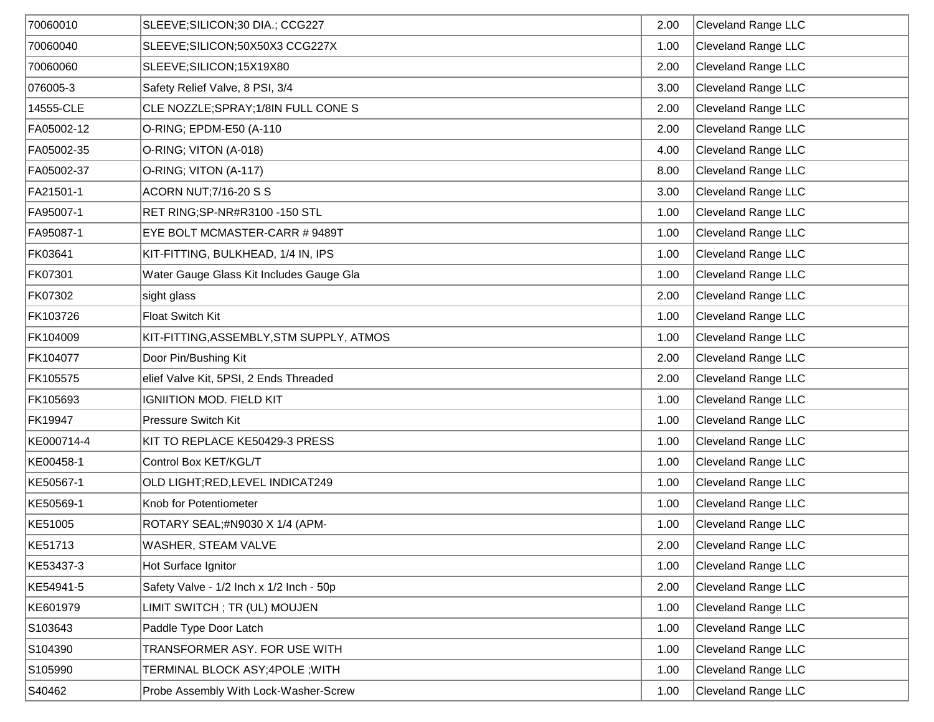| 70060010   | SLEEVE; SILICON; 30 DIA.; CCG227         | 2.00 | <b>Cleveland Range LLC</b> |
|------------|------------------------------------------|------|----------------------------|
| 70060040   | SLEEVE; SILICON; 50X50X3 CCG227X         | 1.00 | <b>Cleveland Range LLC</b> |
| 70060060   | SLEEVE; SILICON; 15X19X80                | 2.00 | <b>Cleveland Range LLC</b> |
| 076005-3   | Safety Relief Valve, 8 PSI, 3/4          | 3.00 | <b>Cleveland Range LLC</b> |
| 14555-CLE  | CLE NOZZLE; SPRAY; 1/8IN FULL CONE S     | 2.00 | <b>Cleveland Range LLC</b> |
| FA05002-12 | O-RING; EPDM-E50 (A-110                  | 2.00 | <b>Cleveland Range LLC</b> |
| FA05002-35 | O-RING; VITON (A-018)                    | 4.00 | <b>Cleveland Range LLC</b> |
| FA05002-37 | O-RING; VITON (A-117)                    | 8.00 | <b>Cleveland Range LLC</b> |
| FA21501-1  | <b>ACORN NUT; 7/16-20 S S</b>            | 3.00 | <b>Cleveland Range LLC</b> |
| FA95007-1  | RET RING;SP-NR#R3100 -150 STL            | 1.00 | <b>Cleveland Range LLC</b> |
| FA95087-1  | EYE BOLT MCMASTER-CARR #9489T            | 1.00 | <b>Cleveland Range LLC</b> |
| FK03641    | KIT-FITTING, BULKHEAD, 1/4 IN, IPS       | 1.00 | <b>Cleveland Range LLC</b> |
| FK07301    | Water Gauge Glass Kit Includes Gauge Gla | 1.00 | <b>Cleveland Range LLC</b> |
| FK07302    | sight glass                              | 2.00 | <b>Cleveland Range LLC</b> |
| FK103726   | <b>Float Switch Kit</b>                  | 1.00 | <b>Cleveland Range LLC</b> |
| FK104009   | KIT-FITTING, ASSEMBLY, STM SUPPLY, ATMOS | 1.00 | <b>Cleveland Range LLC</b> |
| FK104077   | Door Pin/Bushing Kit                     | 2.00 | <b>Cleveland Range LLC</b> |
| FK105575   | elief Valve Kit, 5PSI, 2 Ends Threaded   | 2.00 | <b>Cleveland Range LLC</b> |
| FK105693   | <b>IGNIITION MOD. FIELD KIT</b>          | 1.00 | <b>Cleveland Range LLC</b> |
| FK19947    | <b>Pressure Switch Kit</b>               | 1.00 | <b>Cleveland Range LLC</b> |
| KE000714-4 | KIT TO REPLACE KE50429-3 PRESS           | 1.00 | <b>Cleveland Range LLC</b> |
| KE00458-1  | Control Box KET/KGL/T                    | 1.00 | <b>Cleveland Range LLC</b> |
| KE50567-1  | OLD LIGHT; RED, LEVEL INDICAT249         | 1.00 | <b>Cleveland Range LLC</b> |
| KE50569-1  | Knob for Potentiometer                   | 1.00 | <b>Cleveland Range LLC</b> |
| KE51005    | ROTARY SEAL;#N9030 X 1/4 (APM-           | 1.00 | <b>Cleveland Range LLC</b> |
| KE51713    | WASHER, STEAM VALVE                      | 2.00 | <b>Cleveland Range LLC</b> |
| KE53437-3  | Hot Surface Ignitor                      | 1.00 | <b>Cleveland Range LLC</b> |
| KE54941-5  | Safety Valve - 1/2 Inch x 1/2 Inch - 50p | 2.00 | <b>Cleveland Range LLC</b> |
| KE601979   | LIMIT SWITCH; TR (UL) MOUJEN             | 1.00 | <b>Cleveland Range LLC</b> |
| S103643    | Paddle Type Door Latch                   | 1.00 | <b>Cleveland Range LLC</b> |
| S104390    | TRANSFORMER ASY. FOR USE WITH            | 1.00 | <b>Cleveland Range LLC</b> |
| S105990    | TERMINAL BLOCK ASY;4POLE ;WITH           | 1.00 | <b>Cleveland Range LLC</b> |
| S40462     | Probe Assembly With Lock-Washer-Screw    | 1.00 | Cleveland Range LLC        |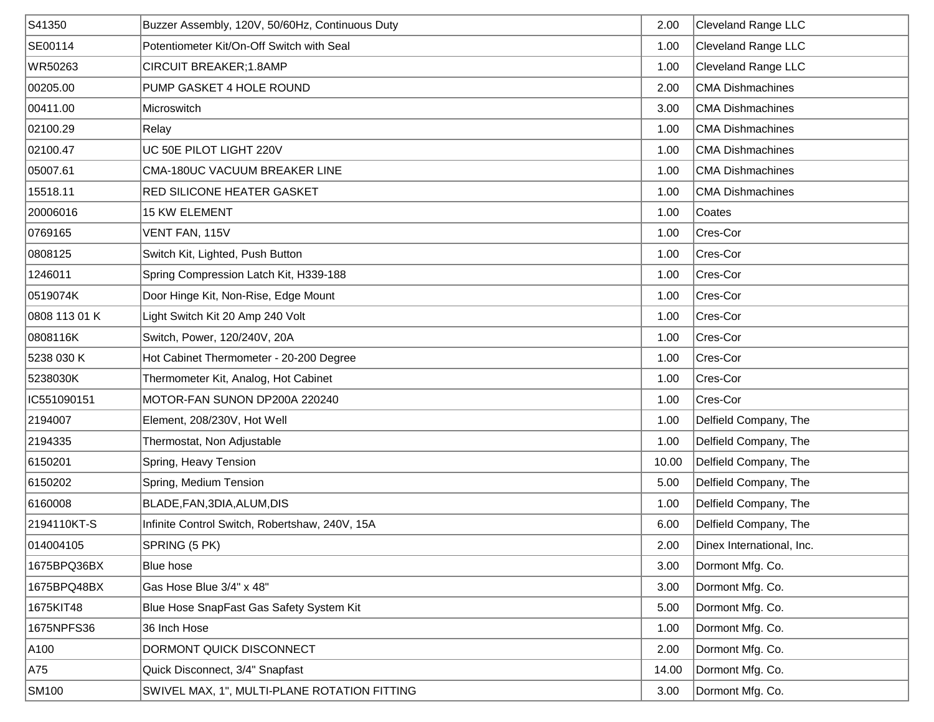| S41350        | Buzzer Assembly, 120V, 50/60Hz, Continuous Duty | 2.00  | <b>Cleveland Range LLC</b> |
|---------------|-------------------------------------------------|-------|----------------------------|
| SE00114       | Potentiometer Kit/On-Off Switch with Seal       | 1.00  | <b>Cleveland Range LLC</b> |
| WR50263       | CIRCUIT BREAKER;1.8AMP                          | 1.00  | <b>Cleveland Range LLC</b> |
| 00205.00      | PUMP GASKET 4 HOLE ROUND                        | 2.00  | <b>CMA Dishmachines</b>    |
| 00411.00      | Microswitch                                     | 3.00  | <b>CMA Dishmachines</b>    |
| 02100.29      | Relay                                           | 1.00  | <b>CMA Dishmachines</b>    |
| 02100.47      | UC 50E PILOT LIGHT 220V                         | 1.00  | <b>CMA Dishmachines</b>    |
| 05007.61      | CMA-180UC VACUUM BREAKER LINE                   | 1.00  | <b>CMA Dishmachines</b>    |
| 15518.11      | <b>RED SILICONE HEATER GASKET</b>               | 1.00  | <b>CMA Dishmachines</b>    |
| 20006016      | <b>15 KW ELEMENT</b>                            | 1.00  | Coates                     |
| 0769165       | VENT FAN, 115V                                  | 1.00  | Cres-Cor                   |
| 0808125       | Switch Kit, Lighted, Push Button                | 1.00  | Cres-Cor                   |
| 1246011       | Spring Compression Latch Kit, H339-188          | 1.00  | Cres-Cor                   |
| 0519074K      | Door Hinge Kit, Non-Rise, Edge Mount            | 1.00  | Cres-Cor                   |
| 0808 113 01 K | Light Switch Kit 20 Amp 240 Volt                | 1.00  | Cres-Cor                   |
| 0808116K      | Switch, Power, 120/240V, 20A                    | 1.00  | Cres-Cor                   |
| 5238 030 K    | Hot Cabinet Thermometer - 20-200 Degree         | 1.00  | Cres-Cor                   |
| 5238030K      | Thermometer Kit, Analog, Hot Cabinet            | 1.00  | Cres-Cor                   |
| IC551090151   | MOTOR-FAN SUNON DP200A 220240                   | 1.00  | Cres-Cor                   |
| 2194007       | Element, 208/230V, Hot Well                     | 1.00  | Delfield Company, The      |
| 2194335       | Thermostat, Non Adjustable                      | 1.00  | Delfield Company, The      |
| 6150201       | Spring, Heavy Tension                           | 10.00 | Delfield Company, The      |
| 6150202       | Spring, Medium Tension                          | 5.00  | Delfield Company, The      |
| 6160008       | BLADE, FAN, 3DIA, ALUM, DIS                     | 1.00  | Delfield Company, The      |
| 2194110KT-S   | Infinite Control Switch, Robertshaw, 240V, 15A  | 6.00  | Delfield Company, The      |
| 014004105     | SPRING (5 PK)                                   | 2.00  | Dinex International, Inc.  |
| 1675BPQ36BX   | Blue hose                                       | 3.00  | Dormont Mfg. Co.           |
| 1675BPQ48BX   | Gas Hose Blue 3/4" x 48"                        | 3.00  | Dormont Mfg. Co.           |
| 1675KIT48     | Blue Hose SnapFast Gas Safety System Kit        | 5.00  | Dormont Mfg. Co.           |
| 1675NPFS36    | 36 Inch Hose                                    | 1.00  | Dormont Mfg. Co.           |
| A100          | DORMONT QUICK DISCONNECT                        | 2.00  | Dormont Mfg. Co.           |
| A75           | Quick Disconnect, 3/4" Snapfast                 | 14.00 | Dormont Mfg. Co.           |
| <b>SM100</b>  | SWIVEL MAX, 1", MULTI-PLANE ROTATION FITTING    | 3.00  | Dormont Mfg. Co.           |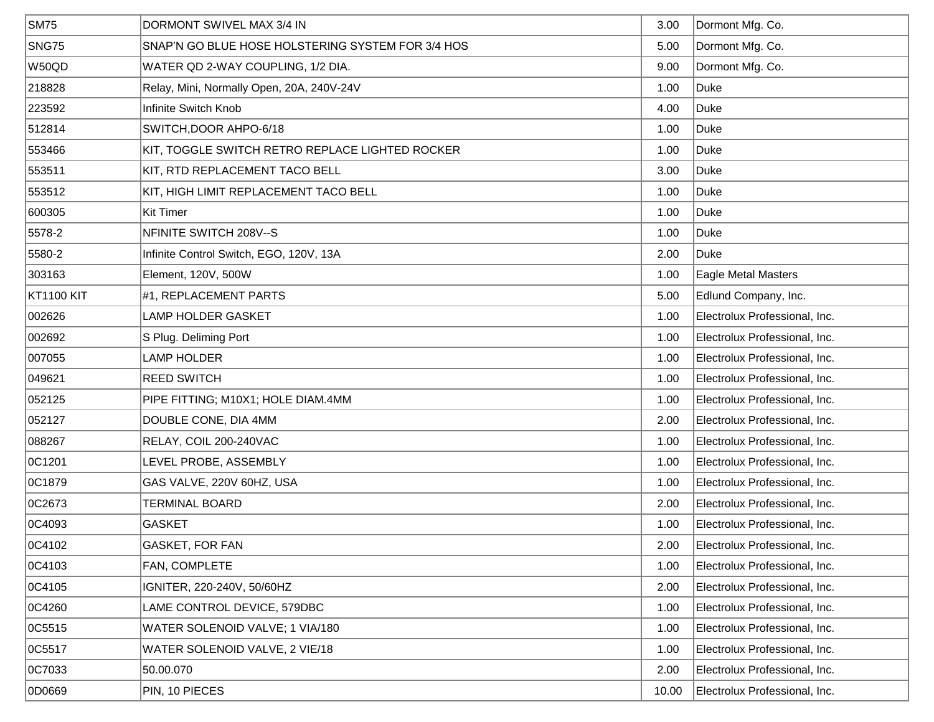| <b>SM75</b> | DORMONT SWIVEL MAX 3/4 IN                         | 3.00  | Dormont Mfg. Co.              |
|-------------|---------------------------------------------------|-------|-------------------------------|
| SNG75       | SNAP'N GO BLUE HOSE HOLSTERING SYSTEM FOR 3/4 HOS | 5.00  | Dormont Mfg. Co.              |
| W50QD       | WATER QD 2-WAY COUPLING, 1/2 DIA.                 | 9.00  | Dormont Mfg. Co.              |
| 218828      | Relay, Mini, Normally Open, 20A, 240V-24V         | 1.00  | Duke                          |
| 223592      | Infinite Switch Knob                              | 4.00  | Duke                          |
| 512814      | SWITCH, DOOR AHPO-6/18                            | 1.00  | Duke                          |
| 553466      | KIT, TOGGLE SWITCH RETRO REPLACE LIGHTED ROCKER   | 1.00  | Duke                          |
| 553511      | KIT, RTD REPLACEMENT TACO BELL                    | 3.00  | Duke                          |
| 553512      | KIT, HIGH LIMIT REPLACEMENT TACO BELL             | 1.00  | Duke                          |
| 600305      | <b>Kit Timer</b>                                  | 1.00  | Duke                          |
| 5578-2      | NFINITE SWITCH 208V--S                            | 1.00  | <b>Duke</b>                   |
| 5580-2      | Infinite Control Switch, EGO, 120V, 13A           | 2.00  | Duke                          |
| 303163      | Element, 120V, 500W                               | 1.00  | Eagle Metal Masters           |
| KT1100 KIT  | #1, REPLACEMENT PARTS                             | 5.00  | Edlund Company, Inc.          |
| 002626      | <b>LAMP HOLDER GASKET</b>                         | 1.00  | Electrolux Professional, Inc. |
| 002692      | S Plug. Deliming Port                             | 1.00  | Electrolux Professional, Inc. |
| 007055      | <b>LAMP HOLDER</b>                                | 1.00  | Electrolux Professional, Inc. |
| 049621      | <b>REED SWITCH</b>                                | 1.00  | Electrolux Professional, Inc. |
| 052125      | PIPE FITTING; M10X1; HOLE DIAM.4MM                | 1.00  | Electrolux Professional, Inc. |
| 052127      | DOUBLE CONE, DIA 4MM                              | 2.00  | Electrolux Professional, Inc. |
| 088267      | RELAY, COIL 200-240VAC                            | 1.00  | Electrolux Professional, Inc. |
| OC1201      | LEVEL PROBE, ASSEMBLY                             | 1.00  | Electrolux Professional, Inc. |
| OC1879      | GAS VALVE, 220V 60HZ, USA                         | 1.00  | Electrolux Professional, Inc. |
| OC2673      | <b>TERMINAL BOARD</b>                             | 2.00  | Electrolux Professional, Inc. |
| OC4093      | <b>GASKET</b>                                     | 1.00  | Electrolux Professional, Inc. |
| OC4102      | GASKET, FOR FAN                                   | 2.00  | Electrolux Professional, Inc. |
| OC4103      | FAN, COMPLETE                                     | 1.00  | Electrolux Professional, Inc. |
| OC4105      | IGNITER, 220-240V, 50/60HZ                        | 2.00  | Electrolux Professional, Inc. |
| 0C4260      | LAME CONTROL DEVICE, 579DBC                       | 1.00  | Electrolux Professional, Inc. |
| OC5515      | WATER SOLENOID VALVE; 1 VIA/180                   | 1.00  | Electrolux Professional, Inc. |
| OC5517      | WATER SOLENOID VALVE, 2 VIE/18                    | 1.00  | Electrolux Professional, Inc. |
| OC7033      | 50.00.070                                         | 2.00  | Electrolux Professional, Inc. |
| 0D0669      | PIN, 10 PIECES                                    | 10.00 | Electrolux Professional, Inc. |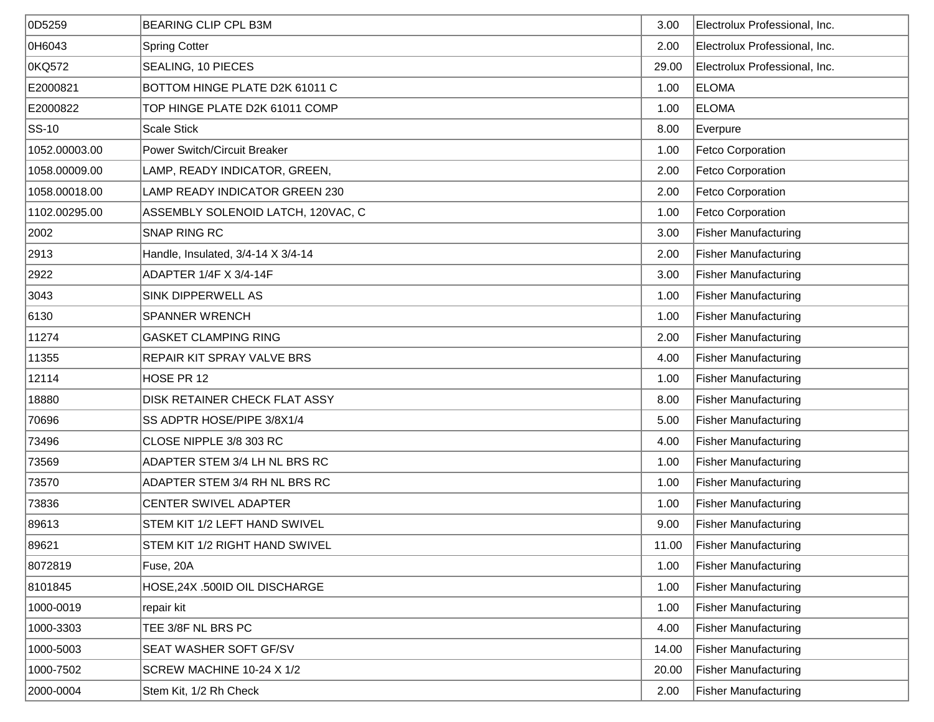| 0D5259        | <b>BEARING CLIP CPL B3M</b>         | 3.00  | Electrolux Professional, Inc. |
|---------------|-------------------------------------|-------|-------------------------------|
| OH6043        | <b>Spring Cotter</b>                | 2.00  | Electrolux Professional, Inc. |
| OKQ572        | SEALING, 10 PIECES                  | 29.00 | Electrolux Professional, Inc. |
| E2000821      | BOTTOM HINGE PLATE D2K 61011 C      | 1.00  | <b>ELOMA</b>                  |
| E2000822      | TOP HINGE PLATE D2K 61011 COMP      | 1.00  | <b>ELOMA</b>                  |
| $ SS-10 $     | <b>Scale Stick</b>                  | 8.00  | Everpure                      |
| 1052.00003.00 | <b>Power Switch/Circuit Breaker</b> | 1.00  | Fetco Corporation             |
| 1058.00009.00 | LAMP, READY INDICATOR, GREEN,       | 2.00  | <b>Fetco Corporation</b>      |
| 1058.00018.00 | LAMP READY INDICATOR GREEN 230      | 2.00  | <b>Fetco Corporation</b>      |
| 1102.00295.00 | ASSEMBLY SOLENOID LATCH, 120VAC, C  | 1.00  | <b>Fetco Corporation</b>      |
| 2002          | SNAP RING RC                        | 3.00  | <b>Fisher Manufacturing</b>   |
| 2913          | Handle, Insulated, 3/4-14 X 3/4-14  | 2.00  | <b>Fisher Manufacturing</b>   |
| 2922          | ADAPTER 1/4F X 3/4-14F              | 3.00  | <b>Fisher Manufacturing</b>   |
| 3043          | <b>SINK DIPPERWELL AS</b>           | 1.00  | <b>Fisher Manufacturing</b>   |
| 6130          | <b>SPANNER WRENCH</b>               | 1.00  | <b>Fisher Manufacturing</b>   |
| 11274         | <b>GASKET CLAMPING RING</b>         | 2.00  | <b>Fisher Manufacturing</b>   |
| 11355         | REPAIR KIT SPRAY VALVE BRS          | 4.00  | <b>Fisher Manufacturing</b>   |
| 12114         | HOSE PR 12                          | 1.00  | <b>Fisher Manufacturing</b>   |
| 18880         | DISK RETAINER CHECK FLAT ASSY       | 8.00  | <b>Fisher Manufacturing</b>   |
| 70696         | SS ADPTR HOSE/PIPE 3/8X1/4          | 5.00  | <b>Fisher Manufacturing</b>   |
| 73496         | CLOSE NIPPLE 3/8 303 RC             | 4.00  | <b>Fisher Manufacturing</b>   |
| 73569         | ADAPTER STEM 3/4 LH NL BRS RC       | 1.00  | <b>Fisher Manufacturing</b>   |
| 73570         | ADAPTER STEM 3/4 RH NL BRS RC       | 1.00  | <b>Fisher Manufacturing</b>   |
| 73836         | CENTER SWIVEL ADAPTER               | 1.00  | <b>Fisher Manufacturing</b>   |
| 89613         | STEM KIT 1/2 LEFT HAND SWIVEL       | 9.00  | <b>Fisher Manufacturing</b>   |
| 89621         | STEM KIT 1/2 RIGHT HAND SWIVEL      | 11.00 | <b>Fisher Manufacturing</b>   |
| 8072819       | Fuse, 20A                           | 1.00  | <b>Fisher Manufacturing</b>   |
| 8101845       | HOSE, 24X .500ID OIL DISCHARGE      | 1.00  | <b>Fisher Manufacturing</b>   |
| 1000-0019     | repair kit                          | 1.00  | <b>Fisher Manufacturing</b>   |
| 1000-3303     | TEE 3/8F NL BRS PC                  | 4.00  | <b>Fisher Manufacturing</b>   |
| 1000-5003     | SEAT WASHER SOFT GF/SV              | 14.00 | <b>Fisher Manufacturing</b>   |
| 1000-7502     | SCREW MACHINE 10-24 X 1/2           | 20.00 | <b>Fisher Manufacturing</b>   |
| 2000-0004     | Stem Kit, 1/2 Rh Check              | 2.00  | <b>Fisher Manufacturing</b>   |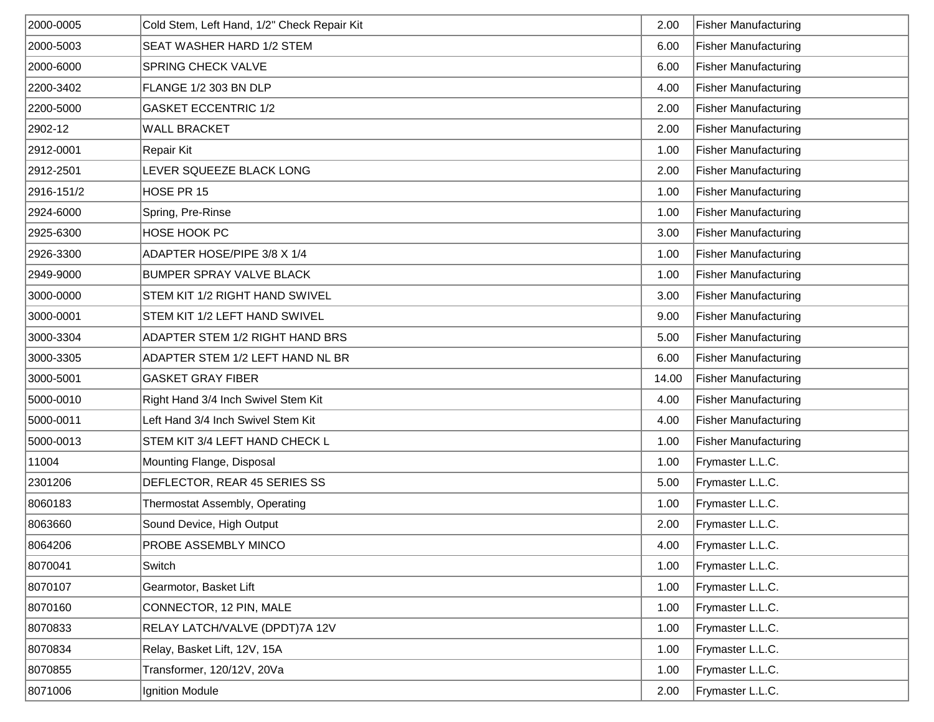| 2000-0005  | Cold Stem, Left Hand, 1/2" Check Repair Kit | 2.00  | <b>Fisher Manufacturing</b> |
|------------|---------------------------------------------|-------|-----------------------------|
| 2000-5003  | SEAT WASHER HARD 1/2 STEM                   | 6.00  | <b>Fisher Manufacturing</b> |
| 2000-6000  | SPRING CHECK VALVE                          | 6.00  | <b>Fisher Manufacturing</b> |
| 2200-3402  | FLANGE 1/2 303 BN DLP                       | 4.00  | <b>Fisher Manufacturing</b> |
| 2200-5000  | <b>GASKET ECCENTRIC 1/2</b>                 | 2.00  | <b>Fisher Manufacturing</b> |
| 2902-12    | <b>WALL BRACKET</b>                         | 2.00  | <b>Fisher Manufacturing</b> |
| 2912-0001  | <b>Repair Kit</b>                           | 1.00  | <b>Fisher Manufacturing</b> |
| 2912-2501  | LEVER SQUEEZE BLACK LONG                    | 2.00  | <b>Fisher Manufacturing</b> |
| 2916-151/2 | HOSE PR 15                                  | 1.00  | <b>Fisher Manufacturing</b> |
| 2924-6000  | Spring, Pre-Rinse                           | 1.00  | <b>Fisher Manufacturing</b> |
| 2925-6300  | HOSE HOOK PC                                | 3.00  | <b>Fisher Manufacturing</b> |
| 2926-3300  | ADAPTER HOSE/PIPE 3/8 X 1/4                 | 1.00  | <b>Fisher Manufacturing</b> |
| 2949-9000  | <b>BUMPER SPRAY VALVE BLACK</b>             | 1.00  | <b>Fisher Manufacturing</b> |
| 3000-0000  | STEM KIT 1/2 RIGHT HAND SWIVEL              | 3.00  | <b>Fisher Manufacturing</b> |
| 3000-0001  | STEM KIT 1/2 LEFT HAND SWIVEL               | 9.00  | <b>Fisher Manufacturing</b> |
| 3000-3304  | ADAPTER STEM 1/2 RIGHT HAND BRS             | 5.00  | <b>Fisher Manufacturing</b> |
| 3000-3305  | ADAPTER STEM 1/2 LEFT HAND NL BR            | 6.00  | <b>Fisher Manufacturing</b> |
| 3000-5001  | <b>GASKET GRAY FIBER</b>                    | 14.00 | Fisher Manufacturing        |
| 5000-0010  | Right Hand 3/4 Inch Swivel Stem Kit         | 4.00  | <b>Fisher Manufacturing</b> |
| 5000-0011  | Left Hand 3/4 Inch Swivel Stem Kit          | 4.00  | <b>Fisher Manufacturing</b> |
| 5000-0013  | STEM KIT 3/4 LEFT HAND CHECK L              | 1.00  | <b>Fisher Manufacturing</b> |
| 11004      | Mounting Flange, Disposal                   | 1.00  | Frymaster L.L.C.            |
| 2301206    | DEFLECTOR, REAR 45 SERIES SS                | 5.00  | Frymaster L.L.C.            |
| 8060183    | Thermostat Assembly, Operating              | 1.00  | Frymaster L.L.C.            |
| 8063660    | Sound Device, High Output                   | 2.00  | Frymaster L.L.C.            |
| 8064206    | PROBE ASSEMBLY MINCO                        | 4.00  | Frymaster L.L.C.            |
| 8070041    | Switch                                      | 1.00  | Frymaster L.L.C.            |
| 8070107    | Gearmotor, Basket Lift                      | 1.00  | Frymaster L.L.C.            |
| 8070160    | CONNECTOR, 12 PIN, MALE                     | 1.00  | Frymaster L.L.C.            |
| 8070833    | RELAY LATCH/VALVE (DPDT)7A 12V              | 1.00  | Frymaster L.L.C.            |
| 8070834    | Relay, Basket Lift, 12V, 15A                | 1.00  | Frymaster L.L.C.            |
| 8070855    | Transformer, 120/12V, 20Va                  | 1.00  | Frymaster L.L.C.            |
| 8071006    | Ignition Module                             | 2.00  | Frymaster L.L.C.            |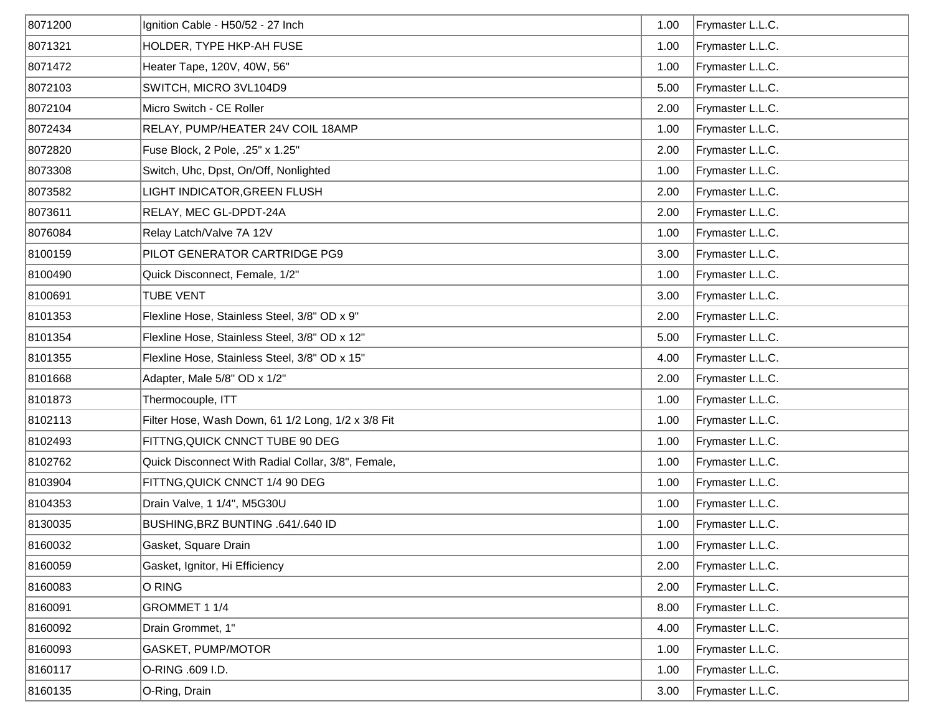| 8071200 | Ignition Cable - H50/52 - 27 Inch                  | 1.00 | Frymaster L.L.C. |
|---------|----------------------------------------------------|------|------------------|
| 8071321 | HOLDER, TYPE HKP-AH FUSE                           | 1.00 | Frymaster L.L.C. |
| 8071472 | Heater Tape, 120V, 40W, 56"                        | 1.00 | Frymaster L.L.C. |
| 8072103 | SWITCH, MICRO 3VL104D9                             | 5.00 | Frymaster L.L.C. |
| 8072104 | Micro Switch - CE Roller                           | 2.00 | Frymaster L.L.C. |
| 8072434 | RELAY, PUMP/HEATER 24V COIL 18AMP                  | 1.00 | Frymaster L.L.C. |
| 8072820 | Fuse Block, 2 Pole, .25" x 1.25"                   | 2.00 | Frymaster L.L.C. |
| 8073308 | Switch, Uhc, Dpst, On/Off, Nonlighted              | 1.00 | Frymaster L.L.C. |
| 8073582 | LIGHT INDICATOR,GREEN FLUSH                        | 2.00 | Frymaster L.L.C. |
| 8073611 | RELAY, MEC GL-DPDT-24A                             | 2.00 | Frymaster L.L.C. |
| 8076084 | Relay Latch/Valve 7A 12V                           | 1.00 | Frymaster L.L.C. |
| 8100159 | PILOT GENERATOR CARTRIDGE PG9                      | 3.00 | Frymaster L.L.C. |
| 8100490 | Quick Disconnect, Female, 1/2"                     | 1.00 | Frymaster L.L.C. |
| 8100691 | <b>TUBE VENT</b>                                   | 3.00 | Frymaster L.L.C. |
| 8101353 | Flexline Hose, Stainless Steel, 3/8" OD x 9"       | 2.00 | Frymaster L.L.C. |
| 8101354 | Flexline Hose, Stainless Steel, 3/8" OD x 12"      | 5.00 | Frymaster L.L.C. |
| 8101355 | Flexline Hose, Stainless Steel, 3/8" OD x 15"      | 4.00 | Frymaster L.L.C. |
| 8101668 | Adapter, Male 5/8" OD x 1/2"                       | 2.00 | Frymaster L.L.C. |
| 8101873 | Thermocouple, ITT                                  | 1.00 | Frymaster L.L.C. |
| 8102113 | Filter Hose, Wash Down, 61 1/2 Long, 1/2 x 3/8 Fit | 1.00 | Frymaster L.L.C. |
| 8102493 | FITTNG, QUICK CNNCT TUBE 90 DEG                    | 1.00 | Frymaster L.L.C. |
| 8102762 | Quick Disconnect With Radial Collar, 3/8", Female, | 1.00 | Frymaster L.L.C. |
| 8103904 | FITTNG, QUICK CNNCT 1/4 90 DEG                     | 1.00 | Frymaster L.L.C. |
| 8104353 | Drain Valve, 1 1/4", M5G30U                        | 1.00 | Frymaster L.L.C. |
| 8130035 | BUSHING, BRZ BUNTING .641/.640 ID                  | 1.00 | Frymaster L.L.C. |
| 8160032 | Gasket, Square Drain                               | 1.00 | Frymaster L.L.C. |
| 8160059 | Gasket, Ignitor, Hi Efficiency                     | 2.00 | Frymaster L.L.C. |
| 8160083 | O RING                                             | 2.00 | Frymaster L.L.C. |
| 8160091 | GROMMET 1 1/4                                      | 8.00 | Frymaster L.L.C. |
| 8160092 | Drain Grommet, 1"                                  | 4.00 | Frymaster L.L.C. |
| 8160093 | GASKET, PUMP/MOTOR                                 | 1.00 | Frymaster L.L.C. |
| 8160117 | O-RING .609 I.D.                                   | 1.00 | Frymaster L.L.C. |
| 8160135 | O-Ring, Drain                                      | 3.00 | Frymaster L.L.C. |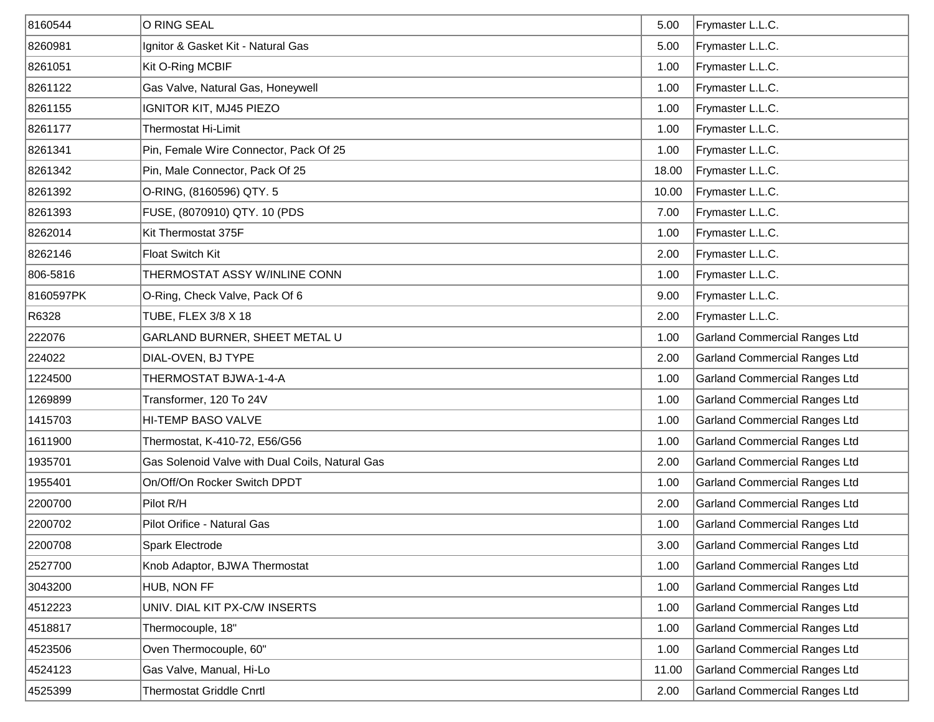| 8160544   | O RING SEAL                                     | 5.00  | Frymaster L.L.C.                     |
|-----------|-------------------------------------------------|-------|--------------------------------------|
| 8260981   | Ignitor & Gasket Kit - Natural Gas              | 5.00  | Frymaster L.L.C.                     |
| 8261051   | Kit O-Ring MCBIF                                | 1.00  | Frymaster L.L.C.                     |
| 8261122   | Gas Valve, Natural Gas, Honeywell               | 1.00  | Frymaster L.L.C.                     |
| 8261155   | IGNITOR KIT, MJ45 PIEZO                         | 1.00  | Frymaster L.L.C.                     |
| 8261177   | <b>Thermostat Hi-Limit</b>                      | 1.00  | Frymaster L.L.C.                     |
| 8261341   | Pin, Female Wire Connector, Pack Of 25          | 1.00  | Frymaster L.L.C.                     |
| 8261342   | Pin, Male Connector, Pack Of 25                 | 18.00 | Frymaster L.L.C.                     |
| 8261392   | O-RING, (8160596) QTY. 5                        | 10.00 | Frymaster L.L.C.                     |
| 8261393   | FUSE, (8070910) QTY. 10 (PDS                    | 7.00  | Frymaster L.L.C.                     |
| 8262014   | Kit Thermostat 375F                             | 1.00  | Frymaster L.L.C.                     |
| 8262146   | <b>Float Switch Kit</b>                         | 2.00  | Frymaster L.L.C.                     |
| 806-5816  | THERMOSTAT ASSY W/INLINE CONN                   | 1.00  | Frymaster L.L.C.                     |
| 8160597PK | O-Ring, Check Valve, Pack Of 6                  | 9.00  | Frymaster L.L.C.                     |
| R6328     | TUBE, FLEX 3/8 X 18                             | 2.00  | Frymaster L.L.C.                     |
| 222076    | GARLAND BURNER, SHEET METAL U                   | 1.00  | <b>Garland Commercial Ranges Ltd</b> |
| 224022    | DIAL-OVEN, BJ TYPE                              | 2.00  | <b>Garland Commercial Ranges Ltd</b> |
| 1224500   | THERMOSTAT BJWA-1-4-A                           | 1.00  | <b>Garland Commercial Ranges Ltd</b> |
| 1269899   | Transformer, 120 To 24V                         | 1.00  | <b>Garland Commercial Ranges Ltd</b> |
| 1415703   | HI-TEMP BASO VALVE                              | 1.00  | <b>Garland Commercial Ranges Ltd</b> |
| 1611900   | Thermostat, K-410-72, E56/G56                   | 1.00  | <b>Garland Commercial Ranges Ltd</b> |
| 1935701   | Gas Solenoid Valve with Dual Coils, Natural Gas | 2.00  | <b>Garland Commercial Ranges Ltd</b> |
| 1955401   | On/Off/On Rocker Switch DPDT                    | 1.00  | <b>Garland Commercial Ranges Ltd</b> |
| 2200700   | Pilot R/H                                       | 2.00  | <b>Garland Commercial Ranges Ltd</b> |
| 2200702   | Pilot Orifice - Natural Gas                     | 1.00  | <b>Garland Commercial Ranges Ltd</b> |
| 2200708   | Spark Electrode                                 | 3.00  | Garland Commercial Ranges Ltd        |
| 2527700   | Knob Adaptor, BJWA Thermostat                   | 1.00  | <b>Garland Commercial Ranges Ltd</b> |
| 3043200   | HUB, NON FF                                     | 1.00  | <b>Garland Commercial Ranges Ltd</b> |
| 4512223   | UNIV. DIAL KIT PX-C/W INSERTS                   | 1.00  | <b>Garland Commercial Ranges Ltd</b> |
| 4518817   | Thermocouple, 18"                               | 1.00  | <b>Garland Commercial Ranges Ltd</b> |
| 4523506   | Oven Thermocouple, 60"                          | 1.00  | <b>Garland Commercial Ranges Ltd</b> |
| 4524123   | Gas Valve, Manual, Hi-Lo                        | 11.00 | <b>Garland Commercial Ranges Ltd</b> |
| 4525399   | <b>Thermostat Griddle Cnrtl</b>                 | 2.00  | <b>Garland Commercial Ranges Ltd</b> |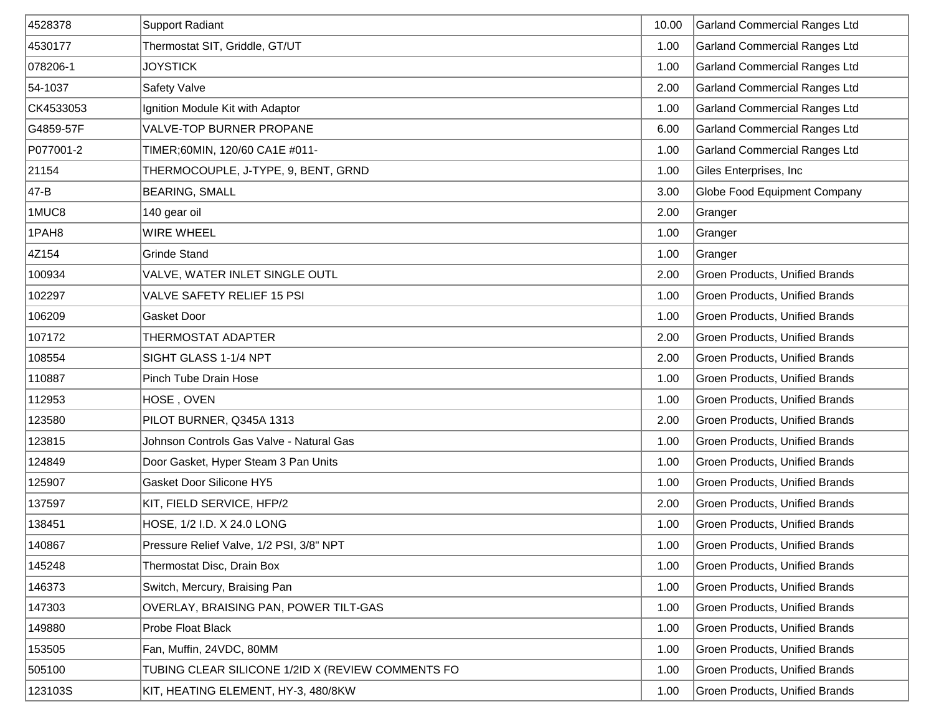| 4528378   | <b>Support Radiant</b>                            | 10.00 | <b>Garland Commercial Ranges Ltd</b>  |
|-----------|---------------------------------------------------|-------|---------------------------------------|
| 4530177   | Thermostat SIT, Griddle, GT/UT                    | 1.00  | <b>Garland Commercial Ranges Ltd</b>  |
| 078206-1  | <b>JOYSTICK</b>                                   | 1.00  | <b>Garland Commercial Ranges Ltd</b>  |
| 54-1037   | Safety Valve                                      | 2.00  | Garland Commercial Ranges Ltd         |
| CK4533053 | Ignition Module Kit with Adaptor                  | 1.00  | <b>Garland Commercial Ranges Ltd</b>  |
| G4859-57F | VALVE-TOP BURNER PROPANE                          | 6.00  | <b>Garland Commercial Ranges Ltd</b>  |
| P077001-2 | TIMER;60MIN, 120/60 CA1E #011-                    | 1.00  | <b>Garland Commercial Ranges Ltd</b>  |
| 21154     | THERMOCOUPLE, J-TYPE, 9, BENT, GRND               | 1.00  | Giles Enterprises, Inc                |
| 47-B      | <b>BEARING, SMALL</b>                             | 3.00  | Globe Food Equipment Company          |
| 1MUC8     | 140 gear oil                                      | 2.00  | Granger                               |
| 1PAH8     | <b>WIRE WHEEL</b>                                 | 1.00  | Granger                               |
| 4Z154     | <b>Grinde Stand</b>                               | 1.00  | Granger                               |
| 100934    | VALVE, WATER INLET SINGLE OUTL                    | 2.00  | <b>Groen Products, Unified Brands</b> |
| 102297    | VALVE SAFETY RELIEF 15 PSI                        | 1.00  | Groen Products, Unified Brands        |
| 106209    | Gasket Door                                       | 1.00  | Groen Products, Unified Brands        |
| 107172    | THERMOSTAT ADAPTER                                | 2.00  | Groen Products, Unified Brands        |
| 108554    | SIGHT GLASS 1-1/4 NPT                             | 2.00  | Groen Products, Unified Brands        |
| 110887    | Pinch Tube Drain Hose                             | 1.00  | Groen Products, Unified Brands        |
| 112953    | HOSE, OVEN                                        | 1.00  | Groen Products, Unified Brands        |
| 123580    | PILOT BURNER, Q345A 1313                          | 2.00  | Groen Products, Unified Brands        |
| 123815    | Johnson Controls Gas Valve - Natural Gas          | 1.00  | Groen Products, Unified Brands        |
| 124849    | Door Gasket, Hyper Steam 3 Pan Units              | 1.00  | Groen Products, Unified Brands        |
| 125907    | <b>Gasket Door Silicone HY5</b>                   | 1.00  | <b>Groen Products, Unified Brands</b> |
| 137597    | KIT, FIELD SERVICE, HFP/2                         | 2.00  | Groen Products, Unified Brands        |
| 138451    | HOSE, 1/2 I.D. X 24.0 LONG                        | 1.00  | Groen Products, Unified Brands        |
| 140867    | Pressure Relief Valve, 1/2 PSI, 3/8" NPT          | 1.00  | Groen Products, Unified Brands        |
| 145248    | Thermostat Disc, Drain Box                        | 1.00  | Groen Products, Unified Brands        |
| 146373    | Switch, Mercury, Braising Pan                     | 1.00  | <b>Groen Products, Unified Brands</b> |
| 147303    | OVERLAY, BRAISING PAN, POWER TILT-GAS             | 1.00  | <b>Groen Products, Unified Brands</b> |
| 149880    | Probe Float Black                                 | 1.00  | Groen Products, Unified Brands        |
| 153505    | Fan, Muffin, 24VDC, 80MM                          | 1.00  | Groen Products, Unified Brands        |
| 505100    | TUBING CLEAR SILICONE 1/2ID X (REVIEW COMMENTS FO | 1.00  | Groen Products, Unified Brands        |
| 123103S   | KIT, HEATING ELEMENT, HY-3, 480/8KW               | 1.00  | Groen Products, Unified Brands        |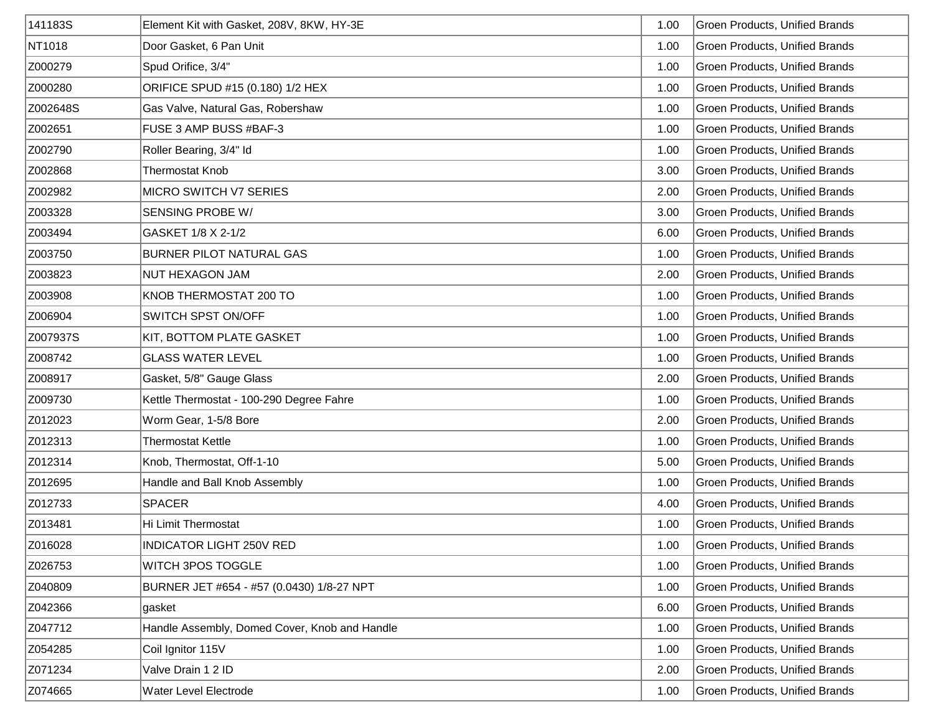| 141183S  | Element Kit with Gasket, 208V, 8KW, HY-3E     | 1.00 | Groen Products, Unified Brands |
|----------|-----------------------------------------------|------|--------------------------------|
| NT1018   | Door Gasket, 6 Pan Unit                       | 1.00 | Groen Products, Unified Brands |
| Z000279  | Spud Orifice, 3/4"                            | 1.00 | Groen Products, Unified Brands |
| Z000280  | ORIFICE SPUD #15 (0.180) 1/2 HEX              | 1.00 | Groen Products, Unified Brands |
| Z002648S | Gas Valve, Natural Gas, Robershaw             | 1.00 | Groen Products, Unified Brands |
| Z002651  | FUSE 3 AMP BUSS #BAF-3                        | 1.00 | Groen Products, Unified Brands |
| Z002790  | Roller Bearing, 3/4" Id                       | 1.00 | Groen Products, Unified Brands |
| Z002868  | <b>Thermostat Knob</b>                        | 3.00 | Groen Products, Unified Brands |
| Z002982  | MICRO SWITCH V7 SERIES                        | 2.00 | Groen Products, Unified Brands |
| Z003328  | SENSING PROBE W/                              | 3.00 | Groen Products, Unified Brands |
| Z003494  | GASKET 1/8 X 2-1/2                            | 6.00 | Groen Products, Unified Brands |
| Z003750  | <b>BURNER PILOT NATURAL GAS</b>               | 1.00 | Groen Products, Unified Brands |
| Z003823  | NUT HEXAGON JAM                               | 2.00 | Groen Products, Unified Brands |
| Z003908  | KNOB THERMOSTAT 200 TO                        | 1.00 | Groen Products, Unified Brands |
| Z006904  | SWITCH SPST ON/OFF                            | 1.00 | Groen Products, Unified Brands |
| Z007937S | <b>KIT, BOTTOM PLATE GASKET</b>               | 1.00 | Groen Products, Unified Brands |
| Z008742  | <b>GLASS WATER LEVEL</b>                      | 1.00 | Groen Products, Unified Brands |
| Z008917  | Gasket, 5/8" Gauge Glass                      | 2.00 | Groen Products, Unified Brands |
| Z009730  | Kettle Thermostat - 100-290 Degree Fahre      | 1.00 | Groen Products, Unified Brands |
| Z012023  | Worm Gear, 1-5/8 Bore                         | 2.00 | Groen Products, Unified Brands |
| Z012313  | <b>Thermostat Kettle</b>                      | 1.00 | Groen Products, Unified Brands |
| Z012314  | Knob, Thermostat, Off-1-10                    | 5.00 | Groen Products, Unified Brands |
| Z012695  | Handle and Ball Knob Assembly                 | 1.00 | Groen Products, Unified Brands |
| Z012733  | <b>SPACER</b>                                 | 4.00 | Groen Products, Unified Brands |
| Z013481  | Hi Limit Thermostat                           | 1.00 | Groen Products, Unified Brands |
| Z016028  | INDICATOR LIGHT 250V RED                      | 1.00 | Groen Products, Unified Brands |
| Z026753  | WITCH 3POS TOGGLE                             | 1.00 | Groen Products, Unified Brands |
| Z040809  | BURNER JET #654 - #57 (0.0430) 1/8-27 NPT     | 1.00 | Groen Products, Unified Brands |
| Z042366  | ∣gasket                                       | 6.00 | Groen Products, Unified Brands |
| Z047712  | Handle Assembly, Domed Cover, Knob and Handle | 1.00 | Groen Products, Unified Brands |
| Z054285  | Coil Ignitor 115V                             | 1.00 | Groen Products, Unified Brands |
| Z071234  | Valve Drain 1 2 ID                            | 2.00 | Groen Products, Unified Brands |
| Z074665  | Water Level Electrode                         | 1.00 | Groen Products, Unified Brands |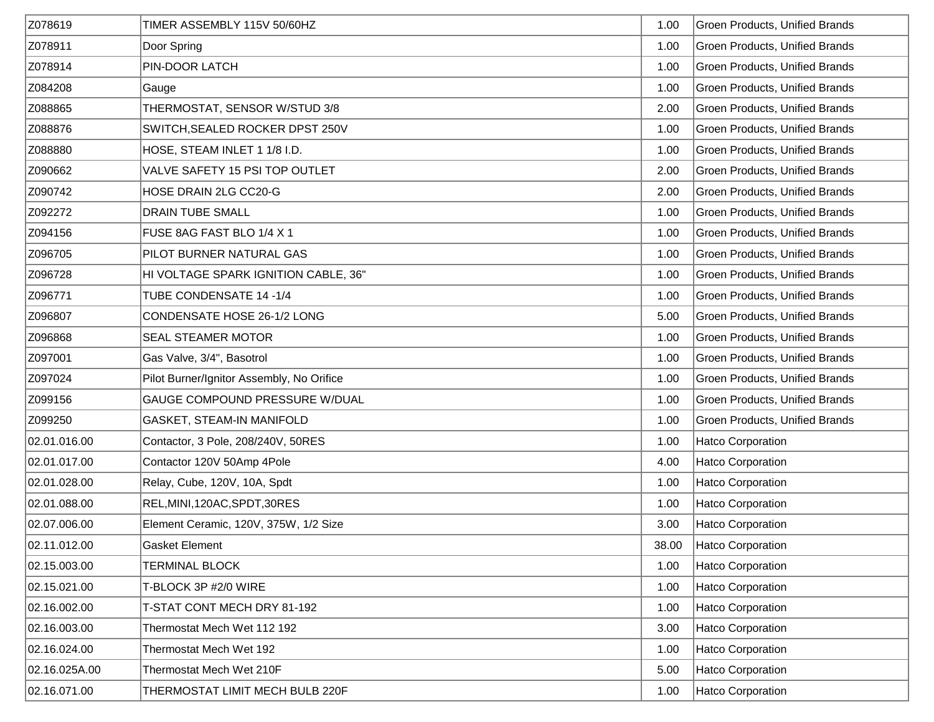| Z078619       | TIMER ASSEMBLY 115V 50/60HZ               | 1.00  | <b>Groen Products, Unified Brands</b> |
|---------------|-------------------------------------------|-------|---------------------------------------|
| Z078911       | Door Spring                               | 1.00  | Groen Products, Unified Brands        |
| Z078914       | PIN-DOOR LATCH                            | 1.00  | Groen Products, Unified Brands        |
| Z084208       | Gauge                                     | 1.00  | <b>Groen Products, Unified Brands</b> |
| Z088865       | THERMOSTAT, SENSOR W/STUD 3/8             | 2.00  | <b>Groen Products, Unified Brands</b> |
| Z088876       | SWITCH, SEALED ROCKER DPST 250V           | 1.00  | <b>Groen Products, Unified Brands</b> |
| Z088880       | HOSE, STEAM INLET 1 1/8 I.D.              | 1.00  | <b>Groen Products, Unified Brands</b> |
| Z090662       | VALVE SAFETY 15 PSI TOP OUTLET            | 2.00  | <b>Groen Products, Unified Brands</b> |
| Z090742       | HOSE DRAIN 2LG CC20-G                     | 2.00  | <b>Groen Products, Unified Brands</b> |
| Z092272       | <b>DRAIN TUBE SMALL</b>                   | 1.00  | Groen Products, Unified Brands        |
| Z094156       | FUSE 8AG FAST BLO 1/4 X 1                 | 1.00  | Groen Products, Unified Brands        |
| Z096705       | PILOT BURNER NATURAL GAS                  | 1.00  | Groen Products, Unified Brands        |
| Z096728       | HI VOLTAGE SPARK IGNITION CABLE, 36"      | 1.00  | Groen Products, Unified Brands        |
| Z096771       | TUBE CONDENSATE 14 -1/4                   | 1.00  | Groen Products, Unified Brands        |
| Z096807       | CONDENSATE HOSE 26-1/2 LONG               | 5.00  | Groen Products, Unified Brands        |
| Z096868       | SEAL STEAMER MOTOR                        | 1.00  | Groen Products, Unified Brands        |
| Z097001       | Gas Valve, 3/4", Basotrol                 | 1.00  | Groen Products, Unified Brands        |
| Z097024       | Pilot Burner/Ignitor Assembly, No Orifice | 1.00  | Groen Products, Unified Brands        |
| Z099156       | GAUGE COMPOUND PRESSURE W/DUAL            | 1.00  | Groen Products, Unified Brands        |
| Z099250       | GASKET, STEAM-IN MANIFOLD                 | 1.00  | <b>Groen Products, Unified Brands</b> |
| 02.01.016.00  | Contactor, 3 Pole, 208/240V, 50RES        | 1.00  | Hatco Corporation                     |
| 02.01.017.00  | Contactor 120V 50Amp 4Pole                | 4.00  | Hatco Corporation                     |
| 02.01.028.00  | Relay, Cube, 120V, 10A, Spdt              | 1.00  | Hatco Corporation                     |
| 02.01.088.00  | REL, MINI, 120AC, SPDT, 30RES             | 1.00  | Hatco Corporation                     |
| 02.07.006.00  | Element Ceramic, 120V, 375W, 1/2 Size     | 3.00  | Hatco Corporation                     |
| 02.11.012.00  | <b>Gasket Element</b>                     | 38.00 | Hatco Corporation                     |
| 02.15.003.00  | <b>TERMINAL BLOCK</b>                     | 1.00  | Hatco Corporation                     |
| 02.15.021.00  | T-BLOCK 3P #2/0 WIRE                      | 1.00  | Hatco Corporation                     |
| 02.16.002.00  | T-STAT CONT MECH DRY 81-192               | 1.00  | Hatco Corporation                     |
| 02.16.003.00  | Thermostat Mech Wet 112 192               | 3.00  | Hatco Corporation                     |
| 02.16.024.00  | Thermostat Mech Wet 192                   | 1.00  | Hatco Corporation                     |
| 02.16.025A.00 | Thermostat Mech Wet 210F                  | 5.00  | Hatco Corporation                     |
| 02.16.071.00  | THERMOSTAT LIMIT MECH BULB 220F           | 1.00  | Hatco Corporation                     |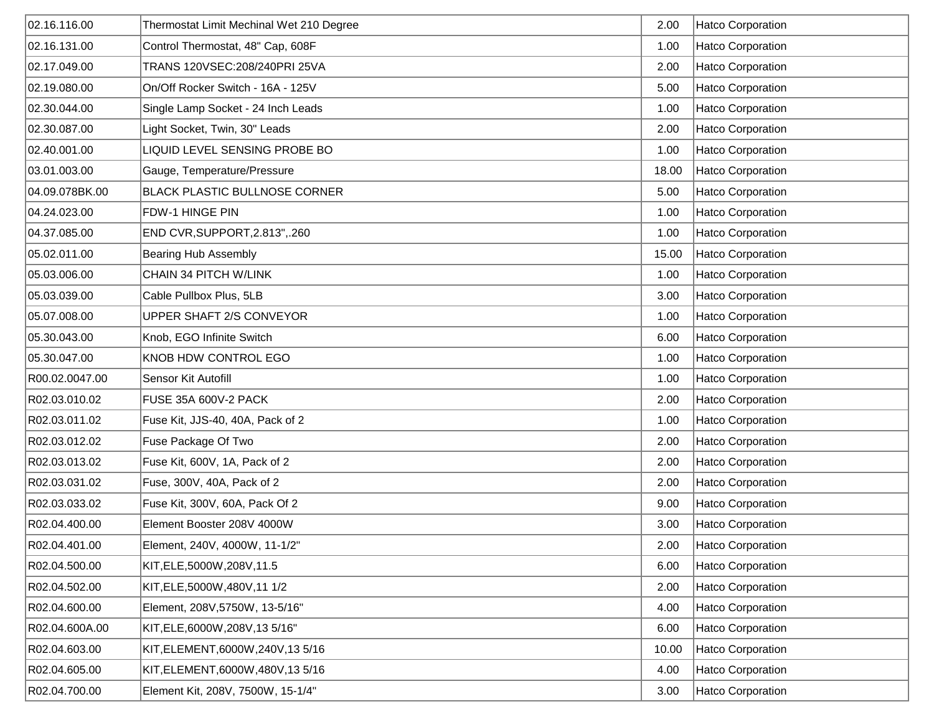| 02.16.116.00   | Thermostat Limit Mechinal Wet 210 Degree | 2.00  | <b>Hatco Corporation</b> |
|----------------|------------------------------------------|-------|--------------------------|
| 02.16.131.00   | Control Thermostat, 48" Cap, 608F        | 1.00  | <b>Hatco Corporation</b> |
| 02.17.049.00   | TRANS 120VSEC: 208/240PRI 25VA           | 2.00  | <b>Hatco Corporation</b> |
| 02.19.080.00   | On/Off Rocker Switch - 16A - 125V        | 5.00  | <b>Hatco Corporation</b> |
| 02.30.044.00   | Single Lamp Socket - 24 Inch Leads       | 1.00  | Hatco Corporation        |
| 02.30.087.00   | Light Socket, Twin, 30" Leads            | 2.00  | <b>Hatco Corporation</b> |
| 02.40.001.00   | LIQUID LEVEL SENSING PROBE BO            | 1.00  | <b>Hatco Corporation</b> |
| 03.01.003.00   | Gauge, Temperature/Pressure              | 18.00 | <b>Hatco Corporation</b> |
| 04.09.078BK.00 | <b>BLACK PLASTIC BULLNOSE CORNER</b>     | 5.00  | <b>Hatco Corporation</b> |
| 04.24.023.00   | FDW-1 HINGE PIN                          | 1.00  | <b>Hatco Corporation</b> |
| 04.37.085.00   | END CVR, SUPPORT, 2.813", .260           | 1.00  | <b>Hatco Corporation</b> |
| 05.02.011.00   | <b>Bearing Hub Assembly</b>              | 15.00 | <b>Hatco Corporation</b> |
| 05.03.006.00   | CHAIN 34 PITCH W/LINK                    | 1.00  | Hatco Corporation        |
| 05.03.039.00   | Cable Pullbox Plus, 5LB                  | 3.00  | Hatco Corporation        |
| 05.07.008.00   | UPPER SHAFT 2/S CONVEYOR                 | 1.00  | Hatco Corporation        |
| 05.30.043.00   | Knob, EGO Infinite Switch                | 6.00  | <b>Hatco Corporation</b> |
| 05.30.047.00   | KNOB HDW CONTROL EGO                     | 1.00  | <b>Hatco Corporation</b> |
| R00.02.0047.00 | Sensor Kit Autofill                      | 1.00  | <b>Hatco Corporation</b> |
| R02.03.010.02  | <b>FUSE 35A 600V-2 PACK</b>              | 2.00  | <b>Hatco Corporation</b> |
| R02.03.011.02  | Fuse Kit, JJS-40, 40A, Pack of 2         | 1.00  | <b>Hatco Corporation</b> |
| R02.03.012.02  | Fuse Package Of Two                      | 2.00  | <b>Hatco Corporation</b> |
| R02.03.013.02  | Fuse Kit, 600V, 1A, Pack of 2            | 2.00  | Hatco Corporation        |
| R02.03.031.02  | Fuse, 300V, 40A, Pack of 2               | 2.00  | <b>Hatco Corporation</b> |
| R02.03.033.02  | Fuse Kit, 300V, 60A, Pack Of 2           | 9.00  | <b>Hatco Corporation</b> |
| R02.04.400.00  | Element Booster 208V 4000W               | 3.00  | Hatco Corporation        |
| R02.04.401.00  | Element, 240V, 4000W, 11-1/2"            | 2.00  | Hatco Corporation        |
| R02.04.500.00  | KIT, ELE, 5000W, 208V, 11.5              | 6.00  | <b>Hatco Corporation</b> |
| R02.04.502.00  | KIT, ELE, 5000W, 480V, 11 1/2            | 2.00  | <b>Hatco Corporation</b> |
| R02.04.600.00  | Element, 208V, 5750W, 13-5/16"           | 4.00  | Hatco Corporation        |
| R02.04.600A.00 | KIT, ELE, 6000W, 208V, 13 5/16"          | 6.00  | Hatco Corporation        |
| R02.04.603.00  | KIT, ELEMENT, 6000W, 240V, 13 5/16       | 10.00 | Hatco Corporation        |
| R02.04.605.00  | KIT, ELEMENT, 6000W, 480V, 13 5/16       | 4.00  | Hatco Corporation        |
| R02.04.700.00  | Element Kit, 208V, 7500W, 15-1/4"        | 3.00  | Hatco Corporation        |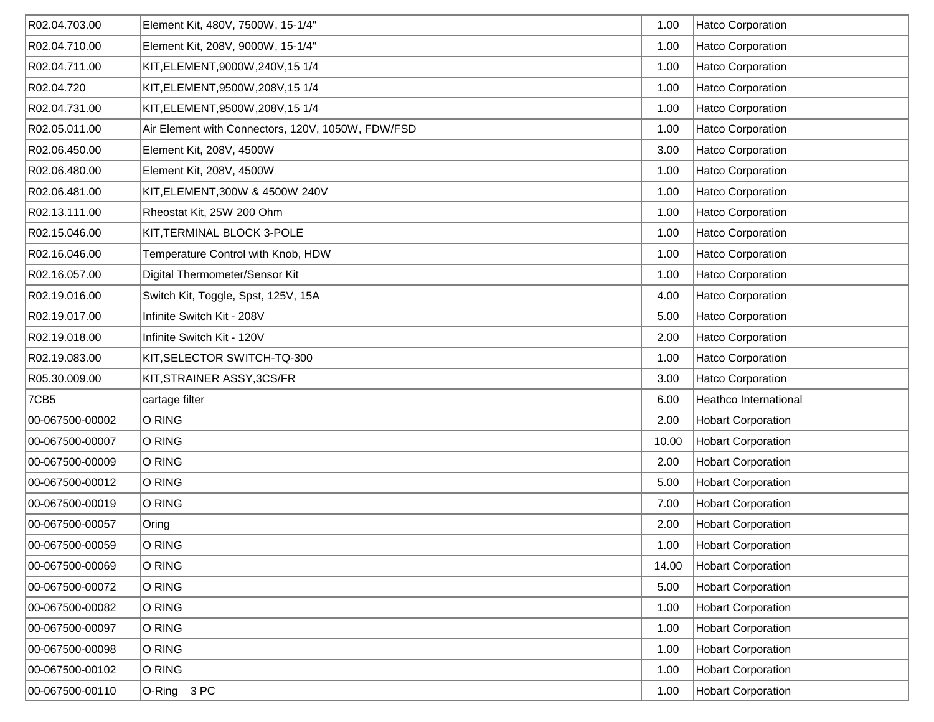| R02.04.703.00   | Element Kit, 480V, 7500W, 15-1/4"                 | 1.00  | Hatco Corporation         |
|-----------------|---------------------------------------------------|-------|---------------------------|
| R02.04.710.00   | Element Kit, 208V, 9000W, 15-1/4"                 | 1.00  | Hatco Corporation         |
| R02.04.711.00   | KIT, ELEMENT, 9000W, 240V, 15 1/4                 | 1.00  | Hatco Corporation         |
| R02.04.720      | KIT, ELEMENT, 9500W, 208V, 15 1/4                 | 1.00  | Hatco Corporation         |
| R02.04.731.00   | KIT, ELEMENT, 9500W, 208V, 15 1/4                 | 1.00  | Hatco Corporation         |
| R02.05.011.00   | Air Element with Connectors, 120V, 1050W, FDW/FSD | 1.00  | Hatco Corporation         |
| R02.06.450.00   | Element Kit, 208V, 4500W                          | 3.00  | Hatco Corporation         |
| R02.06.480.00   | Element Kit, 208V, 4500W                          | 1.00  | Hatco Corporation         |
| R02.06.481.00   | KIT, ELEMENT, 300W & 4500W 240V                   | 1.00  | Hatco Corporation         |
| R02.13.111.00   | Rheostat Kit, 25W 200 Ohm                         | 1.00  | Hatco Corporation         |
| R02.15.046.00   | KIT, TERMINAL BLOCK 3-POLE                        | 1.00  | Hatco Corporation         |
| R02.16.046.00   | Temperature Control with Knob, HDW                | 1.00  | Hatco Corporation         |
| R02.16.057.00   | Digital Thermometer/Sensor Kit                    | 1.00  | Hatco Corporation         |
| R02.19.016.00   | Switch Kit, Toggle, Spst, 125V, 15A               | 4.00  | Hatco Corporation         |
| R02.19.017.00   | Infinite Switch Kit - 208V                        | 5.00  | Hatco Corporation         |
| R02.19.018.00   | Infinite Switch Kit - 120V                        | 2.00  | Hatco Corporation         |
| R02.19.083.00   | KIT, SELECTOR SWITCH-TQ-300                       | 1.00  | Hatco Corporation         |
| R05.30.009.00   | KIT, STRAINER ASSY, 3CS/FR                        | 3.00  | Hatco Corporation         |
| 7CB5            | cartage filter                                    | 6.00  | Heathco International     |
| 00-067500-00002 | O RING                                            | 2.00  | <b>Hobart Corporation</b> |
| 00-067500-00007 | O RING                                            | 10.00 | <b>Hobart Corporation</b> |
| 00-067500-00009 | O RING                                            | 2.00  | <b>Hobart Corporation</b> |
| 00-067500-00012 | O RING                                            | 5.00  | <b>Hobart Corporation</b> |
| 00-067500-00019 | O RING                                            | 7.00  | <b>Hobart Corporation</b> |
| 00-067500-00057 | Oring                                             | 2.00  | <b>Hobart Corporation</b> |
| 00-067500-00059 | O RING                                            | 1.00  | Hobart Corporation        |
| 00-067500-00069 | O RING                                            | 14.00 | <b>Hobart Corporation</b> |
| 00-067500-00072 | O RING                                            | 5.00  | <b>Hobart Corporation</b> |
| 00-067500-00082 | O RING                                            | 1.00  | <b>Hobart Corporation</b> |
| 00-067500-00097 | O RING                                            | 1.00  | <b>Hobart Corporation</b> |
| 00-067500-00098 | O RING                                            | 1.00  | <b>Hobart Corporation</b> |
| 00-067500-00102 | O RING                                            | 1.00  | <b>Hobart Corporation</b> |
| 00-067500-00110 | O-Ring 3 PC                                       | 1.00  | <b>Hobart Corporation</b> |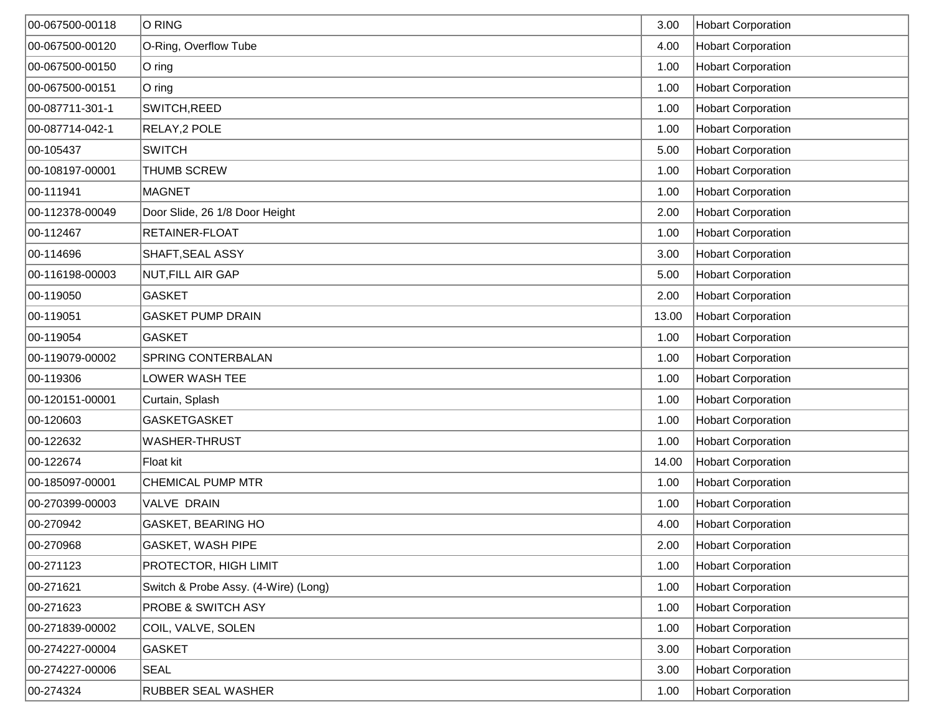| 00-067500-00118 | O RING                               | 3.00  | <b>Hobart Corporation</b> |
|-----------------|--------------------------------------|-------|---------------------------|
| 00-067500-00120 | O-Ring, Overflow Tube                | 4.00  | <b>Hobart Corporation</b> |
| 00-067500-00150 | $O$ ring                             | 1.00  | <b>Hobart Corporation</b> |
| 00-067500-00151 | $ O \text{ ring}$                    | 1.00  | <b>Hobart Corporation</b> |
| 00-087711-301-1 | SWITCH, REED                         | 1.00  | <b>Hobart Corporation</b> |
| 00-087714-042-1 | RELAY, 2 POLE                        | 1.00  | <b>Hobart Corporation</b> |
| 00-105437       | <b>SWITCH</b>                        | 5.00  | <b>Hobart Corporation</b> |
| 00-108197-00001 | <b>THUMB SCREW</b>                   | 1.00  | <b>Hobart Corporation</b> |
| 00-111941       | MAGNET                               | 1.00  | <b>Hobart Corporation</b> |
| 00-112378-00049 | Door Slide, 26 1/8 Door Height       | 2.00  | <b>Hobart Corporation</b> |
| 00-112467       | RETAINER-FLOAT                       | 1.00  | <b>Hobart Corporation</b> |
| 00-114696       | SHAFT, SEAL ASSY                     | 3.00  | <b>Hobart Corporation</b> |
| 00-116198-00003 | NUT, FILL AIR GAP                    | 5.00  | <b>Hobart Corporation</b> |
| 00-119050       | <b>GASKET</b>                        | 2.00  | <b>Hobart Corporation</b> |
| 00-119051       | <b>GASKET PUMP DRAIN</b>             | 13.00 | <b>Hobart Corporation</b> |
| 00-119054       | <b>GASKET</b>                        | 1.00  | <b>Hobart Corporation</b> |
| 00-119079-00002 | <b>SPRING CONTERBALAN</b>            | 1.00  | <b>Hobart Corporation</b> |
| 00-119306       | LOWER WASH TEE                       | 1.00  | <b>Hobart Corporation</b> |
| 00-120151-00001 | Curtain, Splash                      | 1.00  | <b>Hobart Corporation</b> |
| 00-120603       | <b>GASKETGASKET</b>                  | 1.00  | <b>Hobart Corporation</b> |
| 00-122632       | WASHER-THRUST                        | 1.00  | <b>Hobart Corporation</b> |
| 00-122674       | Float kit                            | 14.00 | <b>Hobart Corporation</b> |
| 00-185097-00001 | <b>CHEMICAL PUMP MTR</b>             | 1.00  | <b>Hobart Corporation</b> |
| 00-270399-00003 | VALVE DRAIN                          | 1.00  | <b>Hobart Corporation</b> |
| 00-270942       | <b>GASKET, BEARING HO</b>            | 4.00  | <b>Hobart Corporation</b> |
| 00-270968       | GASKET, WASH PIPE                    | 2.00  | Hobart Corporation        |
| 00-271123       | PROTECTOR, HIGH LIMIT                | 1.00  | <b>Hobart Corporation</b> |
| 00-271621       | Switch & Probe Assy. (4-Wire) (Long) | 1.00  | <b>Hobart Corporation</b> |
| 00-271623       | PROBE & SWITCH ASY                   | 1.00  | <b>Hobart Corporation</b> |
| 00-271839-00002 | COIL, VALVE, SOLEN                   | 1.00  | <b>Hobart Corporation</b> |
| 00-274227-00004 | <b>GASKET</b>                        | 3.00  | <b>Hobart Corporation</b> |
| 00-274227-00006 | <b>SEAL</b>                          | 3.00  | <b>Hobart Corporation</b> |
| 00-274324       | <b>RUBBER SEAL WASHER</b>            | 1.00  | <b>Hobart Corporation</b> |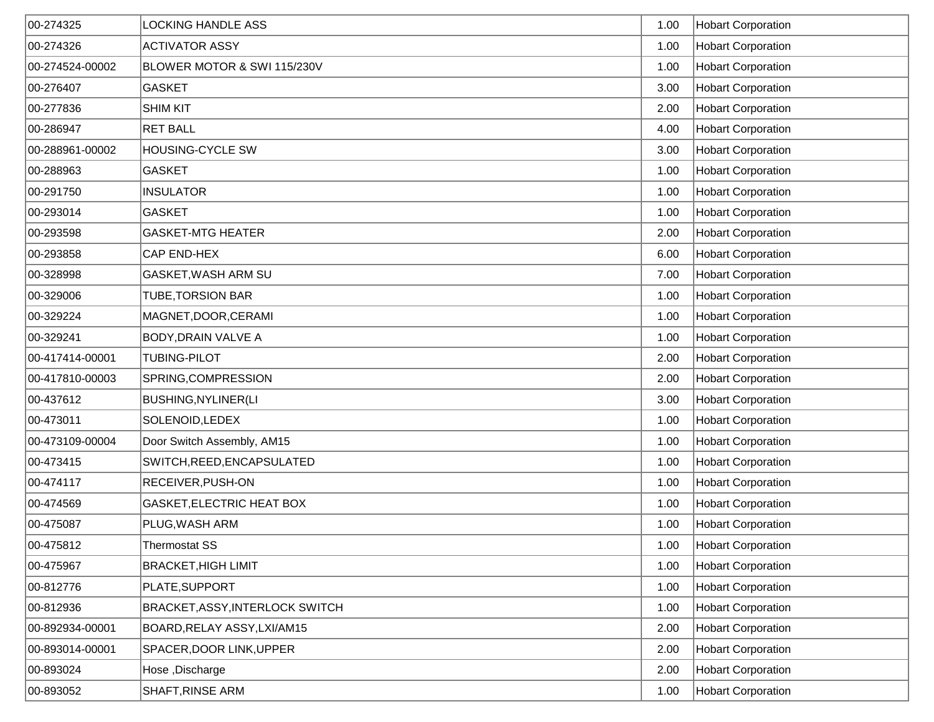| 00-274325       | <b>LOCKING HANDLE ASS</b>       | 1.00 | <b>Hobart Corporation</b> |
|-----------------|---------------------------------|------|---------------------------|
| 00-274326       | <b>ACTIVATOR ASSY</b>           | 1.00 | <b>Hobart Corporation</b> |
| 00-274524-00002 | BLOWER MOTOR & SWI 115/230V     | 1.00 | <b>Hobart Corporation</b> |
| 00-276407       | <b>GASKET</b>                   | 3.00 | <b>Hobart Corporation</b> |
| 00-277836       | <b>SHIM KIT</b>                 | 2.00 | <b>Hobart Corporation</b> |
| 00-286947       | <b>RET BALL</b>                 | 4.00 | <b>Hobart Corporation</b> |
| 00-288961-00002 | <b>HOUSING-CYCLE SW</b>         | 3.00 | <b>Hobart Corporation</b> |
| 00-288963       | <b>GASKET</b>                   | 1.00 | <b>Hobart Corporation</b> |
| 00-291750       | <b>INSULATOR</b>                | 1.00 | <b>Hobart Corporation</b> |
| 00-293014       | <b>GASKET</b>                   | 1.00 | <b>Hobart Corporation</b> |
| 00-293598       | <b>GASKET-MTG HEATER</b>        | 2.00 | <b>Hobart Corporation</b> |
| 00-293858       | CAP END-HEX                     | 6.00 | <b>Hobart Corporation</b> |
| 00-328998       | GASKET, WASH ARM SU             | 7.00 | <b>Hobart Corporation</b> |
| 00-329006       | <b>TUBE, TORSION BAR</b>        | 1.00 | <b>Hobart Corporation</b> |
| 00-329224       | MAGNET, DOOR, CERAMI            | 1.00 | <b>Hobart Corporation</b> |
| 00-329241       | <b>BODY, DRAIN VALVE A</b>      | 1.00 | <b>Hobart Corporation</b> |
| 00-417414-00001 | <b>TUBING-PILOT</b>             | 2.00 | <b>Hobart Corporation</b> |
| 00-417810-00003 | SPRING, COMPRESSION             | 2.00 | <b>Hobart Corporation</b> |
| 00-437612       | <b>BUSHING, NYLINER (LI</b>     | 3.00 | <b>Hobart Corporation</b> |
| 00-473011       | SOLENOID, LEDEX                 | 1.00 | <b>Hobart Corporation</b> |
| 00-473109-00004 | Door Switch Assembly, AM15      | 1.00 | <b>Hobart Corporation</b> |
| 00-473415       | SWITCH, REED, ENCAPSULATED      | 1.00 | <b>Hobart Corporation</b> |
| 00-474117       | RECEIVER, PUSH-ON               | 1.00 | <b>Hobart Corporation</b> |
| 00-474569       | GASKET, ELECTRIC HEAT BOX       | 1.00 | <b>Hobart Corporation</b> |
| 00-475087       | PLUG, WASH ARM                  | 1.00 | <b>Hobart Corporation</b> |
| 00-475812       | Thermostat SS                   | 1.00 | Hobart Corporation        |
| 00-475967       | <b>BRACKET, HIGH LIMIT</b>      | 1.00 | <b>Hobart Corporation</b> |
| 00-812776       | PLATE, SUPPORT                  | 1.00 | <b>Hobart Corporation</b> |
| 00-812936       | BRACKET, ASSY, INTERLOCK SWITCH | 1.00 | <b>Hobart Corporation</b> |
| 00-892934-00001 | BOARD, RELAY ASSY, LXI/AM15     | 2.00 | <b>Hobart Corporation</b> |
| 00-893014-00001 | SPACER, DOOR LINK, UPPER        | 2.00 | <b>Hobart Corporation</b> |
| 00-893024       | Hose, Discharge                 | 2.00 | <b>Hobart Corporation</b> |
| 00-893052       | SHAFT, RINSE ARM                | 1.00 | <b>Hobart Corporation</b> |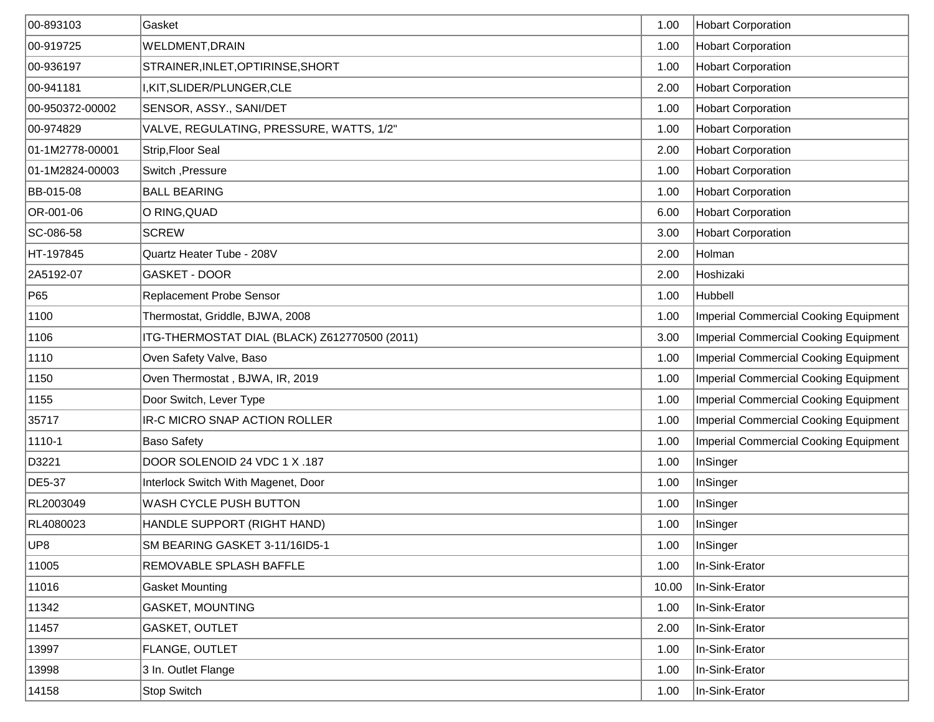| 00-893103       | Gasket                                        | 1.00  | <b>Hobart Corporation</b>                    |
|-----------------|-----------------------------------------------|-------|----------------------------------------------|
| 00-919725       | WELDMENT, DRAIN                               | 1.00  | <b>Hobart Corporation</b>                    |
| 00-936197       | STRAINER, INLET, OPTIRINSE, SHORT             | 1.00  | <b>Hobart Corporation</b>                    |
| 00-941181       | I, KIT, SLIDER/PLUNGER, CLE                   | 2.00  | <b>Hobart Corporation</b>                    |
| 00-950372-00002 | SENSOR, ASSY., SANI/DET                       | 1.00  | <b>Hobart Corporation</b>                    |
| 00-974829       | VALVE, REGULATING, PRESSURE, WATTS, 1/2"      | 1.00  | <b>Hobart Corporation</b>                    |
| 01-1M2778-00001 | Strip, Floor Seal                             | 2.00  | <b>Hobart Corporation</b>                    |
| 01-1M2824-00003 | Switch, Pressure                              | 1.00  | <b>Hobart Corporation</b>                    |
| BB-015-08       | <b>BALL BEARING</b>                           | 1.00  | <b>Hobart Corporation</b>                    |
| OR-001-06       | O RING, QUAD                                  | 6.00  | <b>Hobart Corporation</b>                    |
| SC-086-58       | <b>SCREW</b>                                  | 3.00  | <b>Hobart Corporation</b>                    |
| HT-197845       | Quartz Heater Tube - 208V                     | 2.00  | Holman                                       |
| 2A5192-07       | <b>GASKET - DOOR</b>                          | 2.00  | Hoshizaki                                    |
| P65             | Replacement Probe Sensor                      | 1.00  | Hubbell                                      |
| 1100            | Thermostat, Griddle, BJWA, 2008               | 1.00  | <b>Imperial Commercial Cooking Equipment</b> |
| 1106            | ITG-THERMOSTAT DIAL (BLACK) Z612770500 (2011) | 3.00  | <b>Imperial Commercial Cooking Equipment</b> |
| 1110            | Oven Safety Valve, Baso                       | 1.00  | <b>Imperial Commercial Cooking Equipment</b> |
| 1150            | Oven Thermostat, BJWA, IR, 2019               | 1.00  | <b>Imperial Commercial Cooking Equipment</b> |
| 1155            | Door Switch, Lever Type                       | 1.00  | <b>Imperial Commercial Cooking Equipment</b> |
| 35717           | IR-C MICRO SNAP ACTION ROLLER                 | 1.00  | <b>Imperial Commercial Cooking Equipment</b> |
| 1110-1          | <b>Baso Safety</b>                            | 1.00  | <b>Imperial Commercial Cooking Equipment</b> |
| D3221           | DOOR SOLENOID 24 VDC 1 X .187                 | 1.00  | InSinger                                     |
| DE5-37          | Interlock Switch With Magenet, Door           | 1.00  | InSinger                                     |
| RL2003049       | WASH CYCLE PUSH BUTTON                        | 1.00  | InSinger                                     |
| RL4080023       | HANDLE SUPPORT (RIGHT HAND)                   | 1.00  | InSinger                                     |
| UP8             | SM BEARING GASKET 3-11/16ID5-1                | 1.00  | InSinger                                     |
| 11005           | REMOVABLE SPLASH BAFFLE                       | 1.00  | In-Sink-Erator                               |
| 11016           | <b>Gasket Mounting</b>                        | 10.00 | In-Sink-Erator                               |
| 11342           | <b>GASKET, MOUNTING</b>                       | 1.00  | In-Sink-Erator                               |
| 11457           | GASKET, OUTLET                                | 2.00  | In-Sink-Erator                               |
| 13997           | FLANGE, OUTLET                                | 1.00  | In-Sink-Erator                               |
| 13998           | 3 In. Outlet Flange                           | 1.00  | In-Sink-Erator                               |
| 14158           | Stop Switch                                   | 1.00  | In-Sink-Erator                               |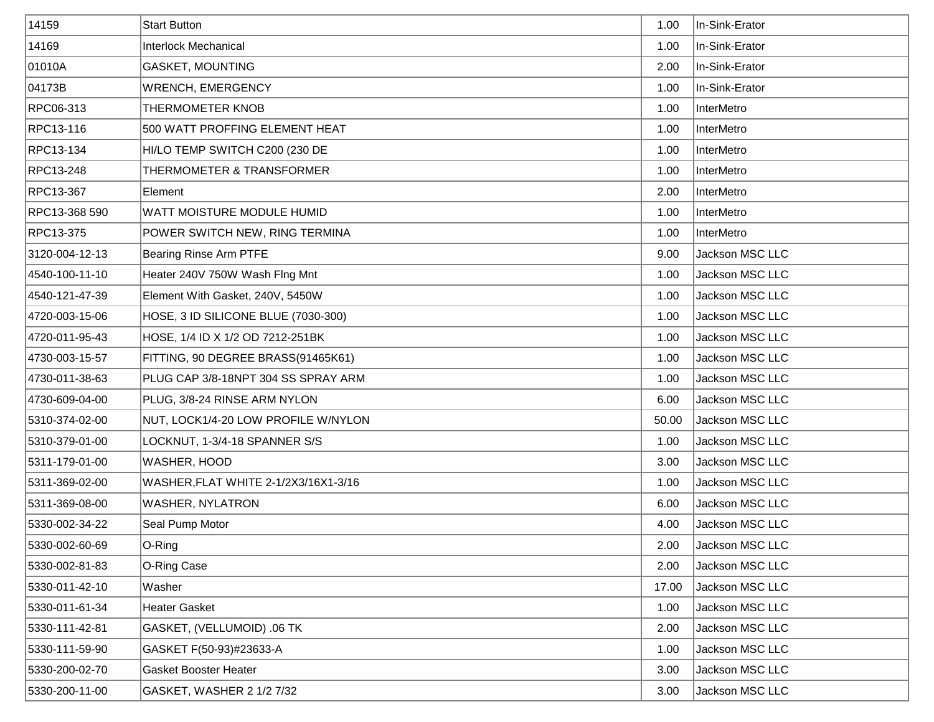| 14159          | <b>Start Button</b>                  | 1.00  | In-Sink-Erator    |
|----------------|--------------------------------------|-------|-------------------|
| 14169          | Interlock Mechanical                 | 1.00  | In-Sink-Erator    |
| 01010A         | <b>GASKET, MOUNTING</b>              | 2.00  | In-Sink-Erator    |
| 04173B         | <b>WRENCH, EMERGENCY</b>             | 1.00  | In-Sink-Erator    |
| RPC06-313      | THERMOMETER KNOB                     | 1.00  | <b>InterMetro</b> |
| RPC13-116      | 500 WATT PROFFING ELEMENT HEAT       | 1.00  | InterMetro        |
| RPC13-134      | HI/LO TEMP SWITCH C200 (230 DE       | 1.00  | InterMetro        |
| RPC13-248      | THERMOMETER & TRANSFORMER            | 1.00  | InterMetro        |
| RPC13-367      | Element                              | 2.00  | InterMetro        |
| RPC13-368 590  | WATT MOISTURE MODULE HUMID           | 1.00  | InterMetro        |
| RPC13-375      | POWER SWITCH NEW, RING TERMINA       | 1.00  | InterMetro        |
| 3120-004-12-13 | Bearing Rinse Arm PTFE               | 9.00  | Jackson MSC LLC   |
| 4540-100-11-10 | Heater 240V 750W Wash Flng Mnt       | 1.00  | Jackson MSC LLC   |
| 4540-121-47-39 | Element With Gasket, 240V, 5450W     | 1.00  | Jackson MSC LLC   |
| 4720-003-15-06 | HOSE, 3 ID SILICONE BLUE (7030-300)  | 1.00  | Jackson MSC LLC   |
| 4720-011-95-43 | HOSE, 1/4 ID X 1/2 OD 7212-251BK     | 1.00  | Jackson MSC LLC   |
| 4730-003-15-57 | FITTING, 90 DEGREE BRASS(91465K61)   | 1.00  | Jackson MSC LLC   |
| 4730-011-38-63 | PLUG CAP 3/8-18NPT 304 SS SPRAY ARM  | 1.00  | Jackson MSC LLC   |
| 4730-609-04-00 | PLUG, 3/8-24 RINSE ARM NYLON         | 6.00  | Jackson MSC LLC   |
| 5310-374-02-00 | NUT, LOCK1/4-20 LOW PROFILE W/NYLON  | 50.00 | Jackson MSC LLC   |
| 5310-379-01-00 | LOCKNUT, 1-3/4-18 SPANNER S/S        | 1.00  | Jackson MSC LLC   |
| 5311-179-01-00 | WASHER, HOOD                         | 3.00  | Jackson MSC LLC   |
| 5311-369-02-00 | WASHER, FLAT WHITE 2-1/2X3/16X1-3/16 | 1.00  | Jackson MSC LLC   |
| 5311-369-08-00 | <b>WASHER, NYLATRON</b>              | 6.00  | Jackson MSC LLC   |
| 5330-002-34-22 | Seal Pump Motor                      | 4.00  | Jackson MSC LLC   |
| 5330-002-60-69 | O-Ring                               | 2.00  | Jackson MSC LLC   |
| 5330-002-81-83 | O-Ring Case                          | 2.00  | Jackson MSC LLC   |
| 5330-011-42-10 | Washer                               | 17.00 | Jackson MSC LLC   |
| 5330-011-61-34 | <b>Heater Gasket</b>                 | 1.00  | Jackson MSC LLC   |
| 5330-111-42-81 | GASKET, (VELLUMOID) .06 TK           | 2.00  | Jackson MSC LLC   |
| 5330-111-59-90 | GASKET F(50-93)#23633-A              | 1.00  | Jackson MSC LLC   |
| 5330-200-02-70 | <b>Gasket Booster Heater</b>         | 3.00  | Jackson MSC LLC   |
| 5330-200-11-00 | GASKET, WASHER 2 1/2 7/32            | 3.00  | Jackson MSC LLC   |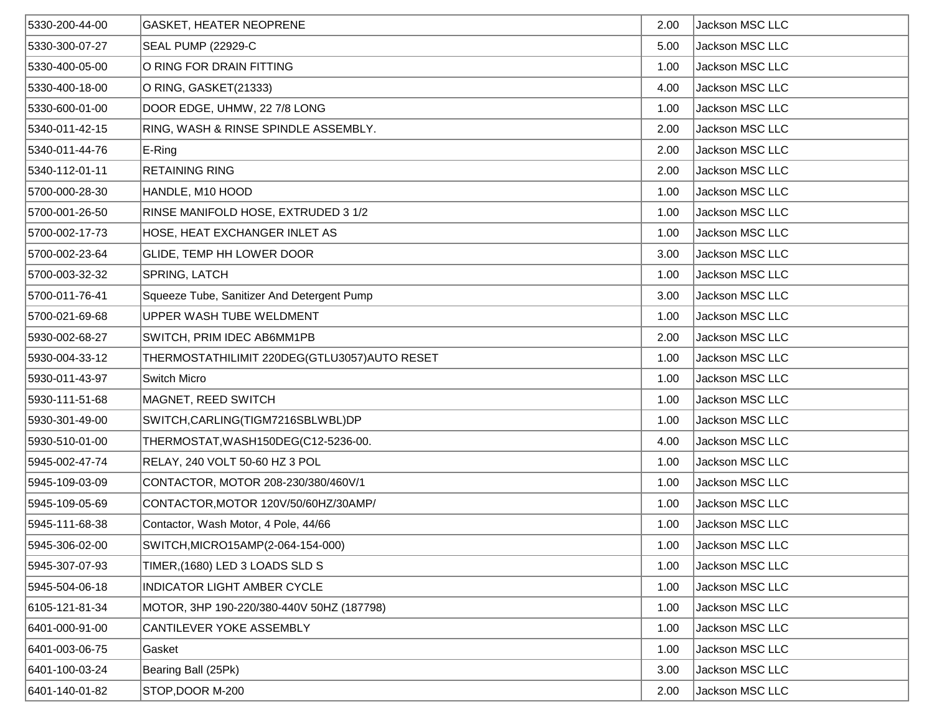| 5330-200-44-00 | <b>GASKET, HEATER NEOPRENE</b>               | 2.00 | Jackson MSC LLC |
|----------------|----------------------------------------------|------|-----------------|
| 5330-300-07-27 | SEAL PUMP (22929-C                           | 5.00 | Jackson MSC LLC |
| 5330-400-05-00 | O RING FOR DRAIN FITTING                     | 1.00 | Jackson MSC LLC |
| 5330-400-18-00 | O RING, GASKET(21333)                        | 4.00 | Jackson MSC LLC |
| 5330-600-01-00 | DOOR EDGE, UHMW, 22 7/8 LONG                 | 1.00 | Jackson MSC LLC |
| 5340-011-42-15 | RING, WASH & RINSE SPINDLE ASSEMBLY.         | 2.00 | Jackson MSC LLC |
| 5340-011-44-76 | E-Ring                                       | 2.00 | Jackson MSC LLC |
| 5340-112-01-11 | <b>RETAINING RING</b>                        | 2.00 | Jackson MSC LLC |
| 5700-000-28-30 | HANDLE, M10 HOOD                             | 1.00 | Jackson MSC LLC |
| 5700-001-26-50 | RINSE MANIFOLD HOSE, EXTRUDED 3 1/2          | 1.00 | Jackson MSC LLC |
| 5700-002-17-73 | HOSE, HEAT EXCHANGER INLET AS                | 1.00 | Jackson MSC LLC |
| 5700-002-23-64 | GLIDE, TEMP HH LOWER DOOR                    | 3.00 | Jackson MSC LLC |
| 5700-003-32-32 | SPRING, LATCH                                | 1.00 | Jackson MSC LLC |
| 5700-011-76-41 | Squeeze Tube, Sanitizer And Detergent Pump   | 3.00 | Jackson MSC LLC |
| 5700-021-69-68 | UPPER WASH TUBE WELDMENT                     | 1.00 | Jackson MSC LLC |
| 5930-002-68-27 | SWITCH, PRIM IDEC AB6MM1PB                   | 2.00 | Jackson MSC LLC |
| 5930-004-33-12 | THERMOSTATHILIMIT 220DEG(GTLU3057)AUTO RESET | 1.00 | Jackson MSC LLC |
| 5930-011-43-97 | Switch Micro                                 | 1.00 | Jackson MSC LLC |
| 5930-111-51-68 | MAGNET, REED SWITCH                          | 1.00 | Jackson MSC LLC |
| 5930-301-49-00 | SWITCH, CARLING (TIGM7216SBLWBL) DP          | 1.00 | Jackson MSC LLC |
| 5930-510-01-00 | THERMOSTAT, WASH150DEG(C12-5236-00.          | 4.00 | Jackson MSC LLC |
| 5945-002-47-74 | RELAY, 240 VOLT 50-60 HZ 3 POL               | 1.00 | Jackson MSC LLC |
| 5945-109-03-09 | CONTACTOR, MOTOR 208-230/380/460V/1          | 1.00 | Jackson MSC LLC |
| 5945-109-05-69 | CONTACTOR, MOTOR 120V/50/60HZ/30AMP/         | 1.00 | Jackson MSC LLC |
| 5945-111-68-38 | Contactor, Wash Motor, 4 Pole, 44/66         | 1.00 | Jackson MSC LLC |
| 5945-306-02-00 | SWITCH, MICRO15AMP(2-064-154-000)            | 1.00 | Jackson MSC LLC |
| 5945-307-07-93 | TIMER, (1680) LED 3 LOADS SLD S              | 1.00 | Jackson MSC LLC |
| 5945-504-06-18 | <b>INDICATOR LIGHT AMBER CYCLE</b>           | 1.00 | Jackson MSC LLC |
| 6105-121-81-34 | MOTOR, 3HP 190-220/380-440V 50HZ (187798)    | 1.00 | Jackson MSC LLC |
| 6401-000-91-00 | CANTILEVER YOKE ASSEMBLY                     | 1.00 | Jackson MSC LLC |
| 6401-003-06-75 | Gasket                                       | 1.00 | Jackson MSC LLC |
| 6401-100-03-24 | Bearing Ball (25Pk)                          | 3.00 | Jackson MSC LLC |
| 6401-140-01-82 | STOP, DOOR M-200                             | 2.00 | Jackson MSC LLC |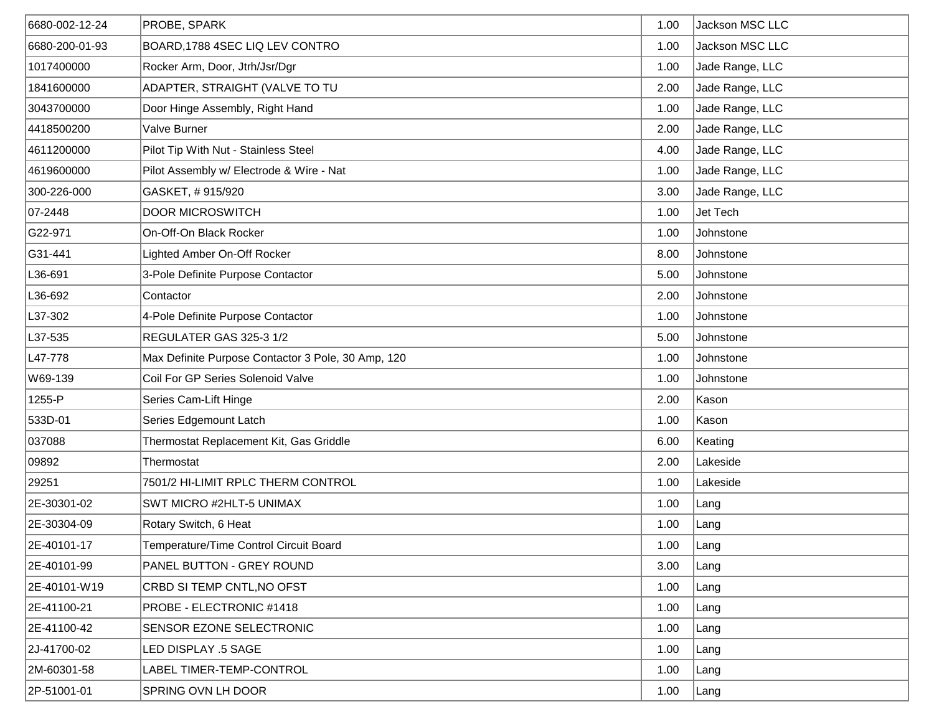| 6680-002-12-24 | <b>PROBE, SPARK</b>                                | 1.00 | Jackson MSC LLC |
|----------------|----------------------------------------------------|------|-----------------|
| 6680-200-01-93 | BOARD, 1788 4SEC LIQ LEV CONTRO                    | 1.00 | Jackson MSC LLC |
| 1017400000     | Rocker Arm, Door, Jtrh/Jsr/Dgr                     | 1.00 | Jade Range, LLC |
| 1841600000     | ADAPTER, STRAIGHT (VALVE TO TU                     | 2.00 | Jade Range, LLC |
| 3043700000     | Door Hinge Assembly, Right Hand                    | 1.00 | Jade Range, LLC |
| 4418500200     | Valve Burner                                       | 2.00 | Jade Range, LLC |
| 4611200000     | Pilot Tip With Nut - Stainless Steel               | 4.00 | Jade Range, LLC |
| 4619600000     | Pilot Assembly w/ Electrode & Wire - Nat           | 1.00 | Jade Range, LLC |
| 300-226-000    | GASKET, #915/920                                   | 3.00 | Jade Range, LLC |
| 07-2448        | <b>DOOR MICROSWITCH</b>                            | 1.00 | Jet Tech        |
| G22-971        | On-Off-On Black Rocker                             | 1.00 | Johnstone       |
| G31-441        | Lighted Amber On-Off Rocker                        | 8.00 | Johnstone       |
| L36-691        | 3-Pole Definite Purpose Contactor                  | 5.00 | Johnstone       |
| L36-692        | Contactor                                          | 2.00 | Johnstone       |
| L37-302        | 4-Pole Definite Purpose Contactor                  | 1.00 | Johnstone       |
| L37-535        | REGULATER GAS 325-3 1/2                            | 5.00 | Johnstone       |
| L47-778        | Max Definite Purpose Contactor 3 Pole, 30 Amp, 120 | 1.00 | Johnstone       |
| W69-139        | Coil For GP Series Solenoid Valve                  | 1.00 | Johnstone       |
| 1255-P         | Series Cam-Lift Hinge                              | 2.00 | Kason           |
| 533D-01        | Series Edgemount Latch                             | 1.00 | Kason           |
| 037088         | Thermostat Replacement Kit, Gas Griddle            | 6.00 | Keating         |
| 09892          | Thermostat                                         | 2.00 | Lakeside        |
| 29251          | 7501/2 HI-LIMIT RPLC THERM CONTROL                 | 1.00 | Lakeside        |
| 2E-30301-02    | SWT MICRO #2HLT-5 UNIMAX                           | 1.00 | Lang            |
| 2E-30304-09    | Rotary Switch, 6 Heat                              | 1.00 | ∣Lang           |
| 2E-40101-17    | Temperature/Time Control Circuit Board             | 1.00 | Lang            |
| 2E-40101-99    | PANEL BUTTON - GREY ROUND                          | 3.00 | Lang            |
| 2E-40101-W19   | CRBD SI TEMP CNTL, NO OFST                         | 1.00 | Lang            |
| 2E-41100-21    | PROBE - ELECTRONIC #1418                           | 1.00 | Lang            |
| 2E-41100-42    | SENSOR EZONE SELECTRONIC                           | 1.00 | Lang            |
| 2J-41700-02    | LED DISPLAY .5 SAGE                                | 1.00 | Lang            |
| 2M-60301-58    | LABEL TIMER-TEMP-CONTROL                           | 1.00 | Lang            |
| 2P-51001-01    | SPRING OVN LH DOOR                                 | 1.00 | Lang            |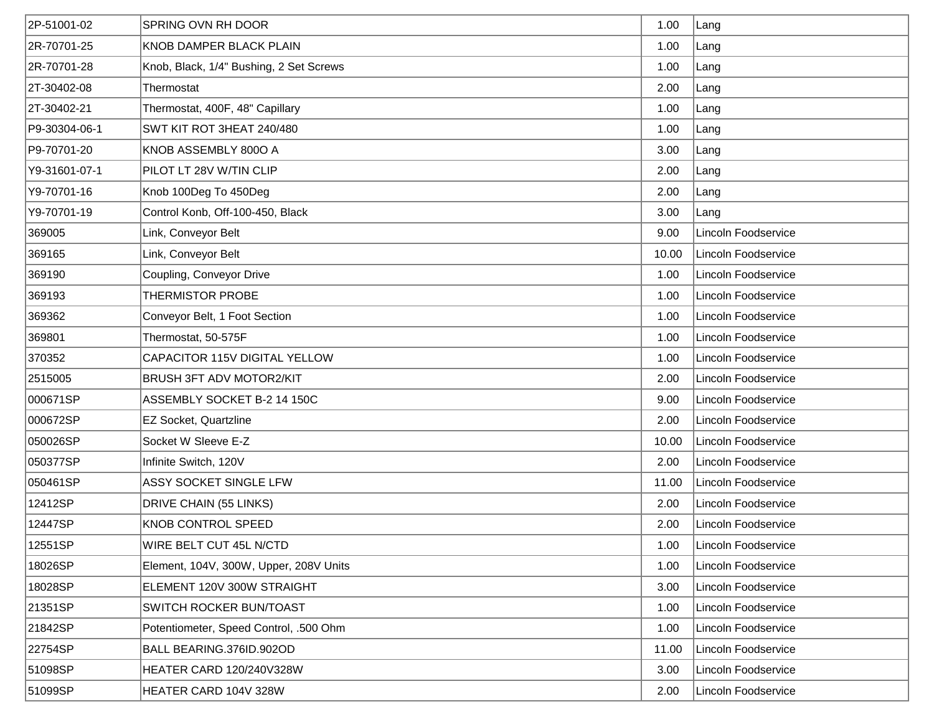| 2P-51001-02   | <b>SPRING OVN RH DOOR</b>               | 1.00  | Lang                |
|---------------|-----------------------------------------|-------|---------------------|
| 2R-70701-25   | <b>KNOB DAMPER BLACK PLAIN</b>          | 1.00  | Lang                |
| 2R-70701-28   | Knob, Black, 1/4" Bushing, 2 Set Screws | 1.00  | Lang                |
| 2T-30402-08   | Thermostat                              | 2.00  | Lang                |
| 2T-30402-21   | Thermostat, 400F, 48" Capillary         | 1.00  | Lang                |
| P9-30304-06-1 | SWT KIT ROT 3HEAT 240/480               | 1.00  | Lang                |
| P9-70701-20   | KNOB ASSEMBLY 800O A                    | 3.00  | Lang                |
| Y9-31601-07-1 | PILOT LT 28V W/TIN CLIP                 | 2.00  | Lang                |
| Y9-70701-16   | Knob 100Deg To 450Deg                   | 2.00  | Lang                |
| Y9-70701-19   | Control Konb, Off-100-450, Black        | 3.00  | Lang                |
| 369005        | Link, Conveyor Belt                     | 9.00  | Lincoln Foodservice |
| 369165        | Link, Conveyor Belt                     | 10.00 | Lincoln Foodservice |
| 369190        | Coupling, Conveyor Drive                | 1.00  | Lincoln Foodservice |
| 369193        | THERMISTOR PROBE                        | 1.00  | Lincoln Foodservice |
| 369362        | Conveyor Belt, 1 Foot Section           | 1.00  | Lincoln Foodservice |
| 369801        | Thermostat, 50-575F                     | 1.00  | Lincoln Foodservice |
| 370352        | CAPACITOR 115V DIGITAL YELLOW           | 1.00  | Lincoln Foodservice |
| 2515005       | <b>BRUSH 3FT ADV MOTOR2/KIT</b>         | 2.00  | Lincoln Foodservice |
| 000671SP      | ASSEMBLY SOCKET B-2 14 150C             | 9.00  | Lincoln Foodservice |
| 000672SP      | EZ Socket, Quartzline                   | 2.00  | Lincoln Foodservice |
| 050026SP      | Socket W Sleeve E-Z                     | 10.00 | Lincoln Foodservice |
| 050377SP      | Infinite Switch, 120V                   | 2.00  | Lincoln Foodservice |
| 050461SP      | ASSY SOCKET SINGLE LFW                  | 11.00 | Lincoln Foodservice |
| 12412SP       | DRIVE CHAIN (55 LINKS)                  | 2.00  | Lincoln Foodservice |
| 12447SP       | <b>KNOB CONTROL SPEED</b>               | 2.00  | Lincoln Foodservice |
| 12551SP       | WIRE BELT CUT 45L N/CTD                 | 1.00  | Lincoln Foodservice |
| 18026SP       | Element, 104V, 300W, Upper, 208V Units  | 1.00  | Lincoln Foodservice |
| 18028SP       | ELEMENT 120V 300W STRAIGHT              | 3.00  | Lincoln Foodservice |
| 21351SP       | SWITCH ROCKER BUN/TOAST                 | 1.00  | Lincoln Foodservice |
| 21842SP       | Potentiometer, Speed Control, .500 Ohm  | 1.00  | Lincoln Foodservice |
| 22754SP       | BALL BEARING.376ID.902OD                | 11.00 | Lincoln Foodservice |
| 51098SP       | HEATER CARD 120/240V328W                | 3.00  | Lincoln Foodservice |
| 51099SP       | HEATER CARD 104V 328W                   | 2.00  | Lincoln Foodservice |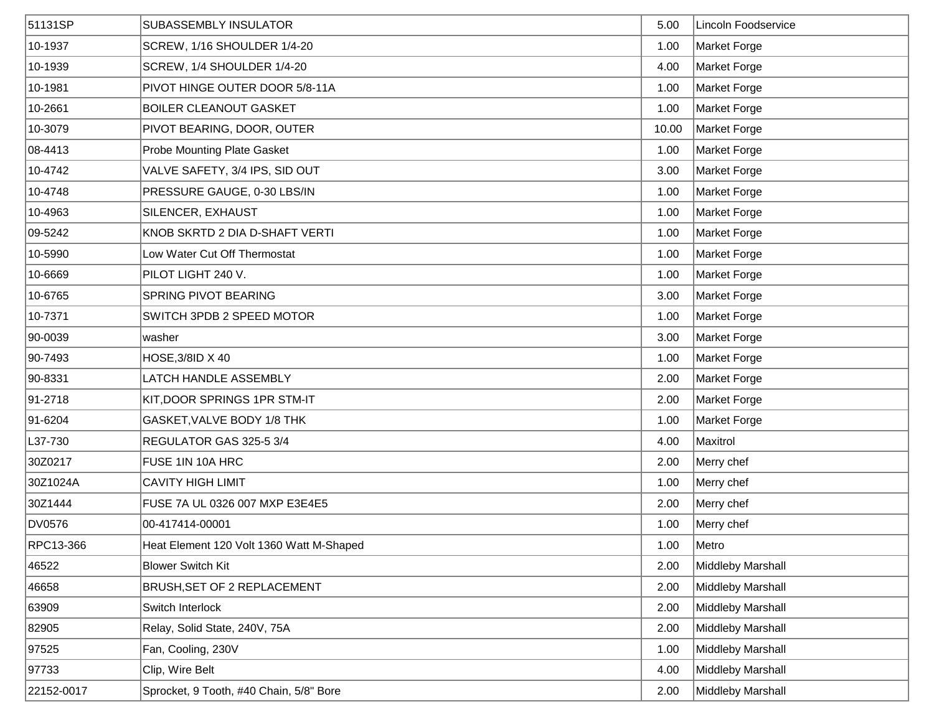| 51131SP    | <b>SUBASSEMBLY INSULATOR</b>             | 5.00  | Lincoln Foodservice |
|------------|------------------------------------------|-------|---------------------|
| 10-1937    | SCREW, 1/16 SHOULDER 1/4-20              | 1.00  | Market Forge        |
| 10-1939    | SCREW, 1/4 SHOULDER 1/4-20               | 4.00  | Market Forge        |
| 10-1981    | PIVOT HINGE OUTER DOOR 5/8-11A           | 1.00  | Market Forge        |
| 10-2661    | <b>BOILER CLEANOUT GASKET</b>            | 1.00  | Market Forge        |
| 10-3079    | PIVOT BEARING, DOOR, OUTER               | 10.00 | Market Forge        |
| 08-4413    | <b>Probe Mounting Plate Gasket</b>       | 1.00  | Market Forge        |
| 10-4742    | VALVE SAFETY, 3/4 IPS, SID OUT           | 3.00  | Market Forge        |
| 10-4748    | PRESSURE GAUGE, 0-30 LBS/IN              | 1.00  | Market Forge        |
| 10-4963    | SILENCER, EXHAUST                        | 1.00  | Market Forge        |
| 09-5242    | KNOB SKRTD 2 DIA D-SHAFT VERTI           | 1.00  | Market Forge        |
| 10-5990    | Low Water Cut Off Thermostat             | 1.00  | Market Forge        |
| 10-6669    | PILOT LIGHT 240 V.                       | 1.00  | Market Forge        |
| 10-6765    | <b>SPRING PIVOT BEARING</b>              | 3.00  | Market Forge        |
| 10-7371    | SWITCH 3PDB 2 SPEED MOTOR                | 1.00  | Market Forge        |
| 90-0039    | washer                                   | 3.00  | Market Forge        |
| 90-7493    | HOSE, 3/8ID X 40                         | 1.00  | Market Forge        |
| 90-8331    | LATCH HANDLE ASSEMBLY                    | 2.00  | Market Forge        |
| 91-2718    | KIT, DOOR SPRINGS 1PR STM-IT             | 2.00  | Market Forge        |
| 91-6204    | GASKET, VALVE BODY 1/8 THK               | 1.00  | Market Forge        |
| L37-730    | REGULATOR GAS 325-5 3/4                  | 4.00  | Maxitrol            |
| 30Z0217    | FUSE 1IN 10A HRC                         | 2.00  | Merry chef          |
| 30Z1024A   | <b>CAVITY HIGH LIMIT</b>                 | 1.00  | Merry chef          |
| 30Z1444    | FUSE 7A UL 0326 007 MXP E3E4E5           | 2.00  | Merry chef          |
| DV0576     | 00-417414-00001                          | 1.00  | Merry chef          |
| RPC13-366  | Heat Element 120 Volt 1360 Watt M-Shaped | 1.00  | Metro               |
| 46522      | <b>Blower Switch Kit</b>                 | 2.00  | Middleby Marshall   |
| 46658      | BRUSH, SET OF 2 REPLACEMENT              | 2.00  | Middleby Marshall   |
| 63909      | Switch Interlock                         | 2.00  | Middleby Marshall   |
| 82905      | Relay, Solid State, 240V, 75A            | 2.00  | Middleby Marshall   |
| 97525      | Fan, Cooling, 230V                       | 1.00  | Middleby Marshall   |
| 97733      | Clip, Wire Belt                          | 4.00  | Middleby Marshall   |
| 22152-0017 | Sprocket, 9 Tooth, #40 Chain, 5/8" Bore  | 2.00  | Middleby Marshall   |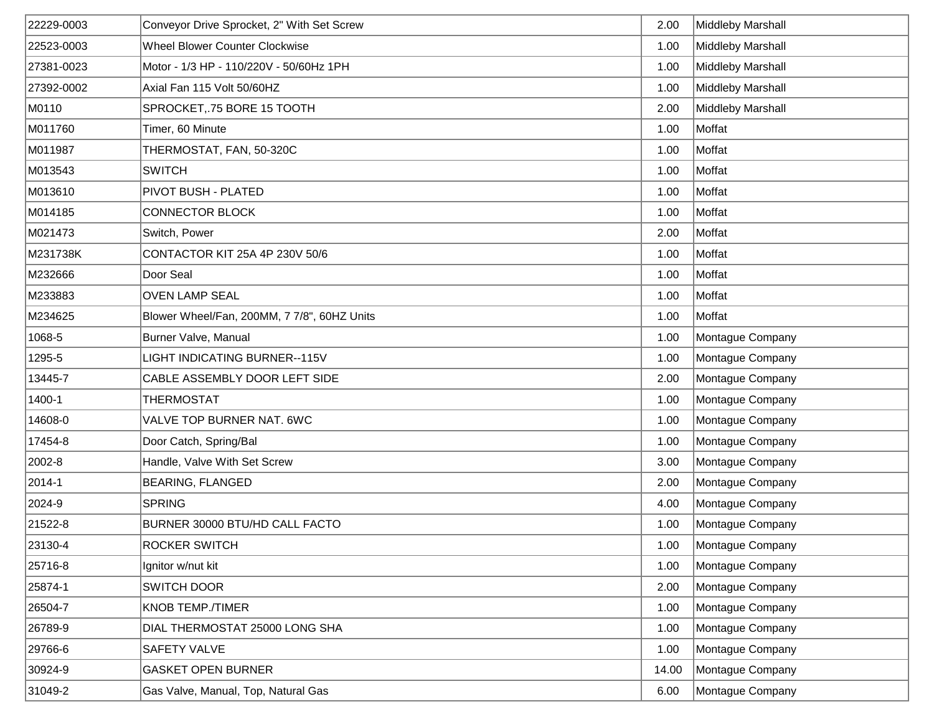| 22229-0003 | Conveyor Drive Sprocket, 2" With Set Screw  | 2.00  | Middleby Marshall |
|------------|---------------------------------------------|-------|-------------------|
| 22523-0003 | <b>Wheel Blower Counter Clockwise</b>       | 1.00  | Middleby Marshall |
| 27381-0023 | Motor - 1/3 HP - 110/220V - 50/60Hz 1PH     | 1.00  | Middleby Marshall |
| 27392-0002 | Axial Fan 115 Volt 50/60HZ                  | 1.00  | Middleby Marshall |
| M0110      | SPROCKET, 75 BORE 15 TOOTH                  | 2.00  | Middleby Marshall |
| M011760    | Timer, 60 Minute                            | 1.00  | Moffat            |
| M011987    | THERMOSTAT, FAN, 50-320C                    | 1.00  | Moffat            |
| M013543    | <b>SWITCH</b>                               | 1.00  | Moffat            |
| M013610    | PIVOT BUSH - PLATED                         | 1.00  | Moffat            |
| M014185    | <b>CONNECTOR BLOCK</b>                      | 1.00  | Moffat            |
| M021473    | Switch, Power                               | 2.00  | Moffat            |
| M231738K   | CONTACTOR KIT 25A 4P 230V 50/6              | 1.00  | Moffat            |
| M232666    | Door Seal                                   | 1.00  | Moffat            |
| M233883    | <b>OVEN LAMP SEAL</b>                       | 1.00  | Moffat            |
| M234625    | Blower Wheel/Fan, 200MM, 7 7/8", 60HZ Units | 1.00  | Moffat            |
| 1068-5     | Burner Valve, Manual                        | 1.00  | Montague Company  |
| 1295-5     | LIGHT INDICATING BURNER--115V               | 1.00  | Montague Company  |
| 13445-7    | CABLE ASSEMBLY DOOR LEFT SIDE               | 2.00  | Montague Company  |
| 1400-1     | THERMOSTAT                                  | 1.00  | Montague Company  |
| 14608-0    | VALVE TOP BURNER NAT. 6WC                   | 1.00  | Montague Company  |
| 17454-8    | Door Catch, Spring/Bal                      | 1.00  | Montague Company  |
| 2002-8     | Handle, Valve With Set Screw                | 3.00  | Montague Company  |
| 2014-1     | <b>BEARING, FLANGED</b>                     | 2.00  | Montague Company  |
| 2024-9     | <b>SPRING</b>                               | 4.00  | Montague Company  |
| 21522-8    | BURNER 30000 BTU/HD CALL FACTO              | 1.00  | Montague Company  |
| 23130-4    | ROCKER SWITCH                               | 1.00  | Montague Company  |
| 25716-8    | Ignitor w/nut kit                           | 1.00  | Montague Company  |
| 25874-1    | <b>SWITCH DOOR</b>                          | 2.00  | Montague Company  |
| 26504-7    | <b>KNOB TEMP./TIMER</b>                     | 1.00  | Montague Company  |
| 26789-9    | DIAL THERMOSTAT 25000 LONG SHA              | 1.00  | Montague Company  |
| 29766-6    | SAFETY VALVE                                | 1.00  | Montague Company  |
| 30924-9    | <b>GASKET OPEN BURNER</b>                   | 14.00 | Montague Company  |
| 31049-2    | Gas Valve, Manual, Top, Natural Gas         | 6.00  | Montague Company  |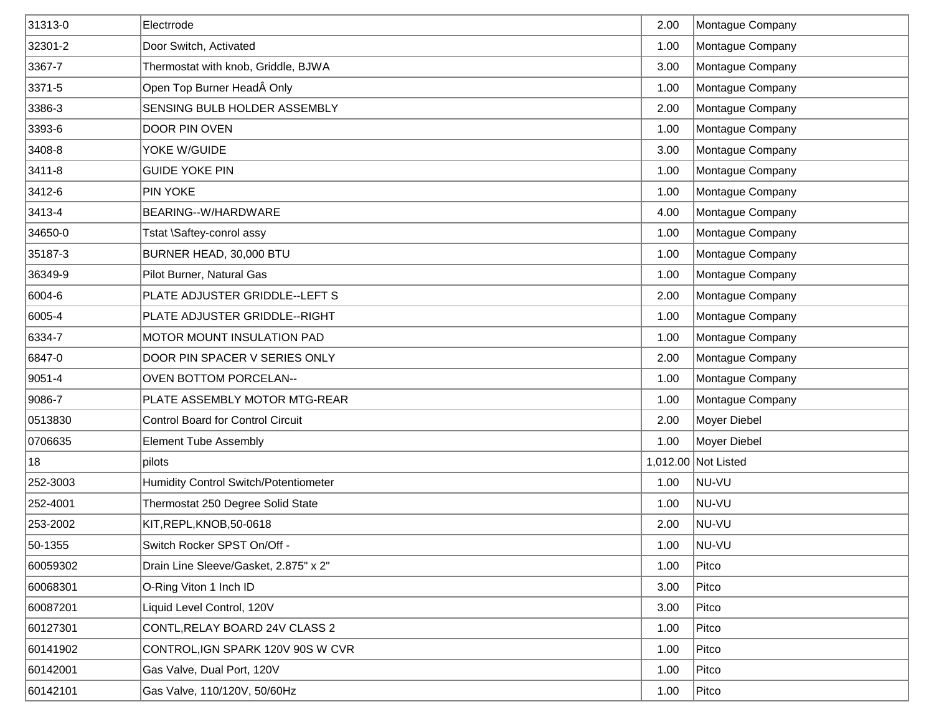| 31313-0  | Electrrode                                   | 2.00 | Montague Company    |
|----------|----------------------------------------------|------|---------------------|
| 32301-2  | Door Switch, Activated                       | 1.00 | Montague Company    |
| 3367-7   | Thermostat with knob, Griddle, BJWA          | 3.00 | Montague Company    |
| 3371-5   | Open Top Burner Head Only                    | 1.00 | Montague Company    |
| 3386-3   | SENSING BULB HOLDER ASSEMBLY                 | 2.00 | Montague Company    |
| 3393-6   | DOOR PIN OVEN                                | 1.00 | Montague Company    |
| 3408-8   | YOKE W/GUIDE                                 | 3.00 | Montague Company    |
| 3411-8   | <b>GUIDE YOKE PIN</b>                        | 1.00 | Montague Company    |
| 3412-6   | <b>PIN YOKE</b>                              | 1.00 | Montague Company    |
| 3413-4   | BEARING--W/HARDWARE                          | 4.00 | Montague Company    |
| 34650-0  | Tstat \Saftey-conrol assy                    | 1.00 | Montague Company    |
| 35187-3  | BURNER HEAD, 30,000 BTU                      | 1.00 | Montague Company    |
| 36349-9  | Pilot Burner, Natural Gas                    | 1.00 | Montague Company    |
| 6004-6   | PLATE ADJUSTER GRIDDLE--LEFT S               | 2.00 | Montague Company    |
| 6005-4   | PLATE ADJUSTER GRIDDLE--RIGHT                | 1.00 | Montague Company    |
| 6334-7   | MOTOR MOUNT INSULATION PAD                   | 1.00 | Montague Company    |
| 6847-0   | DOOR PIN SPACER V SERIES ONLY                | 2.00 | Montague Company    |
| 9051-4   | <b>OVEN BOTTOM PORCELAN--</b>                | 1.00 | Montague Company    |
| 9086-7   | PLATE ASSEMBLY MOTOR MTG-REAR                | 1.00 | Montague Company    |
| 0513830  | <b>Control Board for Control Circuit</b>     | 2.00 | Moyer Diebel        |
| 0706635  | <b>Element Tube Assembly</b>                 | 1.00 | Moyer Diebel        |
| 18       | pilots                                       |      | 1,012.00 Not Listed |
| 252-3003 | <b>Humidity Control Switch/Potentiometer</b> | 1.00 | NU-VU               |
| 252-4001 | Thermostat 250 Degree Solid State            | 1.00 | NU-VU               |
| 253-2002 | KIT, REPL, KNOB, 50-0618                     | 2.00 | NU-VU               |
| 50-1355  | Switch Rocker SPST On/Off -                  | 1.00 | NU-VU               |
| 60059302 | Drain Line Sleeve/Gasket, 2.875" x 2"        | 1.00 | Pitco               |
| 60068301 | O-Ring Viton 1 Inch ID                       | 3.00 | Pitco               |
| 60087201 | Liquid Level Control, 120V                   | 3.00 | Pitco               |
| 60127301 | CONTL, RELAY BOARD 24V CLASS 2               | 1.00 | Pitco               |
| 60141902 | CONTROL, IGN SPARK 120V 90S W CVR            | 1.00 | Pitco               |
| 60142001 | Gas Valve, Dual Port, 120V                   | 1.00 | Pitco               |
| 60142101 | Gas Valve, 110/120V, 50/60Hz                 | 1.00 | Pitco               |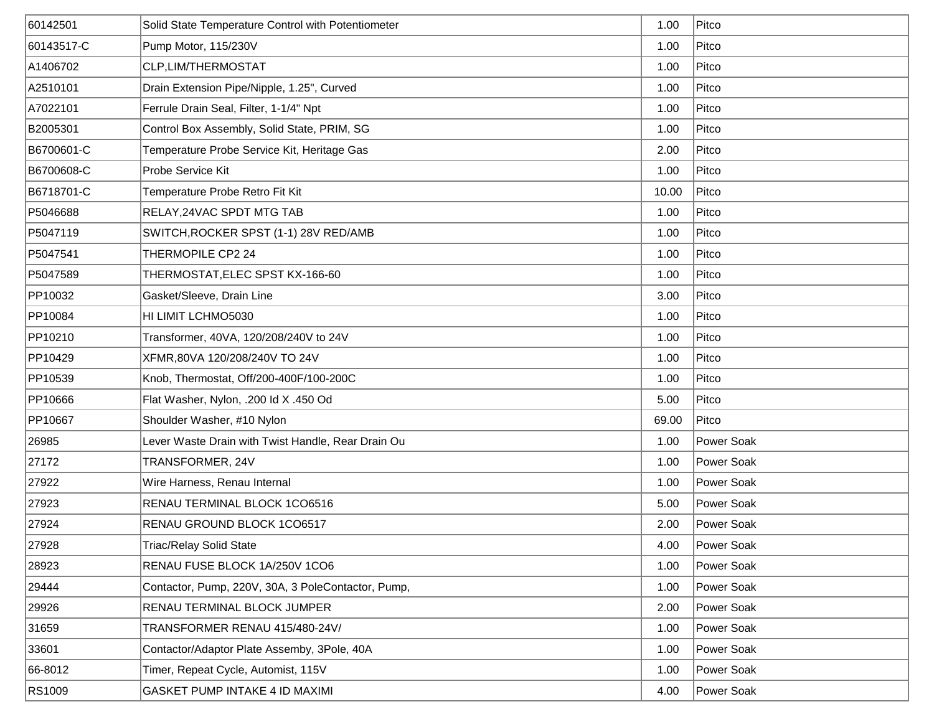| 60142501   | Solid State Temperature Control with Potentiometer | 1.00  | Pitco      |
|------------|----------------------------------------------------|-------|------------|
| 60143517-C | Pump Motor, 115/230V                               | 1.00  | Pitco      |
| A1406702   | CLP, LIM/THERMOSTAT                                | 1.00  | Pitco      |
| A2510101   | Drain Extension Pipe/Nipple, 1.25", Curved         | 1.00  | Pitco      |
| A7022101   | Ferrule Drain Seal, Filter, 1-1/4" Npt             | 1.00  | Pitco      |
| B2005301   | Control Box Assembly, Solid State, PRIM, SG        | 1.00  | Pitco      |
| B6700601-C | Temperature Probe Service Kit, Heritage Gas        | 2.00  | Pitco      |
| B6700608-C | Probe Service Kit                                  | 1.00  | Pitco      |
| B6718701-C | Temperature Probe Retro Fit Kit                    | 10.00 | Pitco      |
| P5046688   | RELAY, 24VAC SPDT MTG TAB                          | 1.00  | Pitco      |
| P5047119   | SWITCH, ROCKER SPST (1-1) 28V RED/AMB              | 1.00  | Pitco      |
| P5047541   | THERMOPILE CP2 24                                  | 1.00  | Pitco      |
| P5047589   | THERMOSTAT,ELEC SPST KX-166-60                     | 1.00  | Pitco      |
| PP10032    | Gasket/Sleeve, Drain Line                          | 3.00  | Pitco      |
| PP10084    | HI LIMIT LCHMO5030                                 | 1.00  | Pitco      |
| PP10210    | Transformer, 40VA, 120/208/240V to 24V             | 1.00  | Pitco      |
| PP10429    | XFMR,80VA 120/208/240V TO 24V                      | 1.00  | Pitco      |
| PP10539    | Knob, Thermostat, Off/200-400F/100-200C            | 1.00  | Pitco      |
| PP10666    | Flat Washer, Nylon, .200 ld X .450 Od              | 5.00  | Pitco      |
| PP10667    | Shoulder Washer, #10 Nylon                         | 69.00 | Pitco      |
| 26985      | Lever Waste Drain with Twist Handle, Rear Drain Ou | 1.00  | Power Soak |
| 27172      | TRANSFORMER, 24V                                   | 1.00  | Power Soak |
| 27922      | Wire Harness, Renau Internal                       | 1.00  | Power Soak |
| 27923      | RENAU TERMINAL BLOCK 1CO6516                       | 5.00  | Power Soak |
| 27924      | RENAU GROUND BLOCK 1CO6517                         | 2.00  | Power Soak |
| 27928      | Triac/Relay Solid State                            | 4.00  | Power Soak |
| 28923      | RENAU FUSE BLOCK 1A/250V 1CO6                      | 1.00  | Power Soak |
| 29444      | Contactor, Pump, 220V, 30A, 3 PoleContactor, Pump, | 1.00  | Power Soak |
| 29926      | RENAU TERMINAL BLOCK JUMPER                        | 2.00  | Power Soak |
| 31659      | TRANSFORMER RENAU 415/480-24V/                     | 1.00  | Power Soak |
| 33601      | Contactor/Adaptor Plate Assemby, 3Pole, 40A        | 1.00  | Power Soak |
| 66-8012    | Timer, Repeat Cycle, Automist, 115V                | 1.00  | Power Soak |
| RS1009     | <b>GASKET PUMP INTAKE 4 ID MAXIMI</b>              | 4.00  | Power Soak |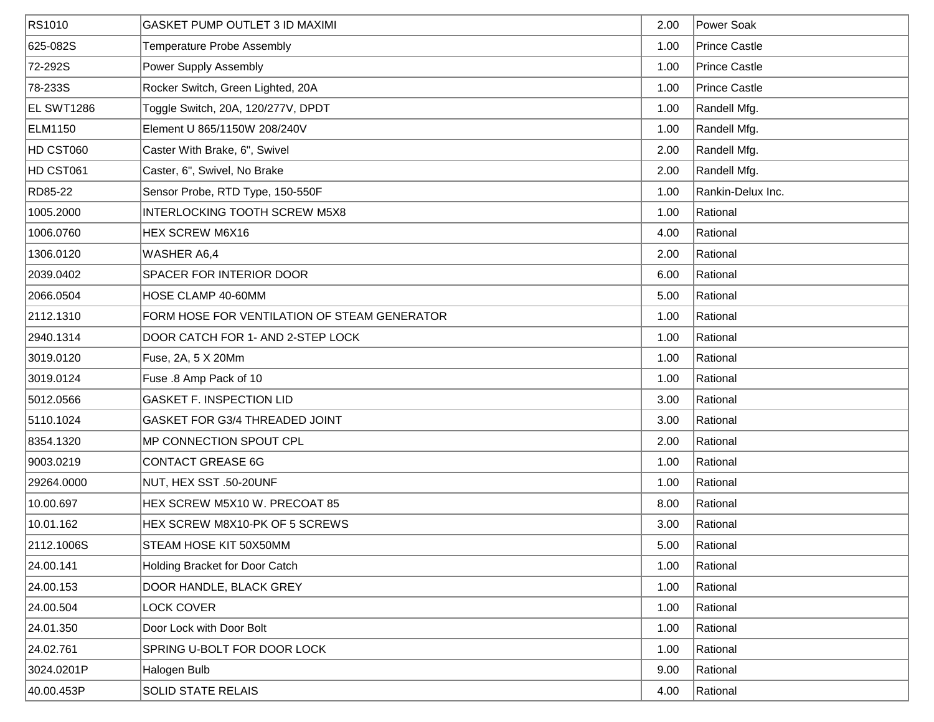| RS1010     | <b>GASKET PUMP OUTLET 3 ID MAXIMI</b>        | 2.00 | Power Soak           |
|------------|----------------------------------------------|------|----------------------|
| 625-082S   | Temperature Probe Assembly                   | 1.00 | <b>Prince Castle</b> |
| 72-292S    | Power Supply Assembly                        | 1.00 | <b>Prince Castle</b> |
| 78-233S    | Rocker Switch, Green Lighted, 20A            | 1.00 | <b>Prince Castle</b> |
| EL SWT1286 | Toggle Switch, 20A, 120/277V, DPDT           | 1.00 | Randell Mfg.         |
| ELM1150    | Element U 865/1150W 208/240V                 | 1.00 | Randell Mfg.         |
| HD CST060  | Caster With Brake, 6", Swivel                | 2.00 | Randell Mfg.         |
| HD CST061  | Caster, 6", Swivel, No Brake                 | 2.00 | Randell Mfg.         |
| RD85-22    | Sensor Probe, RTD Type, 150-550F             | 1.00 | Rankin-Delux Inc.    |
| 1005.2000  | INTERLOCKING TOOTH SCREW M5X8                | 1.00 | Rational             |
| 1006.0760  | HEX SCREW M6X16                              | 4.00 | Rational             |
| 1306.0120  | WASHER A6,4                                  | 2.00 | Rational             |
| 2039.0402  | <b>SPACER FOR INTERIOR DOOR</b>              | 6.00 | Rational             |
| 2066.0504  | HOSE CLAMP 40-60MM                           | 5.00 | Rational             |
| 2112.1310  | FORM HOSE FOR VENTILATION OF STEAM GENERATOR | 1.00 | Rational             |
| 2940.1314  | DOOR CATCH FOR 1- AND 2-STEP LOCK            | 1.00 | Rational             |
| 3019.0120  | Fuse, 2A, 5 X 20Mm                           | 1.00 | Rational             |
| 3019.0124  | Fuse .8 Amp Pack of 10                       | 1.00 | Rational             |
| 5012.0566  | <b>GASKET F. INSPECTION LID</b>              | 3.00 | Rational             |
| 5110.1024  | GASKET FOR G3/4 THREADED JOINT               | 3.00 | Rational             |
| 8354.1320  | MP CONNECTION SPOUT CPL                      | 2.00 | Rational             |
| 9003.0219  | <b>CONTACT GREASE 6G</b>                     | 1.00 | Rational             |
| 29264.0000 | NUT, HEX SST .50-20UNF                       | 1.00 | Rational             |
| 10.00.697  | HEX SCREW M5X10 W. PRECOAT 85                | 8.00 | Rational             |
| 10.01.162  | HEX SCREW M8X10-PK OF 5 SCREWS               | 3.00 | Rational             |
| 2112.1006S | STEAM HOSE KIT 50X50MM                       | 5.00 | Rational             |
| 24.00.141  | Holding Bracket for Door Catch               | 1.00 | Rational             |
| 24.00.153  | DOOR HANDLE, BLACK GREY                      | 1.00 | Rational             |
| 24.00.504  | LOCK COVER                                   | 1.00 | Rational             |
| 24.01.350  | Door Lock with Door Bolt                     | 1.00 | Rational             |
| 24.02.761  | SPRING U-BOLT FOR DOOR LOCK                  | 1.00 | Rational             |
| 3024.0201P | Halogen Bulb                                 | 9.00 | Rational             |
| 40.00.453P | SOLID STATE RELAIS                           | 4.00 | Rational             |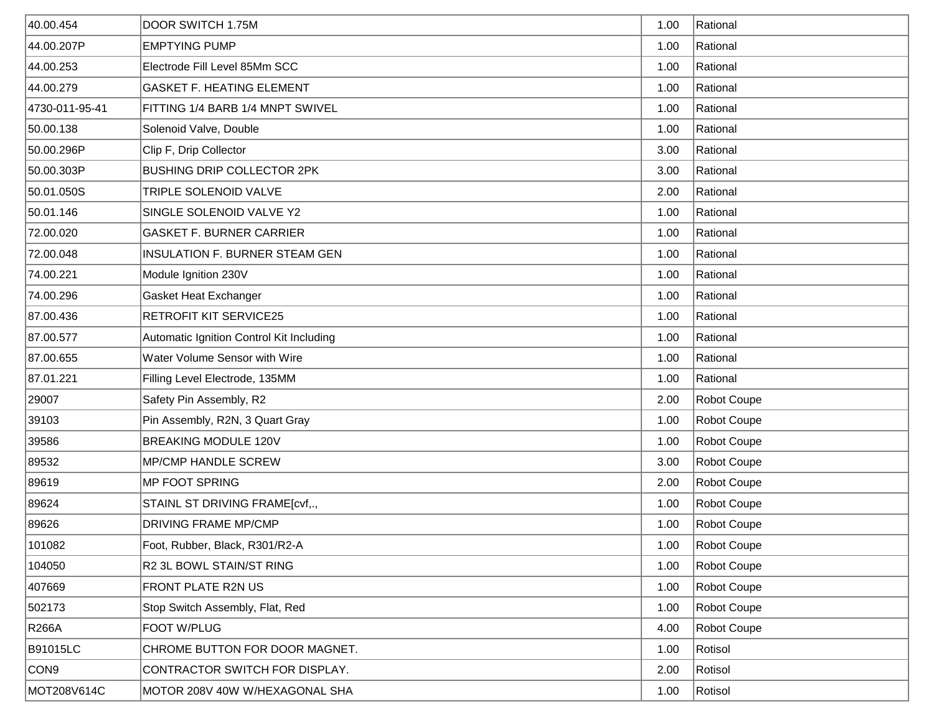| 40.00.454        | DOOR SWITCH 1.75M                        | 1.00 | Rational    |
|------------------|------------------------------------------|------|-------------|
| 44.00.207P       | <b>EMPTYING PUMP</b>                     | 1.00 | Rational    |
| 44.00.253        | Electrode Fill Level 85Mm SCC            | 1.00 | Rational    |
| 44.00.279        | <b>GASKET F. HEATING ELEMENT</b>         | 1.00 | Rational    |
| 4730-011-95-41   | FITTING 1/4 BARB 1/4 MNPT SWIVEL         | 1.00 | Rational    |
| 50.00.138        | Solenoid Valve, Double                   | 1.00 | Rational    |
| 50.00.296P       | Clip F, Drip Collector                   | 3.00 | Rational    |
| 50.00.303P       | <b>BUSHING DRIP COLLECTOR 2PK</b>        | 3.00 | Rational    |
| 50.01.050S       | TRIPLE SOLENOID VALVE                    | 2.00 | Rational    |
| 50.01.146        | SINGLE SOLENOID VALVE Y2                 | 1.00 | Rational    |
| 72.00.020        | <b>GASKET F. BURNER CARRIER</b>          | 1.00 | Rational    |
| 72.00.048        | INSULATION F. BURNER STEAM GEN           | 1.00 | Rational    |
| 74.00.221        | Module Ignition 230V                     | 1.00 | Rational    |
| 74.00.296        | Gasket Heat Exchanger                    | 1.00 | Rational    |
| 87.00.436        | RETROFIT KIT SERVICE25                   | 1.00 | Rational    |
| 87.00.577        | Automatic Ignition Control Kit Including | 1.00 | Rational    |
| 87.00.655        | Water Volume Sensor with Wire            | 1.00 | Rational    |
| 87.01.221        | Filling Level Electrode, 135MM           | 1.00 | Rational    |
| 29007            | Safety Pin Assembly, R2                  | 2.00 | Robot Coupe |
| 39103            | Pin Assembly, R2N, 3 Quart Gray          | 1.00 | Robot Coupe |
| 39586            | <b>BREAKING MODULE 120V</b>              | 1.00 | Robot Coupe |
| 89532            | <b>MP/CMP HANDLE SCREW</b>               | 3.00 | Robot Coupe |
| 89619            | MP FOOT SPRING                           | 2.00 | Robot Coupe |
| 89624            | STAINL ST DRIVING FRAME[cvf,.,           | 1.00 | Robot Coupe |
| 89626            | <b>DRIVING FRAME MP/CMP</b>              | 1.00 | Robot Coupe |
| 101082           | Foot, Rubber, Black, R301/R2-A           | 1.00 | Robot Coupe |
| 104050           | R2 3L BOWL STAIN/ST RING                 | 1.00 | Robot Coupe |
| 407669           | FRONT PLATE R2N US                       | 1.00 | Robot Coupe |
| 502173           | Stop Switch Assembly, Flat, Red          | 1.00 | Robot Coupe |
| <b>R266A</b>     | FOOT W/PLUG                              | 4.00 | Robot Coupe |
| <b>B91015LC</b>  | CHROME BUTTON FOR DOOR MAGNET.           | 1.00 | Rotisol     |
| CON <sub>9</sub> | CONTRACTOR SWITCH FOR DISPLAY.           | 2.00 | Rotisol     |
| MOT208V614C      | MOTOR 208V 40W W/HEXAGONAL SHA           | 1.00 | Rotisol     |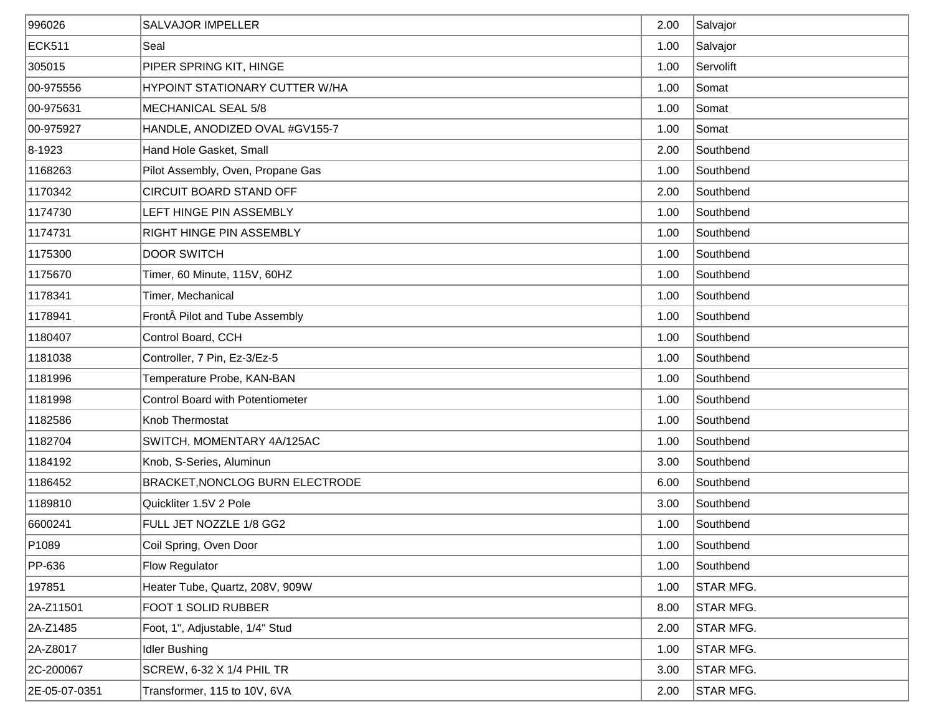| 996026            | <b>SALVAJOR IMPELLER</b>                | 2.00 | Salvajor  |
|-------------------|-----------------------------------------|------|-----------|
| <b>ECK511</b>     | Seal                                    | 1.00 | Salvajor  |
| 305015            | PIPER SPRING KIT, HINGE                 | 1.00 | Servolift |
| 00-975556         | HYPOINT STATIONARY CUTTER W/HA          | 1.00 | Somat     |
| 00-975631         | MECHANICAL SEAL 5/8                     | 1.00 | Somat     |
| 00-975927         | HANDLE, ANODIZED OVAL #GV155-7          | 1.00 | Somat     |
| 8-1923            | Hand Hole Gasket, Small                 | 2.00 | Southbend |
| 1168263           | Pilot Assembly, Oven, Propane Gas       | 1.00 | Southbend |
| 1170342           | CIRCUIT BOARD STAND OFF                 | 2.00 | Southbend |
| 1174730           | LEFT HINGE PIN ASSEMBLY                 | 1.00 | Southbend |
| 1174731           | RIGHT HINGE PIN ASSEMBLY                | 1.00 | Southbend |
| 1175300           | <b>DOOR SWITCH</b>                      | 1.00 | Southbend |
| 1175670           | Timer, 60 Minute, 115V, 60HZ            | 1.00 | Southbend |
| 1178341           | Timer, Mechanical                       | 1.00 | Southbend |
| 1178941           | Front Pilot and Tube Assembly           | 1.00 | Southbend |
| 1180407           | Control Board, CCH                      | 1.00 | Southbend |
| 1181038           | Controller, 7 Pin, Ez-3/Ez-5            | 1.00 | Southbend |
| 1181996           | Temperature Probe, KAN-BAN              | 1.00 | Southbend |
| 1181998           | <b>Control Board with Potentiometer</b> | 1.00 | Southbend |
| 1182586           | Knob Thermostat                         | 1.00 | Southbend |
| 1182704           | SWITCH, MOMENTARY 4A/125AC              | 1.00 | Southbend |
| 1184192           | Knob, S-Series, Aluminun                | 3.00 | Southbend |
| 1186452           | BRACKET, NONCLOG BURN ELECTRODE         | 6.00 | Southbend |
| 1189810           | Quickliter 1.5V 2 Pole                  | 3.00 | Southbend |
| 6600241           | FULL JET NOZZLE 1/8 GG2                 | 1.00 | Southbend |
| P <sub>1089</sub> | Coil Spring, Oven Door                  | 1.00 | Southbend |
| PP-636            | <b>Flow Regulator</b>                   | 1.00 | Southbend |
| 197851            | Heater Tube, Quartz, 208V, 909W         | 1.00 | STAR MFG. |
| 2A-Z11501         | FOOT 1 SOLID RUBBER                     | 8.00 | STAR MFG. |
| 2A-Z1485          | Foot, 1", Adjustable, 1/4" Stud         | 2.00 | STAR MFG. |
| 2A-Z8017          | <b>Idler Bushing</b>                    | 1.00 | STAR MFG. |
| 2C-200067         | <b>SCREW, 6-32 X 1/4 PHIL TR</b>        | 3.00 | STAR MFG. |
| 2E-05-07-0351     | Transformer, 115 to 10V, 6VA            | 2.00 | STAR MFG. |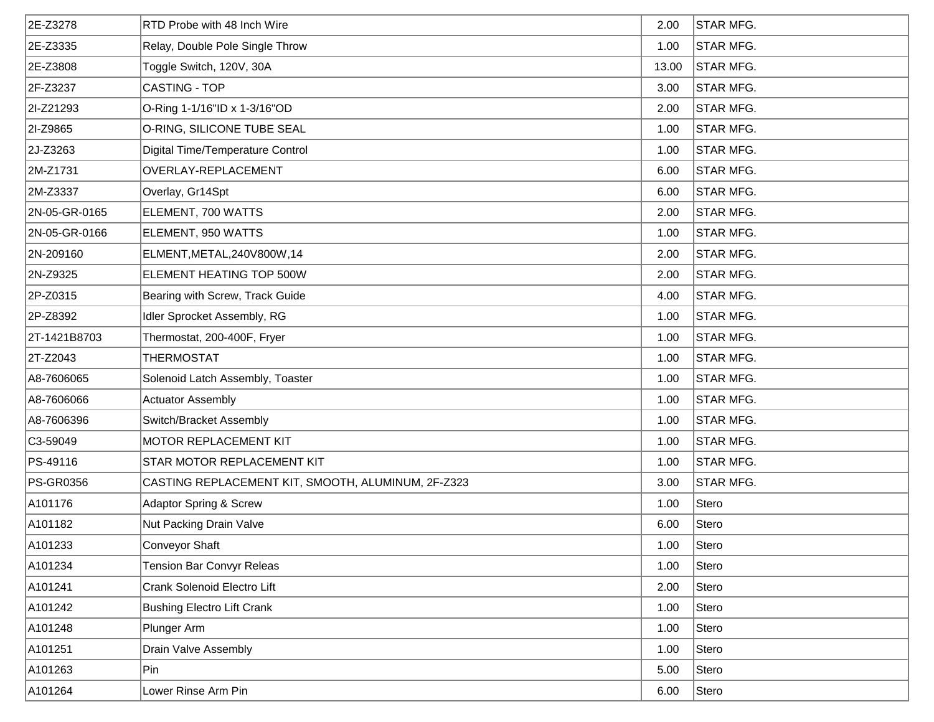| 2E-Z3278      | RTD Probe with 48 Inch Wire                        | 2.00  | <b>STAR MFG.</b> |
|---------------|----------------------------------------------------|-------|------------------|
| 2E-Z3335      | Relay, Double Pole Single Throw                    | 1.00  | <b>STAR MFG.</b> |
| 2E-Z3808      | Toggle Switch, 120V, 30A                           | 13.00 | <b>STAR MFG.</b> |
| 2F-Z3237      | CASTING - TOP                                      | 3.00  | <b>STAR MFG.</b> |
| 2I-Z21293     | O-Ring 1-1/16"ID x 1-3/16"OD                       | 2.00  | <b>STAR MFG.</b> |
| 2I-Z9865      | O-RING, SILICONE TUBE SEAL                         | 1.00  | <b>STAR MFG.</b> |
| 2J-Z3263      | Digital Time/Temperature Control                   | 1.00  | STAR MFG.        |
| 2M-Z1731      | OVERLAY-REPLACEMENT                                | 6.00  | STAR MFG.        |
| 2M-Z3337      | Overlay, Gr14Spt                                   | 6.00  | <b>STAR MFG.</b> |
| 2N-05-GR-0165 | ELEMENT, 700 WATTS                                 | 2.00  | <b>STAR MFG.</b> |
| 2N-05-GR-0166 | ELEMENT, 950 WATTS                                 | 1.00  | <b>STAR MFG.</b> |
| 2N-209160     | ELMENT, METAL, 240 V800W, 14                       | 2.00  | <b>STAR MFG.</b> |
| 2N-Z9325      | ELEMENT HEATING TOP 500W                           | 2.00  | STAR MFG.        |
| 2P-Z0315      | Bearing with Screw, Track Guide                    | 4.00  | <b>STAR MFG.</b> |
| 2P-Z8392      | Idler Sprocket Assembly, RG                        | 1.00  | <b>STAR MFG.</b> |
| 2T-1421B8703  | Thermostat, 200-400F, Fryer                        | 1.00  | STAR MFG.        |
| 2T-Z2043      | <b>THERMOSTAT</b>                                  | 1.00  | STAR MFG.        |
| A8-7606065    | Solenoid Latch Assembly, Toaster                   | 1.00  | <b>STAR MFG.</b> |
| A8-7606066    | <b>Actuator Assembly</b>                           | 1.00  | <b>STAR MFG.</b> |
| A8-7606396    | Switch/Bracket Assembly                            | 1.00  | <b>STAR MFG.</b> |
| $ C3-59049 $  | <b>MOTOR REPLACEMENT KIT</b>                       | 1.00  | <b>STAR MFG.</b> |
| PS-49116      | STAR MOTOR REPLACEMENT KIT                         | 1.00  | <b>STAR MFG.</b> |
| PS-GR0356     | CASTING REPLACEMENT KIT, SMOOTH, ALUMINUM, 2F-Z323 | 3.00  | <b>STAR MFG.</b> |
| A101176       | <b>Adaptor Spring &amp; Screw</b>                  | 1.00  | Stero            |
| A101182       | Nut Packing Drain Valve                            | 6.00  | Stero            |
| A101233       | Conveyor Shaft                                     | 1.00  | Stero            |
| A101234       | <b>Tension Bar Convyr Releas</b>                   | 1.00  | Stero            |
| A101241       | Crank Solenoid Electro Lift                        | 2.00  | Stero            |
| A101242       | <b>Bushing Electro Lift Crank</b>                  | 1.00  | Stero            |
| A101248       | Plunger Arm                                        | 1.00  | Stero            |
| A101251       | Drain Valve Assembly                               | 1.00  | Stero            |
| A101263       | Pin                                                | 5.00  | Stero            |
| A101264       | Lower Rinse Arm Pin                                | 6.00  | Stero            |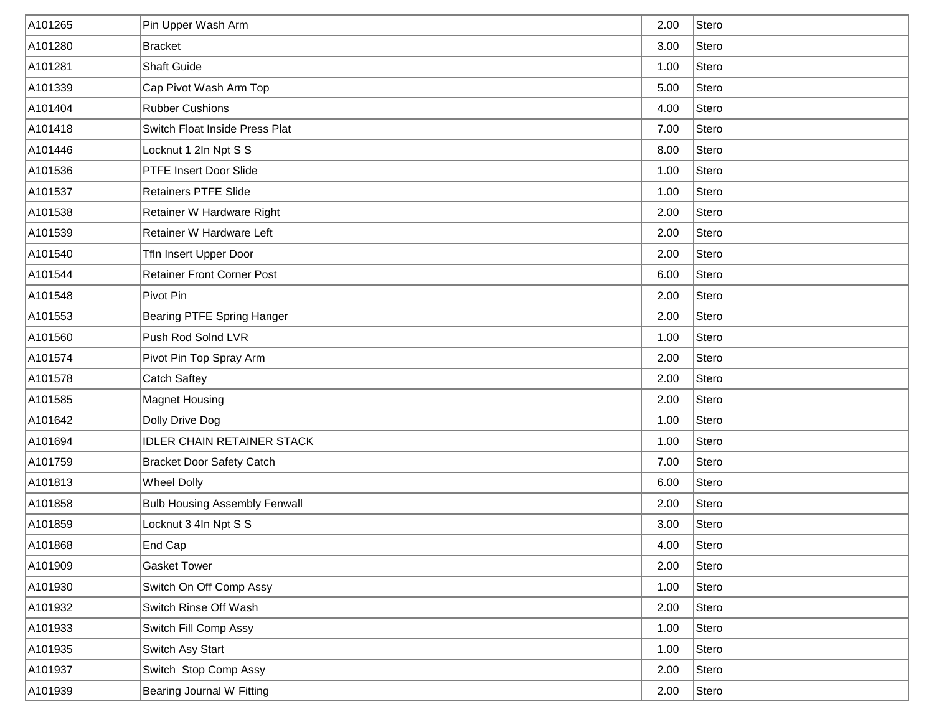| A101265 | Pin Upper Wash Arm                   | 2.00 | Stero |
|---------|--------------------------------------|------|-------|
| A101280 | <b>Bracket</b>                       | 3.00 | Stero |
| A101281 | <b>Shaft Guide</b>                   | 1.00 | Stero |
| A101339 | Cap Pivot Wash Arm Top               | 5.00 | Stero |
| A101404 | <b>Rubber Cushions</b>               | 4.00 | Stero |
| A101418 | Switch Float Inside Press Plat       | 7.00 | Stero |
| A101446 | Locknut 1 2In Npt S S                | 8.00 | Stero |
| A101536 | <b>PTFE Insert Door Slide</b>        | 1.00 | Stero |
| A101537 | <b>Retainers PTFE Slide</b>          | 1.00 | Stero |
| A101538 | Retainer W Hardware Right            | 2.00 | Stero |
| A101539 | Retainer W Hardware Left             | 2.00 | Stero |
| A101540 | Tfln Insert Upper Door               | 2.00 | Stero |
| A101544 | <b>Retainer Front Corner Post</b>    | 6.00 | Stero |
| A101548 | Pivot Pin                            | 2.00 | Stero |
| A101553 | Bearing PTFE Spring Hanger           | 2.00 | Stero |
| A101560 | Push Rod Solnd LVR                   | 1.00 | Stero |
| A101574 | Pivot Pin Top Spray Arm              | 2.00 | Stero |
| A101578 | <b>Catch Saftey</b>                  | 2.00 | Stero |
| A101585 | <b>Magnet Housing</b>                | 2.00 | Stero |
| A101642 | Dolly Drive Dog                      | 1.00 | Stero |
| A101694 | <b>IDLER CHAIN RETAINER STACK</b>    | 1.00 | Stero |
| A101759 | <b>Bracket Door Safety Catch</b>     | 7.00 | Stero |
| A101813 | <b>Wheel Dolly</b>                   | 6.00 | Stero |
| A101858 | <b>Bulb Housing Assembly Fenwall</b> | 2.00 | Stero |
| A101859 | Locknut 3 4In Npt S S                | 3.00 | Stero |
| A101868 | End Cap                              | 4.00 | Stero |
| A101909 | <b>Gasket Tower</b>                  | 2.00 | Stero |
| A101930 | Switch On Off Comp Assy              | 1.00 | Stero |
| A101932 | Switch Rinse Off Wash                | 2.00 | Stero |
| A101933 | Switch Fill Comp Assy                | 1.00 | Stero |
| A101935 | Switch Asy Start                     | 1.00 | Stero |
| A101937 | Switch Stop Comp Assy                | 2.00 | Stero |
| A101939 | <b>Bearing Journal W Fitting</b>     | 2.00 | Stero |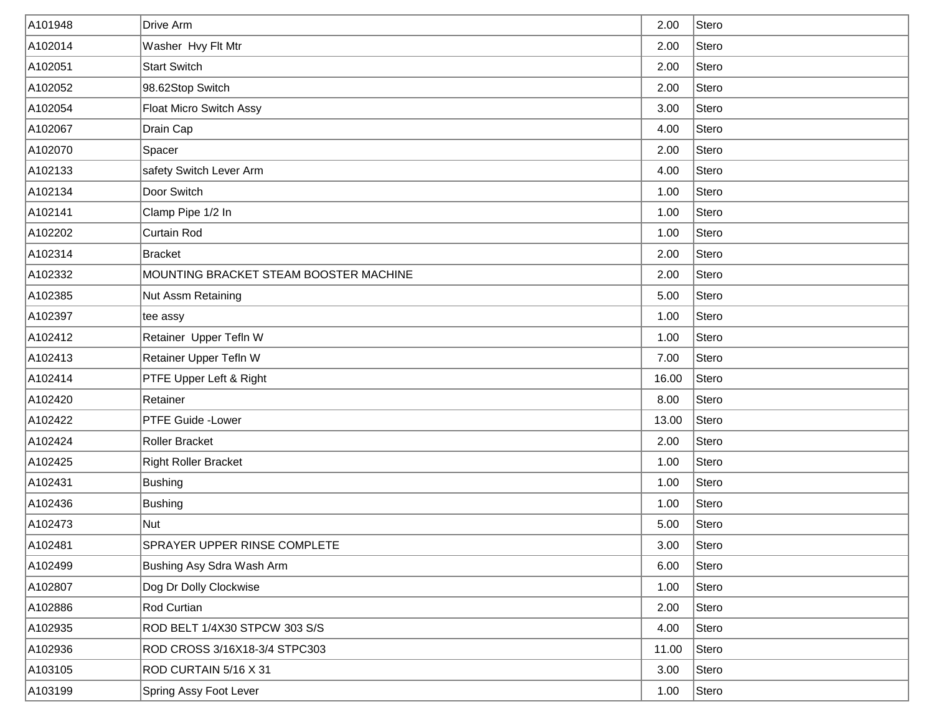| A101948 | Drive Arm                              | 2.00  | Stero |
|---------|----------------------------------------|-------|-------|
| A102014 | Washer Hvy Flt Mtr                     | 2.00  | Stero |
| A102051 | <b>Start Switch</b>                    | 2.00  | Stero |
| A102052 | 98.62Stop Switch                       | 2.00  | Stero |
| A102054 | Float Micro Switch Assy                | 3.00  | Stero |
| A102067 | Drain Cap                              | 4.00  | Stero |
| A102070 | Spacer                                 | 2.00  | Stero |
| A102133 | safety Switch Lever Arm                | 4.00  | Stero |
| A102134 | Door Switch                            | 1.00  | Stero |
| A102141 | Clamp Pipe 1/2 In                      | 1.00  | Stero |
| A102202 | Curtain Rod                            | 1.00  | Stero |
| A102314 | Bracket                                | 2.00  | Stero |
| A102332 | MOUNTING BRACKET STEAM BOOSTER MACHINE | 2.00  | Stero |
| A102385 | Nut Assm Retaining                     | 5.00  | Stero |
| A102397 | tee assy                               | 1.00  | Stero |
| A102412 | Retainer Upper Tefln W                 | 1.00  | Stero |
| A102413 | Retainer Upper Tefln W                 | 7.00  | Stero |
| A102414 | PTFE Upper Left & Right                | 16.00 | Stero |
| A102420 | Retainer                               | 8.00  | Stero |
| A102422 | <b>PTFE Guide -Lower</b>               | 13.00 | Stero |
| A102424 | Roller Bracket                         | 2.00  | Stero |
| A102425 | <b>Right Roller Bracket</b>            | 1.00  | Stero |
| A102431 | <b>Bushing</b>                         | 1.00  | Stero |
| A102436 | Bushing                                | 1.00  | Stero |
| A102473 | Nut                                    | 5.00  | Stero |
| A102481 | SPRAYER UPPER RINSE COMPLETE           | 3.00  | Stero |
| A102499 | Bushing Asy Sdra Wash Arm              | 6.00  | Stero |
| A102807 | Dog Dr Dolly Clockwise                 | 1.00  | Stero |
| A102886 | Rod Curtian                            | 2.00  | Stero |
| A102935 | ROD BELT 1/4X30 STPCW 303 S/S          | 4.00  | Stero |
| A102936 | ROD CROSS 3/16X18-3/4 STPC303          | 11.00 | Stero |
| A103105 | ROD CURTAIN 5/16 X 31                  | 3.00  | Stero |
| A103199 | Spring Assy Foot Lever                 | 1.00  | Stero |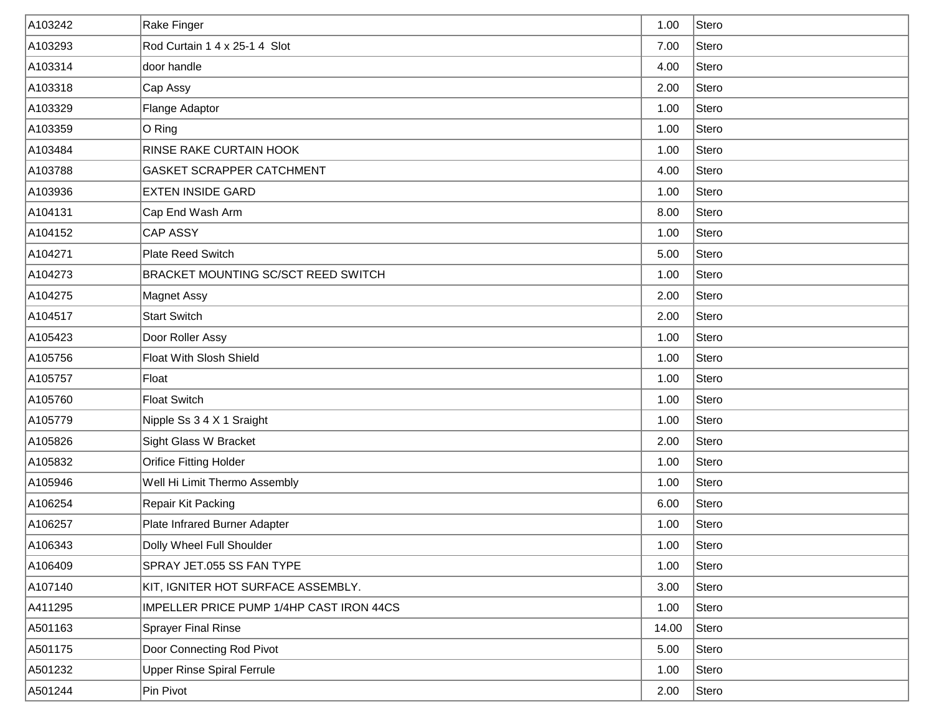| A103242 | Rake Finger                              | 1.00  | Stero |
|---------|------------------------------------------|-------|-------|
| A103293 | Rod Curtain 1 4 x 25-1 4 Slot            | 7.00  | Stero |
| A103314 | door handle                              | 4.00  | Stero |
| A103318 | Cap Assy                                 | 2.00  | Stero |
| A103329 | Flange Adaptor                           | 1.00  | Stero |
| A103359 | O Ring                                   | 1.00  | Stero |
| A103484 | RINSE RAKE CURTAIN HOOK                  | 1.00  | Stero |
| A103788 | <b>GASKET SCRAPPER CATCHMENT</b>         | 4.00  | Stero |
| A103936 | <b>EXTEN INSIDE GARD</b>                 | 1.00  | Stero |
| A104131 | Cap End Wash Arm                         | 8.00  | Stero |
| A104152 | CAP ASSY                                 | 1.00  | Stero |
| A104271 | Plate Reed Switch                        | 5.00  | Stero |
| A104273 | BRACKET MOUNTING SC/SCT REED SWITCH      | 1.00  | Stero |
| A104275 | Magnet Assy                              | 2.00  | Stero |
| A104517 | <b>Start Switch</b>                      | 2.00  | Stero |
| A105423 | Door Roller Assy                         | 1.00  | Stero |
| A105756 | Float With Slosh Shield                  | 1.00  | Stero |
| A105757 | Float                                    | 1.00  | Stero |
| A105760 | <b>Float Switch</b>                      | 1.00  | Stero |
| A105779 | Nipple Ss 3 4 X 1 Sraight                | 1.00  | Stero |
| A105826 | Sight Glass W Bracket                    | 2.00  | Stero |
| A105832 | <b>Orifice Fitting Holder</b>            | 1.00  | Stero |
| A105946 | Well Hi Limit Thermo Assembly            | 1.00  | Stero |
| A106254 | Repair Kit Packing                       | 6.00  | Stero |
| A106257 | Plate Infrared Burner Adapter            | 1.00  | Stero |
| A106343 | Dolly Wheel Full Shoulder                | 1.00  | Stero |
| A106409 | SPRAY JET.055 SS FAN TYPE                | 1.00  | Stero |
| A107140 | KIT, IGNITER HOT SURFACE ASSEMBLY.       | 3.00  | Stero |
| A411295 | IMPELLER PRICE PUMP 1/4HP CAST IRON 44CS | 1.00  | Stero |
| A501163 | Sprayer Final Rinse                      | 14.00 | Stero |
| A501175 | Door Connecting Rod Pivot                | 5.00  | Stero |
| A501232 | <b>Upper Rinse Spiral Ferrule</b>        | 1.00  | Stero |
| A501244 | Pin Pivot                                | 2.00  | Stero |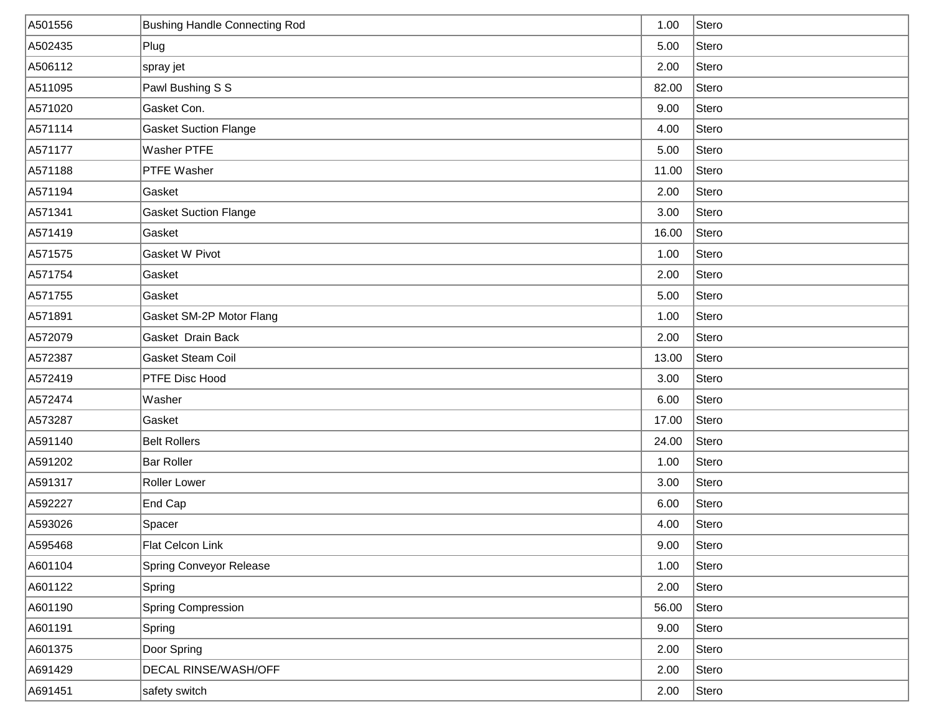| A501556 | <b>Bushing Handle Connecting Rod</b> | 1.00  | Stero |
|---------|--------------------------------------|-------|-------|
| A502435 | Plug                                 | 5.00  | Stero |
| A506112 | spray jet                            | 2.00  | Stero |
| A511095 | Pawl Bushing S S                     | 82.00 | Stero |
| A571020 | Gasket Con.                          | 9.00  | Stero |
| A571114 | <b>Gasket Suction Flange</b>         | 4.00  | Stero |
| A571177 | <b>Washer PTFE</b>                   | 5.00  | Stero |
| A571188 | <b>PTFE Washer</b>                   | 11.00 | Stero |
| A571194 | Gasket                               | 2.00  | Stero |
| A571341 | <b>Gasket Suction Flange</b>         | 3.00  | Stero |
| A571419 | Gasket                               | 16.00 | Stero |
| A571575 | Gasket W Pivot                       | 1.00  | Stero |
| A571754 | Gasket                               | 2.00  | Stero |
| A571755 | Gasket                               | 5.00  | Stero |
| A571891 | Gasket SM-2P Motor Flang             | 1.00  | Stero |
| A572079 | Gasket Drain Back                    | 2.00  | Stero |
| A572387 | Gasket Steam Coil                    | 13.00 | Stero |
| A572419 | PTFE Disc Hood                       | 3.00  | Stero |
| A572474 | Washer                               | 6.00  | Stero |
| A573287 | Gasket                               | 17.00 | Stero |
| A591140 | <b>Belt Rollers</b>                  | 24.00 | Stero |
| A591202 | <b>Bar Roller</b>                    | 1.00  | Stero |
| A591317 | Roller Lower                         | 3.00  | Stero |
| A592227 | End Cap                              | 6.00  | Stero |
| A593026 | Spacer                               | 4.00  | Stero |
| A595468 | Flat Celcon Link                     | 9.00  | Stero |
| A601104 | Spring Conveyor Release              | 1.00  | Stero |
| A601122 | Spring                               | 2.00  | Stero |
| A601190 | Spring Compression                   | 56.00 | Stero |
| A601191 | Spring                               | 9.00  | Stero |
| A601375 | Door Spring                          | 2.00  | Stero |
| A691429 | <b>DECAL RINSE/WASH/OFF</b>          | 2.00  | Stero |
| A691451 | safety switch                        | 2.00  | Stero |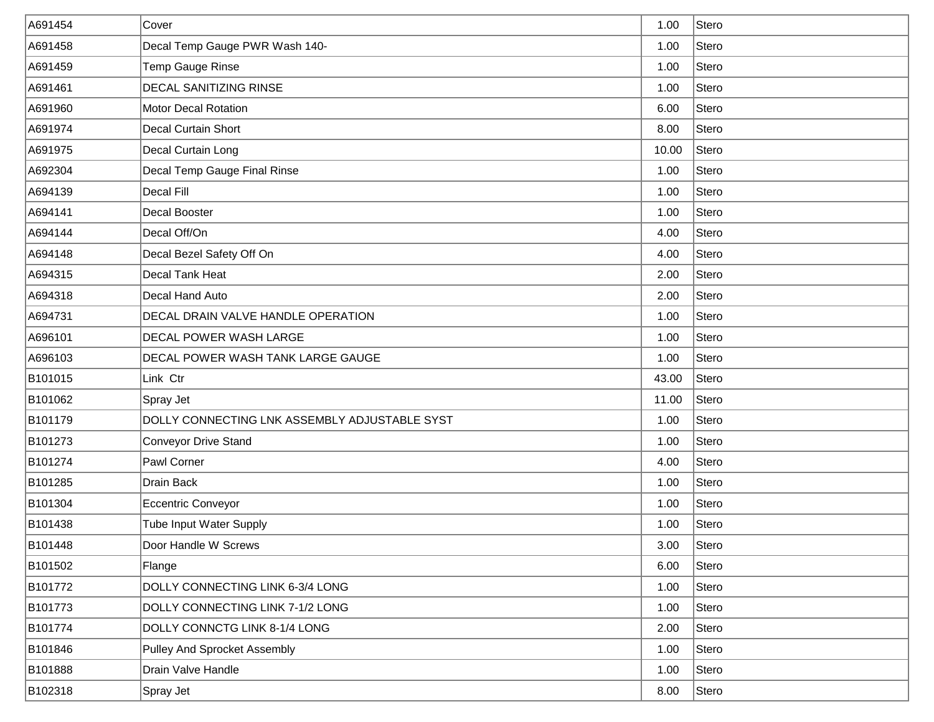| A691454 | Cover                                         | 1.00  | Stero |
|---------|-----------------------------------------------|-------|-------|
| A691458 | Decal Temp Gauge PWR Wash 140-                | 1.00  | Stero |
| A691459 | Temp Gauge Rinse                              | 1.00  | Stero |
| A691461 | <b>DECAL SANITIZING RINSE</b>                 | 1.00  | Stero |
| A691960 | <b>Motor Decal Rotation</b>                   | 6.00  | Stero |
| A691974 | <b>Decal Curtain Short</b>                    | 8.00  | Stero |
| A691975 | Decal Curtain Long                            | 10.00 | Stero |
| A692304 | Decal Temp Gauge Final Rinse                  | 1.00  | Stero |
| A694139 | Decal Fill                                    | 1.00  | Stero |
| A694141 | Decal Booster                                 | 1.00  | Stero |
| A694144 | Decal Off/On                                  | 4.00  | Stero |
| A694148 | Decal Bezel Safety Off On                     | 4.00  | Stero |
| A694315 | Decal Tank Heat                               | 2.00  | Stero |
| A694318 | Decal Hand Auto                               | 2.00  | Stero |
| A694731 | DECAL DRAIN VALVE HANDLE OPERATION            | 1.00  | Stero |
| A696101 | DECAL POWER WASH LARGE                        | 1.00  | Stero |
| A696103 | DECAL POWER WASH TANK LARGE GAUGE             | 1.00  | Stero |
| B101015 | Link Ctr                                      | 43.00 | Stero |
| B101062 | Spray Jet                                     | 11.00 | Stero |
| B101179 | DOLLY CONNECTING LNK ASSEMBLY ADJUSTABLE SYST | 1.00  | Stero |
| B101273 | <b>Conveyor Drive Stand</b>                   | 1.00  | Stero |
| B101274 | Pawl Corner                                   | 4.00  | Stero |
| B101285 | <b>Drain Back</b>                             | 1.00  | Stero |
| B101304 | Eccentric Conveyor                            | 1.00  | Stero |
| B101438 | <b>Tube Input Water Supply</b>                | 1.00  | Stero |
| B101448 | Door Handle W Screws                          | 3.00  | Stero |
| B101502 | Flange                                        | 6.00  | Stero |
| B101772 | DOLLY CONNECTING LINK 6-3/4 LONG              | 1.00  | Stero |
| B101773 | DOLLY CONNECTING LINK 7-1/2 LONG              | 1.00  | Stero |
| B101774 | DOLLY CONNCTG LINK 8-1/4 LONG                 | 2.00  | Stero |
| B101846 | Pulley And Sprocket Assembly                  | 1.00  | Stero |
| B101888 | Drain Valve Handle                            | 1.00  | Stero |
| B102318 | Spray Jet                                     | 8.00  | Stero |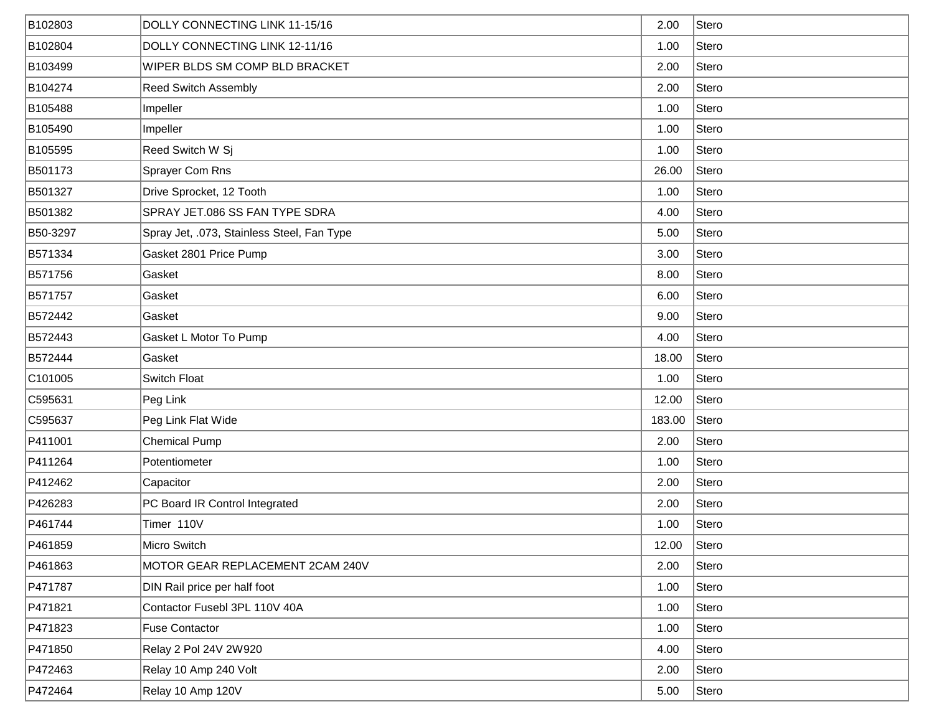| B102803  | DOLLY CONNECTING LINK 11-15/16             | 2.00   | Stero |
|----------|--------------------------------------------|--------|-------|
| B102804  | DOLLY CONNECTING LINK 12-11/16             | 1.00   | Stero |
| B103499  | WIPER BLDS SM COMP BLD BRACKET             | 2.00   | Stero |
| B104274  | <b>Reed Switch Assembly</b>                | 2.00   | Stero |
| B105488  | Impeller                                   | 1.00   | Stero |
| B105490  | Impeller                                   | 1.00   | Stero |
| B105595  | Reed Switch W Sj                           | 1.00   | Stero |
| B501173  | Sprayer Com Rns                            | 26.00  | Stero |
| B501327  | Drive Sprocket, 12 Tooth                   | 1.00   | Stero |
| B501382  | SPRAY JET.086 SS FAN TYPE SDRA             | 4.00   | Stero |
| B50-3297 | Spray Jet, .073, Stainless Steel, Fan Type | 5.00   | Stero |
| B571334  | Gasket 2801 Price Pump                     | 3.00   | Stero |
| B571756  | Gasket                                     | 8.00   | Stero |
| B571757  | Gasket                                     | 6.00   | Stero |
| B572442  | Gasket                                     | 9.00   | Stero |
| B572443  | Gasket L Motor To Pump                     | 4.00   | Stero |
| B572444  | Gasket                                     | 18.00  | Stero |
| C101005  | Switch Float                               | 1.00   | Stero |
| C595631  | Peg Link                                   | 12.00  | Stero |
| C595637  | Peg Link Flat Wide                         | 183.00 | Stero |
| P411001  | <b>Chemical Pump</b>                       | 2.00   | Stero |
| P411264  | Potentiometer                              | 1.00   | Stero |
| P412462  | Capacitor                                  | 2.00   | Stero |
| P426283  | PC Board IR Control Integrated             | 2.00   | Stero |
| P461744  | Timer 110V                                 | 1.00   | Stero |
| P461859  | Micro Switch                               | 12.00  | Stero |
| P461863  | MOTOR GEAR REPLACEMENT 2CAM 240V           | 2.00   | Stero |
| P471787  | DIN Rail price per half foot               | 1.00   | Stero |
| P471821  | Contactor Fusebl 3PL 110V 40A              | 1.00   | Stero |
| P471823  | <b>Fuse Contactor</b>                      | 1.00   | Stero |
| P471850  | Relay 2 Pol 24V 2W920                      | 4.00   | Stero |
| P472463  | Relay 10 Amp 240 Volt                      | 2.00   | Stero |
| P472464  | Relay 10 Amp 120V                          | 5.00   | Stero |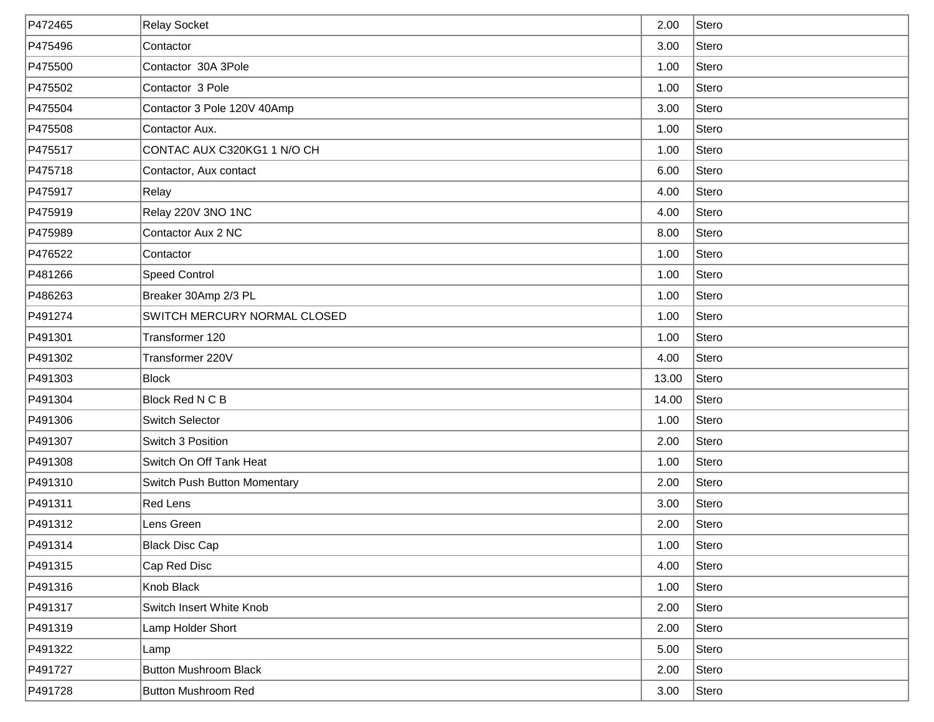| P472465 | <b>Relay Socket</b>          | 2.00  | Stero |
|---------|------------------------------|-------|-------|
| P475496 | Contactor                    | 3.00  | Stero |
| P475500 | Contactor 30A 3Pole          | 1.00  | Stero |
| P475502 | Contactor 3 Pole             | 1.00  | Stero |
| P475504 | Contactor 3 Pole 120V 40Amp  | 3.00  | Stero |
| P475508 | Contactor Aux.               | 1.00  | Stero |
| P475517 | CONTAC AUX C320KG1 1 N/O CH  | 1.00  | Stero |
| P475718 | Contactor, Aux contact       | 6.00  | Stero |
| P475917 | Relay                        | 4.00  | Stero |
| P475919 | Relay 220V 3NO 1NC           | 4.00  | Stero |
| P475989 | Contactor Aux 2 NC           | 8.00  | Stero |
| P476522 | Contactor                    | 1.00  | Stero |
| P481266 | <b>Speed Control</b>         | 1.00  | Stero |
| P486263 | Breaker 30Amp 2/3 PL         | 1.00  | Stero |
| P491274 | SWITCH MERCURY NORMAL CLOSED | 1.00  | Stero |
| P491301 | Transformer 120              | 1.00  | Stero |
| P491302 | Transformer 220V             | 4.00  | Stero |
| P491303 | Block                        | 13.00 | Stero |
| P491304 | Block Red N C B              | 14.00 | Stero |
| P491306 | Switch Selector              | 1.00  | Stero |
| P491307 | Switch 3 Position            | 2.00  | Stero |
| P491308 | Switch On Off Tank Heat      | 1.00  | Stero |
| P491310 | Switch Push Button Momentary | 2.00  | Stero |
| P491311 | Red Lens                     | 3.00  | Stero |
| P491312 | Lens Green                   | 2.00  | Stero |
| P491314 | <b>Black Disc Cap</b>        | 1.00  | Stero |
| P491315 | Cap Red Disc                 | 4.00  | Stero |
| P491316 | Knob Black                   | 1.00  | Stero |
| P491317 | Switch Insert White Knob     | 2.00  | Stero |
| P491319 | Lamp Holder Short            | 2.00  | Stero |
| P491322 | Lamp                         | 5.00  | Stero |
| P491727 | <b>Button Mushroom Black</b> | 2.00  | Stero |
| P491728 | <b>Button Mushroom Red</b>   | 3.00  | Stero |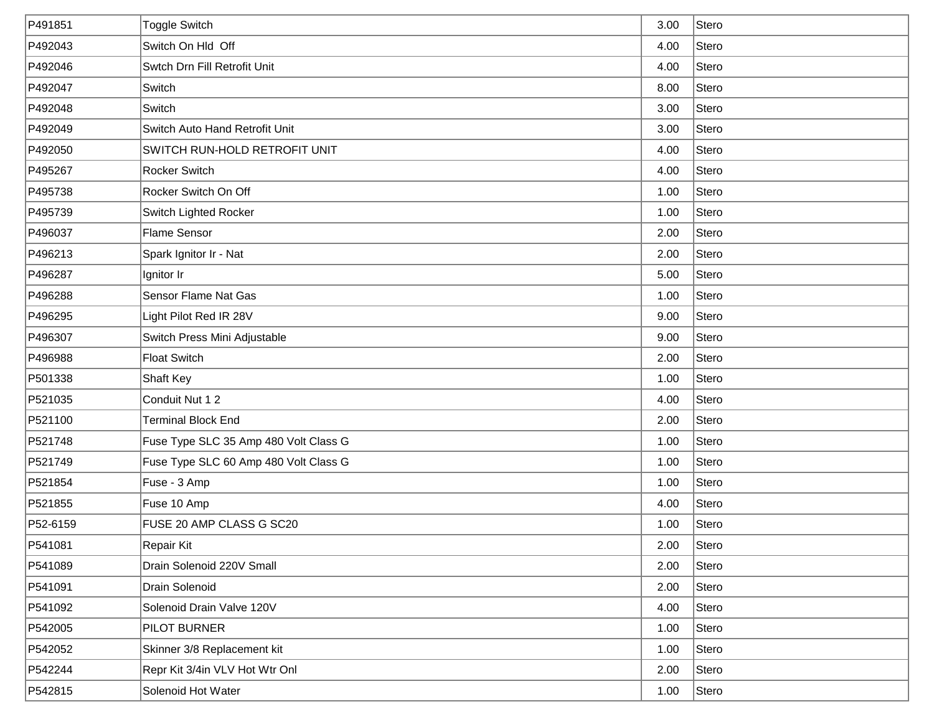| P491851  | <b>Toggle Switch</b>                  | 3.00 | Stero |
|----------|---------------------------------------|------|-------|
| P492043  | Switch On Hld Off                     | 4.00 | Stero |
| P492046  | Swtch Drn Fill Retrofit Unit          | 4.00 | Stero |
| P492047  | Switch                                | 8.00 | Stero |
| P492048  | Switch                                | 3.00 | Stero |
| P492049  | Switch Auto Hand Retrofit Unit        | 3.00 | Stero |
| P492050  | SWITCH RUN-HOLD RETROFIT UNIT         | 4.00 | Stero |
| P495267  | Rocker Switch                         | 4.00 | Stero |
| P495738  | Rocker Switch On Off                  | 1.00 | Stero |
| P495739  | Switch Lighted Rocker                 | 1.00 | Stero |
| P496037  | <b>Flame Sensor</b>                   | 2.00 | Stero |
| P496213  | Spark Ignitor Ir - Nat                | 2.00 | Stero |
| P496287  | Ignitor Ir                            | 5.00 | Stero |
| P496288  | Sensor Flame Nat Gas                  | 1.00 | Stero |
| P496295  | Light Pilot Red IR 28V                | 9.00 | Stero |
| P496307  | Switch Press Mini Adjustable          | 9.00 | Stero |
| P496988  | <b>Float Switch</b>                   | 2.00 | Stero |
| P501338  | Shaft Key                             | 1.00 | Stero |
| P521035  | Conduit Nut 1 2                       | 4.00 | Stero |
| P521100  | <b>Terminal Block End</b>             | 2.00 | Stero |
| P521748  | Fuse Type SLC 35 Amp 480 Volt Class G | 1.00 | Stero |
| P521749  | Fuse Type SLC 60 Amp 480 Volt Class G | 1.00 | Stero |
| P521854  | Fuse - 3 Amp                          | 1.00 | Stero |
| P521855  | Fuse 10 Amp                           | 4.00 | Stero |
| P52-6159 | FUSE 20 AMP CLASS G SC20              | 1.00 | Stero |
| P541081  | Repair Kit                            | 2.00 | Stero |
| P541089  | Drain Solenoid 220V Small             | 2.00 | Stero |
| P541091  | Drain Solenoid                        | 2.00 | Stero |
| P541092  | Solenoid Drain Valve 120V             | 4.00 | Stero |
| P542005  | PILOT BURNER                          | 1.00 | Stero |
| P542052  | Skinner 3/8 Replacement kit           | 1.00 | Stero |
| P542244  | Repr Kit 3/4in VLV Hot Wtr Onl        | 2.00 | Stero |
| P542815  | Solenoid Hot Water                    | 1.00 | Stero |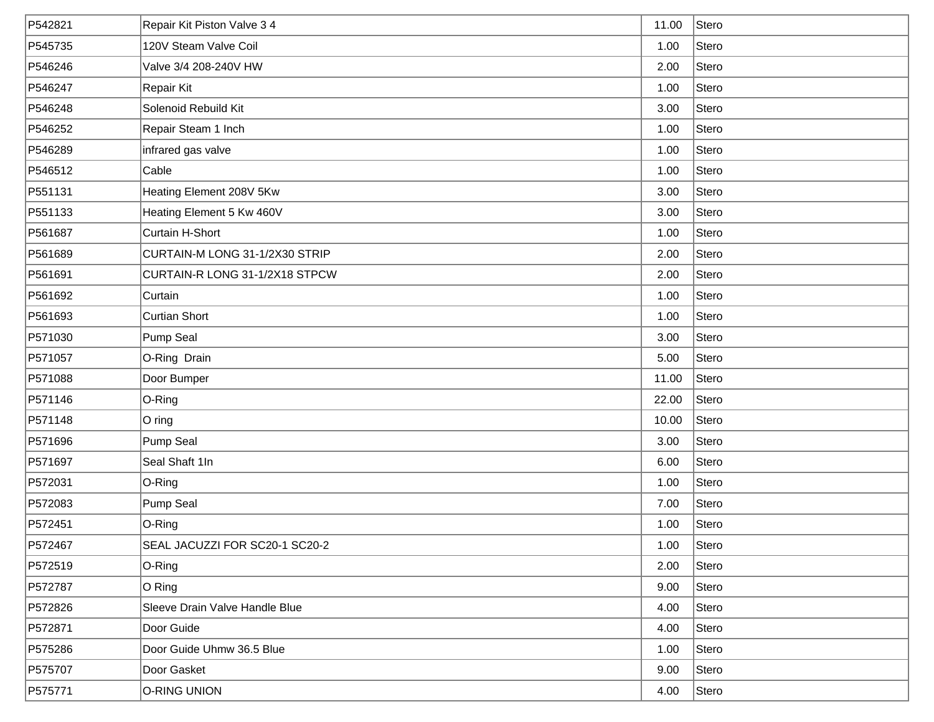| P542821 | Repair Kit Piston Valve 3 4    | 11.00 | Stero |
|---------|--------------------------------|-------|-------|
| P545735 | 120V Steam Valve Coil          | 1.00  | Stero |
| P546246 | Valve 3/4 208-240V HW          | 2.00  | Stero |
| P546247 | Repair Kit                     | 1.00  | Stero |
| P546248 | Solenoid Rebuild Kit           | 3.00  | Stero |
| P546252 | Repair Steam 1 Inch            | 1.00  | Stero |
| P546289 | infrared gas valve             | 1.00  | Stero |
| P546512 | Cable                          | 1.00  | Stero |
| P551131 | Heating Element 208V 5Kw       | 3.00  | Stero |
| P551133 | Heating Element 5 Kw 460V      | 3.00  | Stero |
| P561687 | Curtain H-Short                | 1.00  | Stero |
| P561689 | CURTAIN-M LONG 31-1/2X30 STRIP | 2.00  | Stero |
| P561691 | CURTAIN-R LONG 31-1/2X18 STPCW | 2.00  | Stero |
| P561692 | Curtain                        | 1.00  | Stero |
| P561693 | <b>Curtian Short</b>           | 1.00  | Stero |
| P571030 | Pump Seal                      | 3.00  | Stero |
| P571057 | O-Ring Drain                   | 5.00  | Stero |
| P571088 | Door Bumper                    | 11.00 | Stero |
| P571146 | O-Ring                         | 22.00 | Stero |
| P571148 | $ O \text{ ring} $             | 10.00 | Stero |
| P571696 | Pump Seal                      | 3.00  | Stero |
| P571697 | Seal Shaft 1In                 | 6.00  | Stero |
| P572031 | $O-Ring$                       | 1.00  | Stero |
| P572083 | Pump Seal                      | 7.00  | Stero |
| P572451 | O-Ring                         | 1.00  | Stero |
| P572467 | SEAL JACUZZI FOR SC20-1 SC20-2 | 1.00  | Stero |
| P572519 | $O-Ring$                       | 2.00  | Stero |
| P572787 | O Ring                         | 9.00  | Stero |
| P572826 | Sleeve Drain Valve Handle Blue | 4.00  | Stero |
| P572871 | Door Guide                     | 4.00  | Stero |
| P575286 | Door Guide Uhmw 36.5 Blue      | 1.00  | Stero |
| P575707 | Door Gasket                    | 9.00  | Stero |
| P575771 | O-RING UNION                   | 4.00  | Stero |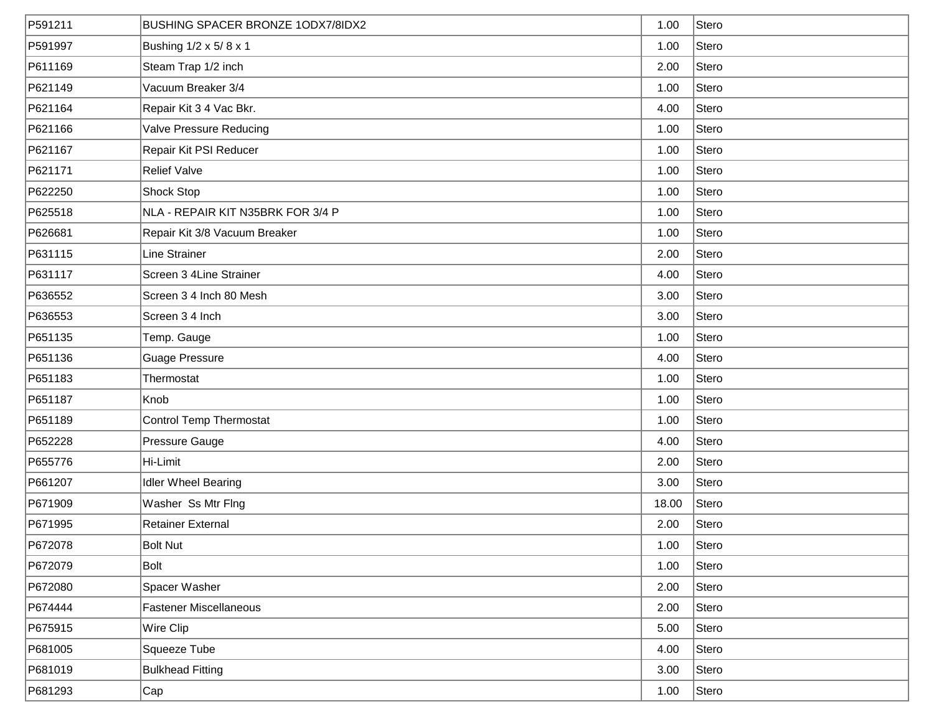| P591211 | <b>BUSHING SPACER BRONZE 1ODX7/8IDX2</b> | 1.00  | Stero |
|---------|------------------------------------------|-------|-------|
| P591997 | Bushing 1/2 x 5/8 x 1                    | 1.00  | Stero |
| P611169 | Steam Trap 1/2 inch                      | 2.00  | Stero |
| P621149 | Vacuum Breaker 3/4                       | 1.00  | Stero |
| P621164 | Repair Kit 3 4 Vac Bkr.                  | 4.00  | Stero |
| P621166 | Valve Pressure Reducing                  | 1.00  | Stero |
| P621167 | Repair Kit PSI Reducer                   | 1.00  | Stero |
| P621171 | <b>Relief Valve</b>                      | 1.00  | Stero |
| P622250 | <b>Shock Stop</b>                        | 1.00  | Stero |
| P625518 | NLA - REPAIR KIT N35BRK FOR 3/4 P        | 1.00  | Stero |
| P626681 | Repair Kit 3/8 Vacuum Breaker            | 1.00  | Stero |
| P631115 | Line Strainer                            | 2.00  | Stero |
| P631117 | Screen 3 4Line Strainer                  | 4.00  | Stero |
| P636552 | Screen 3 4 Inch 80 Mesh                  | 3.00  | Stero |
| P636553 | Screen 3 4 Inch                          | 3.00  | Stero |
| P651135 | Temp. Gauge                              | 1.00  | Stero |
| P651136 | <b>Guage Pressure</b>                    | 4.00  | Stero |
| P651183 | Thermostat                               | 1.00  | Stero |
| P651187 | Knob                                     | 1.00  | Stero |
| P651189 | Control Temp Thermostat                  | 1.00  | Stero |
| P652228 | Pressure Gauge                           | 4.00  | Stero |
| P655776 | Hi-Limit                                 | 2.00  | Stero |
| P661207 | <b>Idler Wheel Bearing</b>               | 3.00  | Stero |
| P671909 | Washer Ss Mtr Flng                       | 18.00 | Stero |
| P671995 | <b>Retainer External</b>                 | 2.00  | Stero |
| P672078 | <b>Bolt Nut</b>                          | 1.00  | Stero |
| P672079 | Bolt                                     | 1.00  | Stero |
| P672080 | Spacer Washer                            | 2.00  | Stero |
| P674444 | <b>Fastener Miscellaneous</b>            | 2.00  | Stero |
| P675915 | Wire Clip                                | 5.00  | Stero |
| P681005 | Squeeze Tube                             | 4.00  | Stero |
| P681019 | <b>Bulkhead Fitting</b>                  | 3.00  | Stero |
| P681293 | Cap                                      | 1.00  | Stero |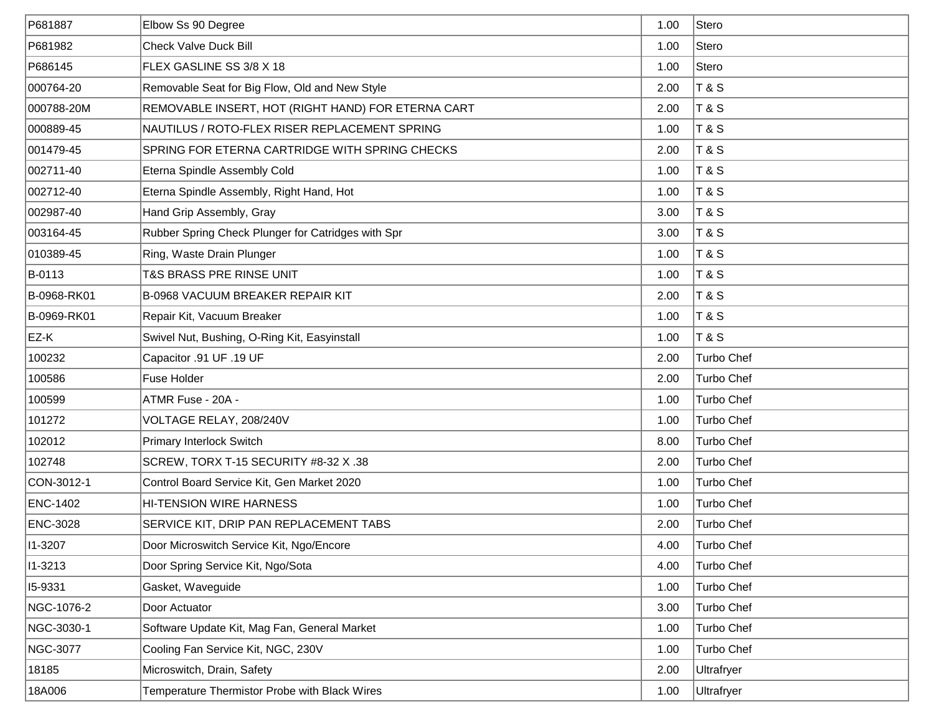| P681887         | Elbow Ss 90 Degree                                 | 1.00 | Stero          |
|-----------------|----------------------------------------------------|------|----------------|
| P681982         | <b>Check Valve Duck Bill</b>                       | 1.00 | Stero          |
| P686145         | FLEX GASLINE SS 3/8 X 18                           | 1.00 | Stero          |
| 000764-20       | Removable Seat for Big Flow, Old and New Style     | 2.00 | T & S          |
| 000788-20M      | REMOVABLE INSERT, HOT (RIGHT HAND) FOR ETERNA CART | 2.00 | $T$ & S        |
| 000889-45       | NAUTILUS / ROTO-FLEX RISER REPLACEMENT SPRING      | 1.00 | <b>T&amp;S</b> |
| 001479-45       | SPRING FOR ETERNA CARTRIDGE WITH SPRING CHECKS     | 2.00 | <b>T&amp;S</b> |
| 002711-40       | Eterna Spindle Assembly Cold                       | 1.00 | T & S          |
| 002712-40       | Eterna Spindle Assembly, Right Hand, Hot           | 1.00 | T & S          |
| 002987-40       | Hand Grip Assembly, Gray                           | 3.00 | <b>T&amp;S</b> |
| 003164-45       | Rubber Spring Check Plunger for Catridges with Spr | 3.00 | <b>T&amp;S</b> |
| 010389-45       | Ring, Waste Drain Plunger                          | 1.00 | <b>T&amp;S</b> |
| B-0113          | T&S BRASS PRE RINSE UNIT                           | 1.00 | <b>T&amp;S</b> |
| B-0968-RK01     | <b>B-0968 VACUUM BREAKER REPAIR KIT</b>            | 2.00 | <b>T&amp;S</b> |
| B-0969-RK01     | Repair Kit, Vacuum Breaker                         | 1.00 | <b>T&amp;S</b> |
| EZ-K            | Swivel Nut, Bushing, O-Ring Kit, Easyinstall       | 1.00 | <b>T&amp;S</b> |
| 100232          | Capacitor .91 UF .19 UF                            | 2.00 | Turbo Chef     |
| 100586          | Fuse Holder                                        | 2.00 | Turbo Chef     |
| 100599          | ATMR Fuse - 20A -                                  | 1.00 | Turbo Chef     |
| 101272          | VOLTAGE RELAY, 208/240V                            | 1.00 | Turbo Chef     |
| 102012          | Primary Interlock Switch                           | 8.00 | Turbo Chef     |
| 102748          | SCREW, TORX T-15 SECURITY #8-32 X.38               | 2.00 | Turbo Chef     |
| CON-3012-1      | Control Board Service Kit, Gen Market 2020         | 1.00 | Turbo Chef     |
| <b>ENC-1402</b> | <b>HI-TENSION WIRE HARNESS</b>                     | 1.00 | Turbo Chef     |
| ENC-3028        | SERVICE KIT, DRIP PAN REPLACEMENT TABS             | 2.00 | Turbo Chef     |
| 11-3207         | Door Microswitch Service Kit, Ngo/Encore           | 4.00 | Turbo Chef     |
| 11-3213         | Door Spring Service Kit, Ngo/Sota                  | 4.00 | Turbo Chef     |
| 15-9331         | Gasket, Waveguide                                  | 1.00 | Turbo Chef     |
| NGC-1076-2      | Door Actuator                                      | 3.00 | Turbo Chef     |
| NGC-3030-1      | Software Update Kit, Mag Fan, General Market       | 1.00 | Turbo Chef     |
| NGC-3077        | Cooling Fan Service Kit, NGC, 230V                 | 1.00 | Turbo Chef     |
| 18185           | Microswitch, Drain, Safety                         | 2.00 | Ultrafryer     |
| 18A006          | Temperature Thermistor Probe with Black Wires      | 1.00 | Ultrafryer     |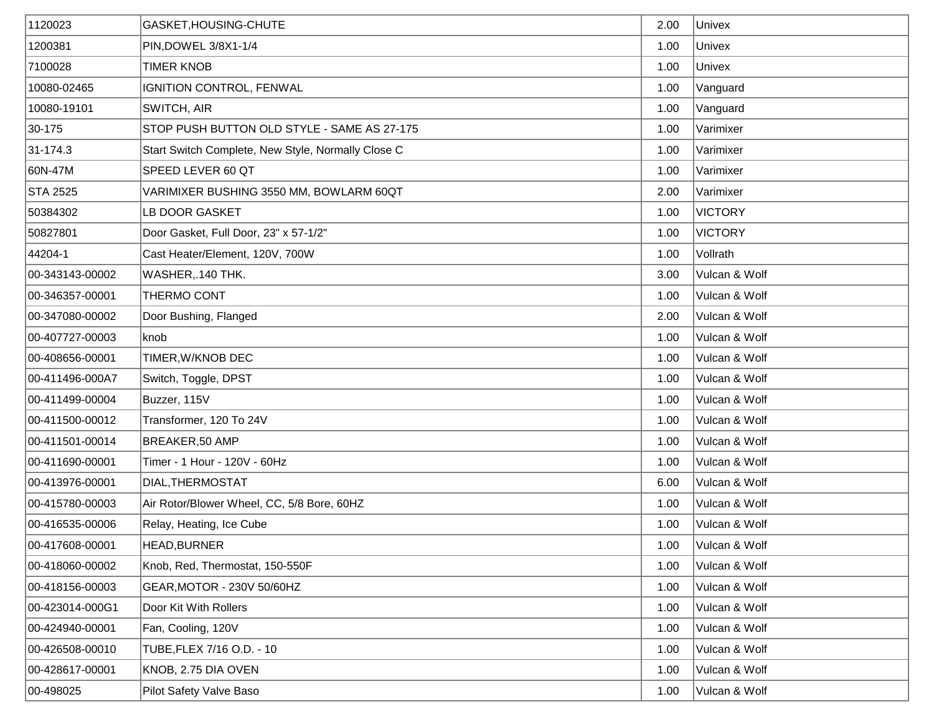| 1120023         | GASKET, HOUSING-CHUTE                              | 2.00 | Univex         |
|-----------------|----------------------------------------------------|------|----------------|
| 1200381         | PIN, DOWEL 3/8X1-1/4                               | 1.00 | Univex         |
| 7100028         | <b>TIMER KNOB</b>                                  | 1.00 | Univex         |
| 10080-02465     | IGNITION CONTROL, FENWAL                           | 1.00 | Vanguard       |
| 10080-19101     | <b>SWITCH, AIR</b>                                 | 1.00 | Vanguard       |
| 30-175          | STOP PUSH BUTTON OLD STYLE - SAME AS 27-175        | 1.00 | Varimixer      |
| 31-174.3        | Start Switch Complete, New Style, Normally Close C | 1.00 | Varimixer      |
| 60N-47M         | SPEED LEVER 60 QT                                  | 1.00 | Varimixer      |
| STA 2525        | VARIMIXER BUSHING 3550 MM, BOWLARM 60QT            | 2.00 | Varimixer      |
| 50384302        | LB DOOR GASKET                                     | 1.00 | <b>VICTORY</b> |
| 50827801        | Door Gasket, Full Door, 23" x 57-1/2"              | 1.00 | <b>VICTORY</b> |
| 44204-1         | Cast Heater/Element, 120V, 700W                    | 1.00 | Vollrath       |
| 00-343143-00002 | WASHER, 140 THK.                                   | 3.00 | Vulcan & Wolf  |
| 00-346357-00001 | THERMO CONT                                        | 1.00 | Vulcan & Wolf  |
| 00-347080-00002 | Door Bushing, Flanged                              | 2.00 | Vulcan & Wolf  |
| 00-407727-00003 | knob                                               | 1.00 | Vulcan & Wolf  |
| 00-408656-00001 | TIMER, W/KNOB DEC                                  | 1.00 | Vulcan & Wolf  |
| 00-411496-000A7 | Switch, Toggle, DPST                               | 1.00 | Vulcan & Wolf  |
| 00-411499-00004 | Buzzer, 115V                                       | 1.00 | Vulcan & Wolf  |
| 00-411500-00012 | Transformer, 120 To 24V                            | 1.00 | Vulcan & Wolf  |
| 00-411501-00014 | <b>BREAKER,50 AMP</b>                              | 1.00 | Vulcan & Wolf  |
| 00-411690-00001 | Timer - 1 Hour - 120V - 60Hz                       | 1.00 | Vulcan & Wolf  |
| 00-413976-00001 | DIAL, THERMOSTAT                                   | 6.00 | Vulcan & Wolf  |
| 00-415780-00003 | Air Rotor/Blower Wheel, CC, 5/8 Bore, 60HZ         | 1.00 | Vulcan & Wolf  |
| 00-416535-00006 | Relay, Heating, Ice Cube                           | 1.00 | Vulcan & Wolf  |
| 00-417608-00001 | HEAD, BURNER                                       | 1.00 | Vulcan & Wolf  |
| 00-418060-00002 | Knob, Red, Thermostat, 150-550F                    | 1.00 | Vulcan & Wolf  |
| 00-418156-00003 | GEAR, MOTOR - 230V 50/60HZ                         | 1.00 | Vulcan & Wolf  |
| 00-423014-000G1 | Door Kit With Rollers                              | 1.00 | Vulcan & Wolf  |
| 00-424940-00001 | Fan, Cooling, 120V                                 | 1.00 | Vulcan & Wolf  |
| 00-426508-00010 | TUBE, FLEX 7/16 O.D. - 10                          | 1.00 | Vulcan & Wolf  |
| 00-428617-00001 | KNOB, 2.75 DIA OVEN                                | 1.00 | Vulcan & Wolf  |
| 00-498025       | Pilot Safety Valve Baso                            | 1.00 | Vulcan & Wolf  |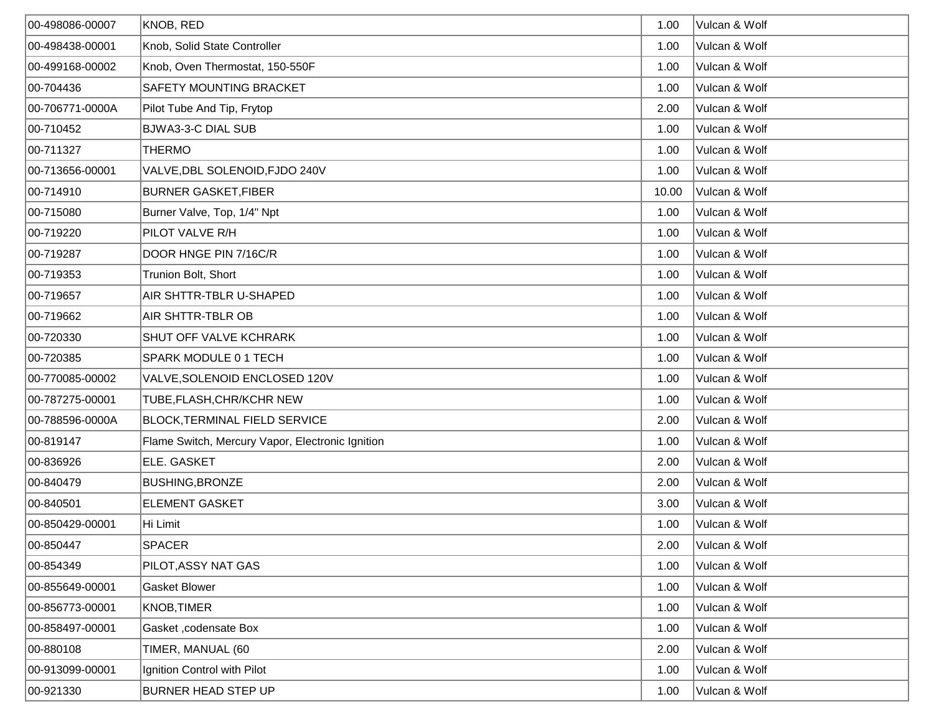| 00-498086-00007 | KNOB, RED                                        | 1.00  | Vulcan & Wolf |
|-----------------|--------------------------------------------------|-------|---------------|
| 00-498438-00001 | Knob, Solid State Controller                     | 1.00  | Vulcan & Wolf |
| 00-499168-00002 | Knob, Oven Thermostat, 150-550F                  | 1.00  | Vulcan & Wolf |
| 00-704436       | <b>SAFETY MOUNTING BRACKET</b>                   | 1.00  | Vulcan & Wolf |
| 00-706771-0000A | Pilot Tube And Tip, Frytop                       | 2.00  | Vulcan & Wolf |
| 00-710452       | <b>BJWA3-3-C DIAL SUB</b>                        | 1.00  | Vulcan & Wolf |
| 00-711327       | <b>THERMO</b>                                    | 1.00  | Vulcan & Wolf |
| 00-713656-00001 | VALVE, DBL SOLENOID, FJDO 240V                   | 1.00  | Vulcan & Wolf |
| 00-714910       | <b>BURNER GASKET, FIBER</b>                      | 10.00 | Vulcan & Wolf |
| 00-715080       | Burner Valve, Top, 1/4" Npt                      | 1.00  | Vulcan & Wolf |
| 00-719220       | PILOT VALVE R/H                                  | 1.00  | Vulcan & Wolf |
| 00-719287       | DOOR HNGE PIN 7/16C/R                            | 1.00  | Vulcan & Wolf |
| 00-719353       | Trunion Bolt, Short                              | 1.00  | Vulcan & Wolf |
| 00-719657       | AIR SHTTR-TBLR U-SHAPED                          | 1.00  | Vulcan & Wolf |
| 00-719662       | AIR SHTTR-TBLR OB                                | 1.00  | Vulcan & Wolf |
| 00-720330       | SHUT OFF VALVE KCHRARK                           | 1.00  | Vulcan & Wolf |
| 00-720385       | SPARK MODULE 0 1 TECH                            | 1.00  | Vulcan & Wolf |
| 00-770085-00002 | VALVE, SOLENOID ENCLOSED 120V                    | 1.00  | Vulcan & Wolf |
| 00-787275-00001 | TUBE, FLASH, CHR/KCHR NEW                        | 1.00  | Vulcan & Wolf |
| 00-788596-0000A | <b>BLOCK, TERMINAL FIELD SERVICE</b>             | 2.00  | Vulcan & Wolf |
| 00-819147       | Flame Switch, Mercury Vapor, Electronic Ignition | 1.00  | Vulcan & Wolf |
| 00-836926       | <b>ELE. GASKET</b>                               | 2.00  | Vulcan & Wolf |
| 00-840479       | <b>BUSHING, BRONZE</b>                           | 2.00  | Vulcan & Wolf |
| 00-840501       | <b>ELEMENT GASKET</b>                            | 3.00  | Vulcan & Wolf |
| 00-850429-00001 | Hi Limit                                         | 1.00  | Vulcan & Wolf |
| 00-850447       | <b>SPACER</b>                                    | 2.00  | Vulcan & Wolf |
| 00-854349       | PILOT, ASSY NAT GAS                              | 1.00  | Vulcan & Wolf |
| 00-855649-00001 | Gasket Blower                                    | 1.00  | Vulcan & Wolf |
| 00-856773-00001 | <b>KNOB, TIMER</b>                               | 1.00  | Vulcan & Wolf |
| 00-858497-00001 | Gasket, codensate Box                            | 1.00  | Vulcan & Wolf |
| 00-880108       | TIMER, MANUAL (60                                | 2.00  | Vulcan & Wolf |
| 00-913099-00001 | Ignition Control with Pilot                      | 1.00  | Vulcan & Wolf |
| 00-921330       | BURNER HEAD STEP UP                              | 1.00  | Vulcan & Wolf |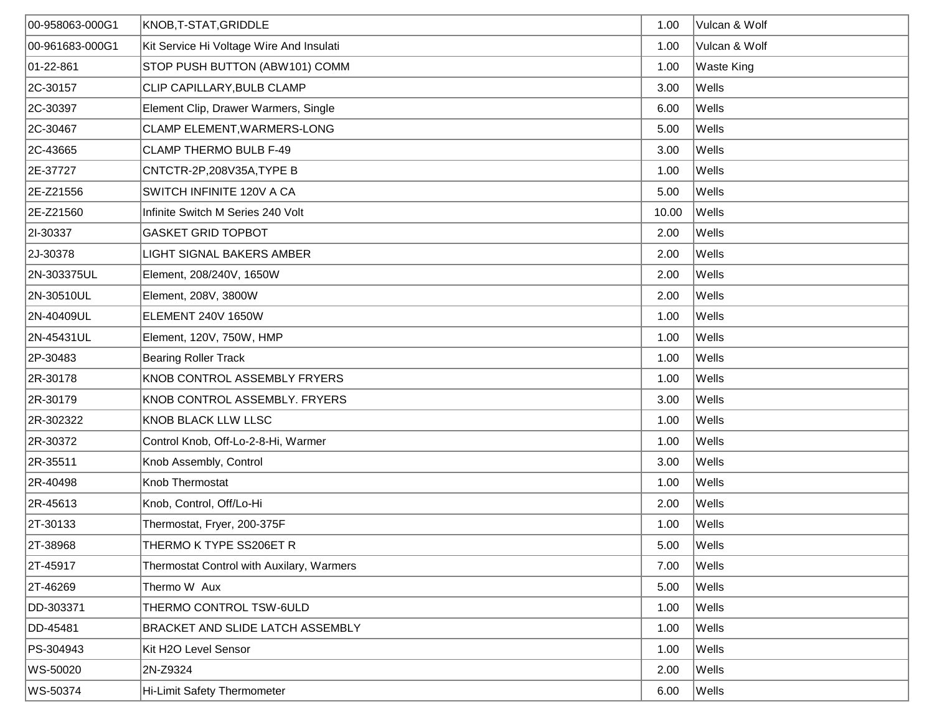| 00-958063-000G1 | KNOB, T-STAT, GRIDDLE                     | 1.00  | Vulcan & Wolf     |
|-----------------|-------------------------------------------|-------|-------------------|
| 00-961683-000G1 | Kit Service Hi Voltage Wire And Insulati  | 1.00  | Vulcan & Wolf     |
| 01-22-861       | STOP PUSH BUTTON (ABW101) COMM            | 1.00  | <b>Waste King</b> |
| 2C-30157        | CLIP CAPILLARY, BULB CLAMP                | 3.00  | Wells             |
| 2C-30397        | Element Clip, Drawer Warmers, Single      | 6.00  | Wells             |
| 2C-30467        | CLAMP ELEMENT, WARMERS-LONG               | 5.00  | Wells             |
| 2C-43665        | <b>CLAMP THERMO BULB F-49</b>             | 3.00  | Wells             |
| 2E-37727        | CNTCTR-2P,208V35A, TYPE B                 | 1.00  | Wells             |
| 2E-Z21556       | SWITCH INFINITE 120V A CA                 | 5.00  | Wells             |
| 2E-Z21560       | Infinite Switch M Series 240 Volt         | 10.00 | Wells             |
| 21-30337        | <b>GASKET GRID TOPBOT</b>                 | 2.00  | Wells             |
| 2J-30378        | LIGHT SIGNAL BAKERS AMBER                 | 2.00  | Wells             |
| 2N-303375UL     | Element, 208/240V, 1650W                  | 2.00  | Wells             |
| 2N-30510UL      | Element, 208V, 3800W                      | 2.00  | Wells             |
| 2N-40409UL      | ELEMENT 240V 1650W                        | 1.00  | Wells             |
| 2N-45431UL      | Element, 120V, 750W, HMP                  | 1.00  | Wells             |
| 2P-30483        | <b>Bearing Roller Track</b>               | 1.00  | Wells             |
| 2R-30178        | KNOB CONTROL ASSEMBLY FRYERS              | 1.00  | Wells             |
| 2R-30179        | KNOB CONTROL ASSEMBLY. FRYERS             | 3.00  | Wells             |
| 2R-302322       | <b>KNOB BLACK LLW LLSC</b>                | 1.00  | Wells             |
| 2R-30372        | Control Knob, Off-Lo-2-8-Hi, Warmer       | 1.00  | Wells             |
| 2R-35511        | Knob Assembly, Control                    | 3.00  | Wells             |
| 2R-40498        | Knob Thermostat                           | 1.00  | Wells             |
| 2R-45613        | Knob, Control, Off/Lo-Hi                  | 2.00  | Wells             |
| 2T-30133        | Thermostat, Fryer, 200-375F               | 1.00  | Wells             |
| 2T-38968        | THERMO K TYPE SS206ET R                   | 5.00  | Wells             |
| 2T-45917        | Thermostat Control with Auxilary, Warmers | 7.00  | Wells             |
| 2T-46269        | Thermo W Aux                              | 5.00  | Wells             |
| DD-303371       | THERMO CONTROL TSW-6ULD                   | 1.00  | Wells             |
| DD-45481        | BRACKET AND SLIDE LATCH ASSEMBLY          | 1.00  | Wells             |
| PS-304943       | Kit H2O Level Sensor                      | 1.00  | Wells             |
| WS-50020        | 2N-Z9324                                  | 2.00  | Wells             |
| WS-50374        | Hi-Limit Safety Thermometer               | 6.00  | Wells             |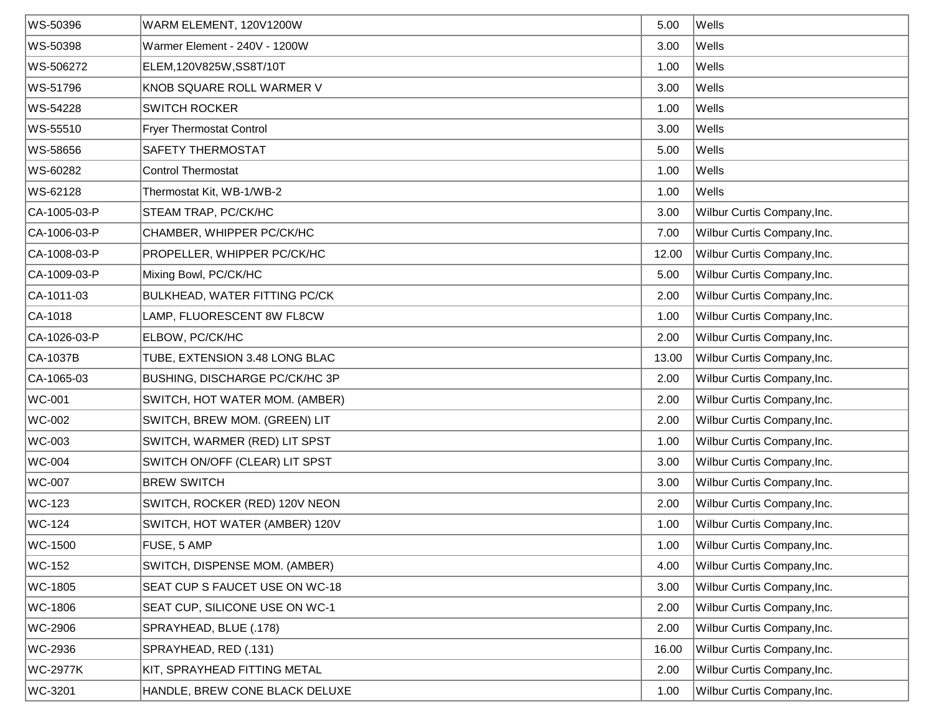| WS-50396       | WARM ELEMENT, 120V1200W               | 5.00  | Wells                       |
|----------------|---------------------------------------|-------|-----------------------------|
| WS-50398       | Warmer Element - 240V - 1200W         | 3.00  | Wells                       |
| WS-506272      | ELEM,120V825W,SS8T/10T                | 1.00  | Wells                       |
| WS-51796       | KNOB SQUARE ROLL WARMER V             | 3.00  | Wells                       |
| WS-54228       | <b>SWITCH ROCKER</b>                  | 1.00  | Wells                       |
| WS-55510       | <b>Fryer Thermostat Control</b>       | 3.00  | Wells                       |
| WS-58656       | SAFETY THERMOSTAT                     | 5.00  | Wells                       |
| WS-60282       | <b>Control Thermostat</b>             | 1.00  | Wells                       |
| WS-62128       | Thermostat Kit, WB-1/WB-2             | 1.00  | Wells                       |
| CA-1005-03-P   | STEAM TRAP, PC/CK/HC                  | 3.00  | Wilbur Curtis Company, Inc. |
| CA-1006-03-P   | CHAMBER, WHIPPER PC/CK/HC             | 7.00  | Wilbur Curtis Company, Inc. |
| CA-1008-03-P   | PROPELLER, WHIPPER PC/CK/HC           | 12.00 | Wilbur Curtis Company, Inc. |
| CA-1009-03-P   | Mixing Bowl, PC/CK/HC                 | 5.00  | Wilbur Curtis Company, Inc. |
| CA-1011-03     | BULKHEAD, WATER FITTING PC/CK         | 2.00  | Wilbur Curtis Company, Inc. |
| $ CA-1018$     | LAMP, FLUORESCENT 8W FL8CW            | 1.00  | Wilbur Curtis Company, Inc. |
| CA-1026-03-P   | ELBOW, PC/CK/HC                       | 2.00  | Wilbur Curtis Company, Inc. |
| CA-1037B       | TUBE, EXTENSION 3.48 LONG BLAC        | 13.00 | Wilbur Curtis Company, Inc. |
| CA-1065-03     | <b>BUSHING, DISCHARGE PC/CK/HC 3P</b> | 2.00  | Wilbur Curtis Company, Inc. |
| <b>WC-001</b>  | SWITCH, HOT WATER MOM. (AMBER)        | 2.00  | Wilbur Curtis Company, Inc. |
| WC-002         | SWITCH, BREW MOM. (GREEN) LIT         | 2.00  | Wilbur Curtis Company, Inc. |
| WC-003         | SWITCH, WARMER (RED) LIT SPST         | 1.00  | Wilbur Curtis Company, Inc. |
| WC-004         | SWITCH ON/OFF (CLEAR) LIT SPST        | 3.00  | Wilbur Curtis Company, Inc. |
| WC-007         | <b>BREW SWITCH</b>                    | 3.00  | Wilbur Curtis Company, Inc. |
| WC-123         | SWITCH, ROCKER (RED) 120V NEON        | 2.00  | Wilbur Curtis Company, Inc. |
| WC-124         | SWITCH, HOT WATER (AMBER) 120V        | 1.00  | Wilbur Curtis Company, Inc. |
| WC-1500        | FUSE, 5 AMP                           | 1.00  | Wilbur Curtis Company, Inc. |
| <b>WC-152</b>  | SWITCH, DISPENSE MOM. (AMBER)         | 4.00  | Wilbur Curtis Company, Inc. |
| WC-1805        | SEAT CUP S FAUCET USE ON WC-18        | 3.00  | Wilbur Curtis Company, Inc. |
| <b>WC-1806</b> | SEAT CUP, SILICONE USE ON WC-1        | 2.00  | Wilbur Curtis Company, Inc. |
| WC-2906        | SPRAYHEAD, BLUE (.178)                | 2.00  | Wilbur Curtis Company, Inc. |
| WC-2936        | SPRAYHEAD, RED (.131)                 | 16.00 | Wilbur Curtis Company, Inc. |
| WC-2977K       | KIT, SPRAYHEAD FITTING METAL          | 2.00  | Wilbur Curtis Company, Inc. |
| WC-3201        | HANDLE, BREW CONE BLACK DELUXE        | 1.00  | Wilbur Curtis Company, Inc. |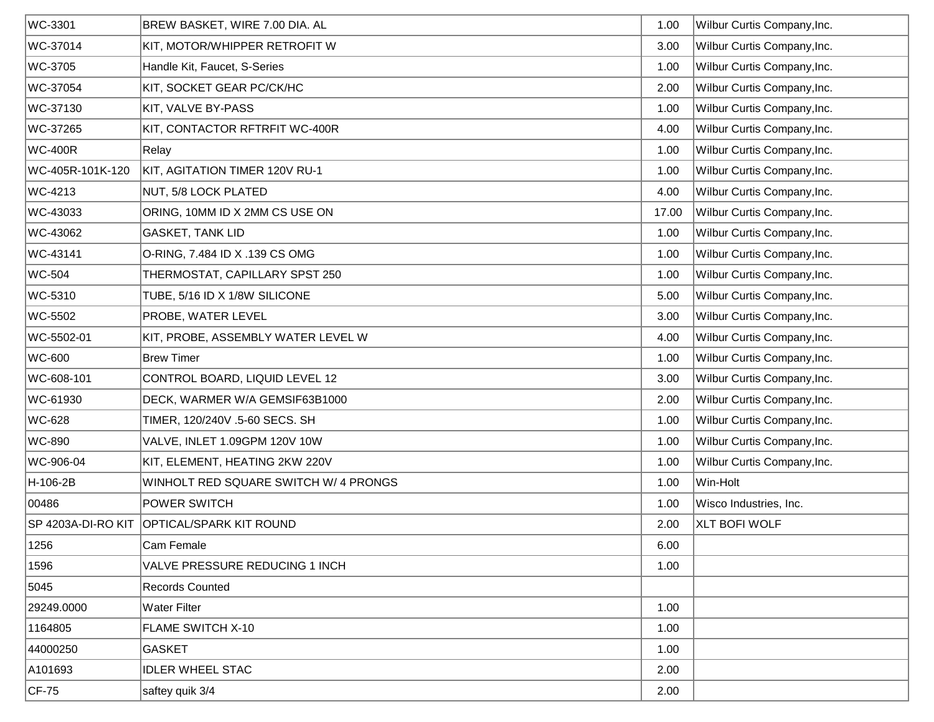| WC-3301            | BREW BASKET, WIRE 7.00 DIA. AL        | 1.00  | Wilbur Curtis Company, Inc. |
|--------------------|---------------------------------------|-------|-----------------------------|
| WC-37014           | KIT, MOTOR/WHIPPER RETROFIT W         | 3.00  | Wilbur Curtis Company, Inc. |
| WC-3705            | Handle Kit, Faucet, S-Series          | 1.00  | Wilbur Curtis Company, Inc. |
| WC-37054           | KIT, SOCKET GEAR PC/CK/HC             | 2.00  | Wilbur Curtis Company, Inc. |
| WC-37130           | KIT, VALVE BY-PASS                    | 1.00  | Wilbur Curtis Company, Inc. |
| WC-37265           | KIT, CONTACTOR RFTRFIT WC-400R        | 4.00  | Wilbur Curtis Company, Inc. |
| <b>WC-400R</b>     | Relay                                 | 1.00  | Wilbur Curtis Company, Inc. |
| WC-405R-101K-120   | KIT, AGITATION TIMER 120V RU-1        | 1.00  | Wilbur Curtis Company, Inc. |
| WC-4213            | NUT, 5/8 LOCK PLATED                  | 4.00  | Wilbur Curtis Company, Inc. |
| WC-43033           | ORING, 10MM ID X 2MM CS USE ON        | 17.00 | Wilbur Curtis Company, Inc. |
| WC-43062           | <b>GASKET, TANK LID</b>               | 1.00  | Wilbur Curtis Company, Inc. |
| WC-43141           | O-RING, 7.484 ID X .139 CS OMG        | 1.00  | Wilbur Curtis Company, Inc. |
| <b>WC-504</b>      | THERMOSTAT, CAPILLARY SPST 250        | 1.00  | Wilbur Curtis Company, Inc. |
| WC-5310            | TUBE, 5/16 ID X 1/8W SILICONE         | 5.00  | Wilbur Curtis Company, Inc. |
| WC-5502            | PROBE, WATER LEVEL                    | 3.00  | Wilbur Curtis Company, Inc. |
| WC-5502-01         | KIT, PROBE, ASSEMBLY WATER LEVEL W    | 4.00  | Wilbur Curtis Company, Inc. |
| WC-600             | <b>Brew Timer</b>                     | 1.00  | Wilbur Curtis Company, Inc. |
| WC-608-101         | CONTROL BOARD, LIQUID LEVEL 12        | 3.00  | Wilbur Curtis Company, Inc. |
| WC-61930           | DECK, WARMER W/A GEMSIF63B1000        | 2.00  | Wilbur Curtis Company, Inc. |
| WC-628             | TIMER, 120/240V .5-60 SECS. SH        | 1.00  | Wilbur Curtis Company, Inc. |
| WC-890             | VALVE, INLET 1.09GPM 120V 10W         | 1.00  | Wilbur Curtis Company, Inc. |
| WC-906-04          | KIT, ELEMENT, HEATING 2KW 220V        | 1.00  | Wilbur Curtis Company, Inc. |
| H-106-2B           | WINHOLT RED SQUARE SWITCH W/ 4 PRONGS | 1.00  | Win-Holt                    |
| 00486              | <b>POWER SWITCH</b>                   | 1.00  | Wisco Industries, Inc.      |
| SP 4203A-DI-RO KIT | <b>OPTICAL/SPARK KIT ROUND</b>        | 2.00  | <b>XLT BOFI WOLF</b>        |
| 1256               | Cam Female                            | 6.00  |                             |
| 1596               | VALVE PRESSURE REDUCING 1 INCH        | 1.00  |                             |
| 5045               | <b>Records Counted</b>                |       |                             |
| 29249.0000         | <b>Water Filter</b>                   | 1.00  |                             |
| 1164805            | FLAME SWITCH X-10                     | 1.00  |                             |
| 44000250           | <b>GASKET</b>                         | 1.00  |                             |
| A101693            | <b>IDLER WHEEL STAC</b>               | 2.00  |                             |
| $CF-75$            | saftey quik 3/4                       | 2.00  |                             |